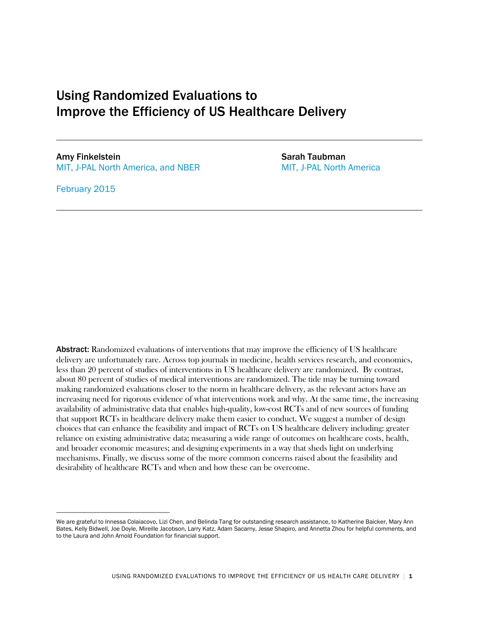## Using Randomized Evaluations to Improve the Efficiency of US Healthcare Delivery

Amy Finkelstein Sarah Taubman Sarah Taubman MIT, J-PAL North America, and NBER MIT, J-PAL North America

\_\_\_\_\_\_\_\_\_\_\_\_\_\_\_\_\_\_\_\_\_\_\_\_\_\_\_\_\_

February 2015

Abstract: Randomized evaluations of interventions that may improve the efficiency of US healthcare delivery are unfortunately rare. Across top journals in medicine, health services research, and economics, less than 20 percent of studies of interventions in US healthcare delivery are randomized. By contrast, about 80 percent of studies of medical interventions are randomized. The tide may be turning toward making randomized evaluations closer to the norm in healthcare delivery, as the relevant actors have an increasing need for rigorous evidence of what interventions work and why. At the same time, the increasing availability of administrative data that enables high-quality, low-cost RCTs and of new sources of funding that support RCTs in healthcare delivery make them easier to conduct. We suggest a number of design choices that can enhance the feasibility and impact of RCTs on US healthcare delivery including: greater reliance on existing administrative data; measuring a wide range of outcomes on healthcare costs, health, and broader economic measures; and designing experiments in a way that sheds light on underlying mechanisms. Finally, we discuss some of the more common concerns raised about the feasibility and desirability of healthcare RCTs and when and how these can be overcome.

We are grateful to Innessa Colaiacovo, Lizi Chen, and Belinda Tang for outstanding research assistance, to Katherine Baicker, Mary Ann Bates, Kelly Bidwell, Joe Doyle, Mireille Jacobson, Larry Katz, Adam Sacarny, Jesse Shapiro, and Annetta Zhou for helpful comments, and to the Laura and John Arnold Foundation for financial support.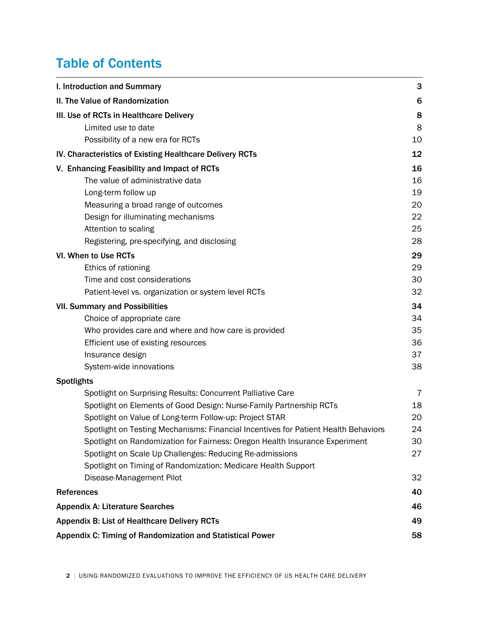# Table of Contents

| I. Introduction and Summary                                                        | 3  |
|------------------------------------------------------------------------------------|----|
| II. The Value of Randomization                                                     | 6  |
| III. Use of RCTs in Healthcare Delivery                                            | 8  |
| Limited use to date                                                                | 8  |
| Possibility of a new era for RCTs                                                  | 10 |
| IV. Characteristics of Existing Healthcare Delivery RCTs                           | 12 |
| V. Enhancing Feasibility and Impact of RCTs                                        | 16 |
| The value of administrative data                                                   | 16 |
| Long-term follow up                                                                | 19 |
| Measuring a broad range of outcomes                                                | 20 |
| Design for illuminating mechanisms                                                 | 22 |
| Attention to scaling                                                               | 25 |
| Registering, pre-specifying, and disclosing                                        | 28 |
| VI. When to Use RCTs                                                               | 29 |
| Ethics of rationing                                                                | 29 |
| Time and cost considerations                                                       | 30 |
| Patient-level vs. organization or system level RCTs                                | 32 |
| <b>VII. Summary and Possibilities</b>                                              | 34 |
| Choice of appropriate care                                                         | 34 |
| Who provides care and where and how care is provided                               | 35 |
| Efficient use of existing resources                                                | 36 |
| Insurance design                                                                   | 37 |
| System-wide innovations                                                            | 38 |
| <b>Spotlights</b>                                                                  |    |
| Spotlight on Surprising Results: Concurrent Palliative Care                        | 7  |
| Spotlight on Elements of Good Design: Nurse-Family Partnership RCTs                | 18 |
| Spotlight on Value of Long-term Follow-up: Project STAR                            | 20 |
| Spotlight on Testing Mechanisms: Financial Incentives for Patient Health Behaviors | 24 |
| Spotlight on Randomization for Fairness: Oregon Health Insurance Experiment        | 30 |
| Spotlight on Scale Up Challenges: Reducing Re-admissions                           | 27 |
| Spotlight on Timing of Randomization: Medicare Health Support                      |    |
| Disease-Management Pilot                                                           | 32 |
| <b>References</b>                                                                  | 40 |
| <b>Appendix A: Literature Searches</b>                                             | 46 |
| <b>Appendix B: List of Healthcare Delivery RCTs</b>                                | 49 |
| Appendix C: Timing of Randomization and Statistical Power                          | 58 |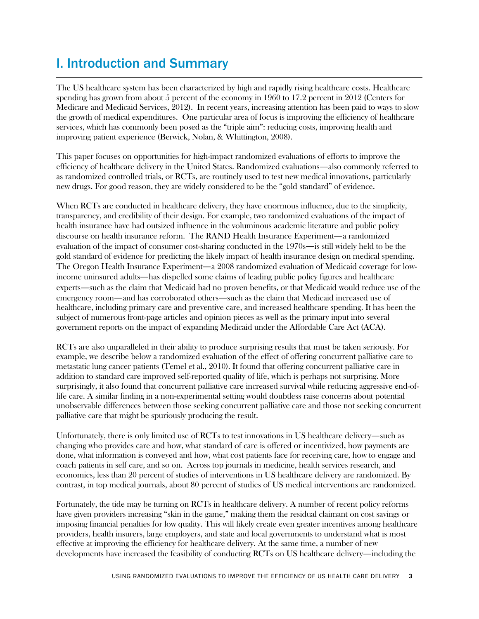# I. Introduction and Summary

The US healthcare system has been characterized by high and rapidly rising healthcare costs. Healthcare spending has grown from about 5 percent of the economy in 1960 to 17.2 percent in 2012 (Centers for Medicare and Medicaid Services, 2012). In recent years, increasing attention has been paid to ways to slow the growth of medical expenditures. One particular area of focus is improving the efficiency of healthcare services, which has commonly been posed as the "triple aim": reducing costs, improving health and improving patient experience (Berwick, Nolan, & Whittington, 2008).

This paper focuses on opportunities for high-impact randomized evaluations of efforts to improve the efficiency of healthcare delivery in the United States. Randomized evaluations—also commonly referred to as randomized controlled trials, or RCTs, are routinely used to test new medical innovations, particularly new drugs. For good reason, they are widely considered to be the "gold standard" of evidence.

When RCTs are conducted in healthcare delivery, they have enormous influence, due to the simplicity, transparency, and credibility of their design. For example, two randomized evaluations of the impact of health insurance have had outsized influence in the voluminous academic literature and public policy discourse on health insurance reform. The RAND Health Insurance Experiment—a randomized evaluation of the impact of consumer cost-sharing conducted in the 1970s—is still widely held to be the gold standard of evidence for predicting the likely impact of health insurance design on medical spending. The Oregon Health Insurance Experiment—a 2008 randomized evaluation of Medicaid coverage for lowincome uninsured adults—has dispelled some claims of leading public policy figures and healthcare experts—such as the claim that Medicaid had no proven benefits, or that Medicaid would reduce use of the emergency room—and has corroborated others—such as the claim that Medicaid increased use of healthcare, including primary care and preventive care, and increased healthcare spending. It has been the subject of numerous front-page articles and opinion pieces as well as the primary input into several government reports on the impact of expanding Medicaid under the Affordable Care Act (ACA).

RCTs are also unparalleled in their ability to produce surprising results that must be taken seriously. For example, we describe below a randomized evaluation of the effect of offering concurrent palliative care to metastatic lung cancer patients (Temel et al., 2010). It found that offering concurrent palliative care in addition to standard care improved self-reported quality of life, which is perhaps not surprising. More surprisingly, it also found that concurrent palliative care increased survival while reducing aggressive end-oflife care. A similar finding in a non-experimental setting would doubtless raise concerns about potential unobservable differences between those seeking concurrent palliative care and those not seeking concurrent palliative care that might be spuriously producing the result.

Unfortunately, there is only limited use of RCTs to test innovations in US healthcare delivery—such as changing who provides care and how, what standard of care is offered or incentivized, how payments are done, what information is conveyed and how, what cost patients face for receiving care, how to engage and coach patients in self care, and so on. Across top journals in medicine, health services research, and economics, less than 20 percent of studies of interventions in US healthcare delivery are randomized. By contrast, in top medical journals, about 80 percent of studies of US medical interventions are randomized.

Fortunately, the tide may be turning on RCTs in healthcare delivery. A number of recent policy reforms have given providers increasing "skin in the game," making them the residual claimant on cost savings or imposing financial penalties for low quality. This will likely create even greater incentives among healthcare providers, health insurers, large employers, and state and local governments to understand what is most effective at improving the efficiency for healthcare delivery. At the same time, a number of new developments have increased the feasibility of conducting RCTs on US healthcare delivery—including the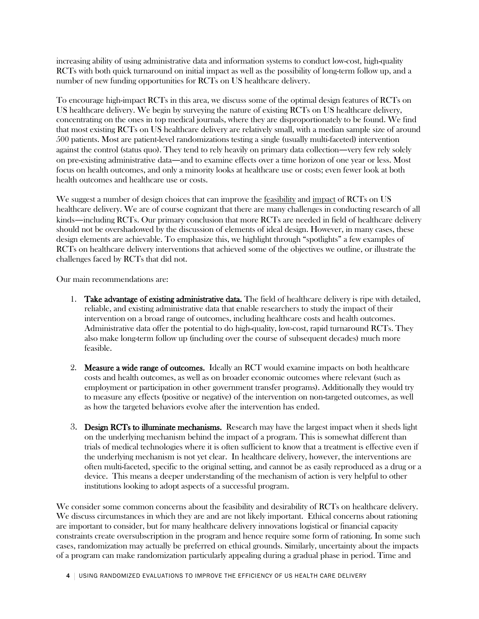increasing ability of using administrative data and information systems to conduct low-cost, high-quality RCTs with both quick turnaround on initial impact as well as the possibility of long-term follow up, and a number of new funding opportunities for RCTs on US healthcare delivery.

To encourage high-impact RCTs in this area, we discuss some of the optimal design features of RCTs on US healthcare delivery. We begin by surveying the nature of existing RCTs on US healthcare delivery, concentrating on the ones in top medical journals, where they are disproportionately to be found. We find that most existing RCTs on US healthcare delivery are relatively small, with a median sample size of around 500 patients. Most are patient-level randomizations testing a single (usually multi-faceted) intervention against the control (status quo). They tend to rely heavily on primary data collection—very few rely solely on pre-existing administrative data—and to examine effects over a time horizon of one year or less. Most focus on health outcomes, and only a minority looks at healthcare use or costs; even fewer look at both health outcomes and healthcare use or costs.

We suggest a number of design choices that can improve the feasibility and impact of RCTs on US healthcare delivery. We are of course cognizant that there are many challenges in conducting research of all kinds—including RCTs. Our primary conclusion that more RCTs are needed in field of healthcare delivery should not be overshadowed by the discussion of elements of ideal design. However, in many cases, these design elements are achievable. To emphasize this, we highlight through "spotlights" a few examples of RCTs on healthcare delivery interventions that achieved some of the objectives we outline, or illustrate the challenges faced by RCTs that did not.

Our main recommendations are:

- 1. Take advantage of existing administrative data. The field of healthcare delivery is ripe with detailed, reliable, and existing administrative data that enable researchers to study the impact of their intervention on a broad range of outcomes, including healthcare costs and health outcomes. Administrative data offer the potential to do high-quality, low-cost, rapid turnaround RCTs. They also make long-term follow up (including over the course of subsequent decades) much more feasible.
- 2. Measure a wide range of outcomes. Ideally an RCT would examine impacts on both healthcare costs and health outcomes, as well as on broader economic outcomes where relevant (such as employment or participation in other government transfer programs). Additionally they would try to measure any effects (positive or negative) of the intervention on non-targeted outcomes, as well as how the targeted behaviors evolve after the intervention has ended.
- 3. Design RCTs to illuminate mechanisms. Research may have the largest impact when it sheds light on the underlying mechanism behind the impact of a program. This is somewhat different than trials of medical technologies where it is often sufficient to know that a treatment is effective even if the underlying mechanism is not yet clear. In healthcare delivery, however, the interventions are often multi-faceted, specific to the original setting, and cannot be as easily reproduced as a drug or a device. This means a deeper understanding of the mechanism of action is very helpful to other institutions looking to adopt aspects of a successful program.

We consider some common concerns about the feasibility and desirability of RCTs on healthcare delivery. We discuss circumstances in which they are and are not likely important. Ethical concerns about rationing are important to consider, but for many healthcare delivery innovations logistical or financial capacity constraints create oversubscription in the program and hence require some form of rationing. In some such cases, randomization may actually be preferred on ethical grounds. Similarly, uncertainty about the impacts of a program can make randomization particularly appealing during a gradual phase in period. Time and

4 | USING RANDOMIZED EVALUATIONS TO IMPROVE THE EFFICIENCY OF US HEALTH CARE DELIVERY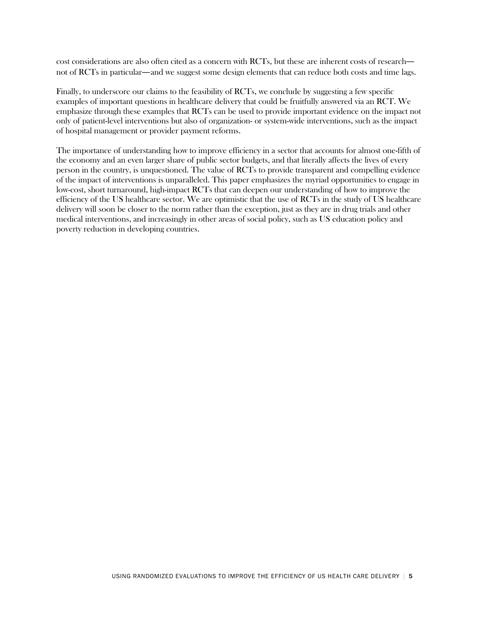cost considerations are also often cited as a concern with RCTs, but these are inherent costs of research not of RCTs in particular—and we suggest some design elements that can reduce both costs and time lags.

Finally, to underscore our claims to the feasibility of RCTs, we conclude by suggesting a few specific examples of important questions in healthcare delivery that could be fruitfully answered via an RCT. We emphasize through these examples that RCTs can be used to provide important evidence on the impact not only of patient-level interventions but also of organization- or system-wide interventions, such as the impact of hospital management or provider payment reforms.

The importance of understanding how to improve efficiency in a sector that accounts for almost one-fifth of the economy and an even larger share of public sector budgets, and that literally affects the lives of every person in the country, is unquestioned. The value of RCTs to provide transparent and compelling evidence of the impact of interventions is unparalleled. This paper emphasizes the myriad opportunities to engage in low-cost, short turnaround, high-impact RCTs that can deepen our understanding of how to improve the efficiency of the US healthcare sector. We are optimistic that the use of RCTs in the study of US healthcare delivery will soon be closer to the norm rather than the exception, just as they are in drug trials and other medical interventions, and increasingly in other areas of social policy, such as US education policy and poverty reduction in developing countries.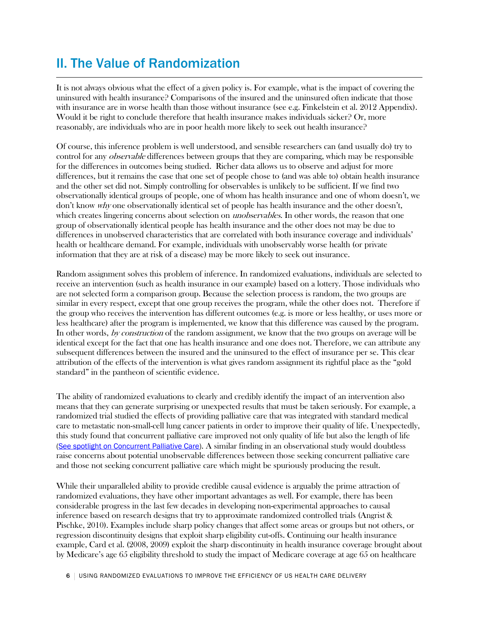# II. The Value of Randomization

It is not always obvious what the effect of a given policy is. For example, what is the impact of covering the uninsured with health insurance? Comparisons of the insured and the uninsured often indicate that those with insurance are in worse health than those without insurance (see e.g. Finkelstein et al. 2012 Appendix). Would it be right to conclude therefore that health insurance makes individuals sicker? Or, more reasonably, are individuals who are in poor health more likely to seek out health insurance?

Of course, this inference problem is well understood, and sensible researchers can (and usually do) try to control for any *observable* differences between groups that they are comparing, which may be responsible for the differences in outcomes being studied. Richer data allows us to observe and adjust for more differences, but it remains the case that one set of people chose to (and was able to) obtain health insurance and the other set did not. Simply controlling for observables is unlikely to be sufficient. If we find two observationally identical groups of people, one of whom has health insurance and one of whom doesn't, we don't know why one observationally identical set of people has health insurance and the other doesn't, which creates lingering concerns about selection on *unobservables*. In other words, the reason that one group of observationally identical people has health insurance and the other does not may be due to differences in unobserved characteristics that are correlated with both insurance coverage and individuals' health or healthcare demand. For example, individuals with unobservably worse health (or private information that they are at risk of a disease) may be more likely to seek out insurance.

Random assignment solves this problem of inference. In randomized evaluations, individuals are selected to receive an intervention (such as health insurance in our example) based on a lottery. Those individuals who are not selected form a comparison group. Because the selection process is random, the two groups are similar in every respect, except that one group receives the program, while the other does not. Therefore if the group who receives the intervention has different outcomes (e.g. is more or less healthy, or uses more or less healthcare) after the program is implemented, we know that this difference was caused by the program. In other words, by construction of the random assignment, we know that the two groups on average will be identical except for the fact that one has health insurance and one does not. Therefore, we can attribute any subsequent differences between the insured and the uninsured to the effect of insurance per se. This clear attribution of the effects of the intervention is what gives random assignment its rightful place as the "gold standard" in the pantheon of scientific evidence.

The ability of randomized evaluations to clearly and credibly identify the impact of an intervention also means that they can generate surprising or unexpected results that must be taken seriously. For example, a randomized trial studied the effects of providing palliative care that was integrated with standard medical care to metastatic non-small-cell lung cancer patients in order to improve their quality of life. Unexpectedly, this study found that concurrent palliative care improved not only quality of life but also the length of life [\(See spotlight on Concurrent Palliative Care\)](#page-6-0). A similar finding in an observational study would doubtless raise concerns about potential unobservable differences between those seeking concurrent palliative care and those not seeking concurrent palliative care which might be spuriously producing the result.

<span id="page-5-0"></span>While their unparalleled ability to provide credible causal evidence is arguably the prime attraction of randomized evaluations, they have other important advantages as well. For example, there has been considerable progress in the last few decades in developing non-experimental approaches to causal inference based on research designs that try to approximate randomized controlled trials (Angrist & Pischke, 2010). Examples include sharp policy changes that affect some areas or groups but not others, or regression discontinuity designs that exploit sharp eligibility cut-offs. Continuing our health insurance example, Card et al. (2008, 2009) exploit the sharp discontinuity in health insurance coverage brought about by Medicare's age 65 eligibility threshold to study the impact of Medicare coverage at age 65 on healthcare

6 USING RANDOMIZED EVALUATIONS TO IMPROVE THE EFFICIENCY OF US HEALTH CARE DELIVERY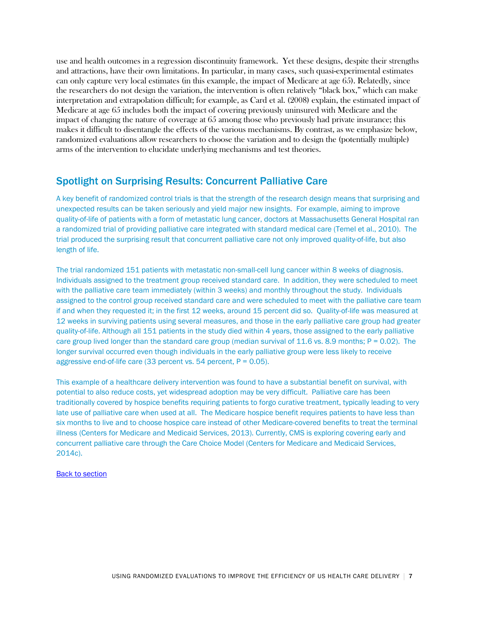use and health outcomes in a regression discontinuity framework. Yet these designs, despite their strengths and attractions, have their own limitations. In particular, in many cases, such quasi-experimental estimates can only capture very local estimates (in this example, the impact of Medicare at age 65). Relatedly, since the researchers do not design the variation, the intervention is often relatively "black box," which can make interpretation and extrapolation difficult; for example, as Card et al. (2008) explain, the estimated impact of Medicare at age 65 includes both the impact of covering previously uninsured with Medicare and the impact of changing the nature of coverage at 65 among those who previously had private insurance; this makes it difficult to disentangle the effects of the various mechanisms. By contrast, as we emphasize below, randomized evaluations allow researchers to choose the variation and to design the (potentially multiple) arms of the intervention to elucidate underlying mechanisms and test theories.

### <span id="page-6-0"></span>Spotlight on Surprising Results: Concurrent Palliative Care

A key benefit of randomized control trials is that the strength of the research design means that surprising and unexpected results can be taken seriously and yield major new insights. For example, aiming to improve quality-of-life of patients with a form of metastatic lung cancer, doctors at Massachusetts General Hospital ran a randomized trial of providing palliative care integrated with standard medical care (Temel et al., 2010). The trial produced the surprising result that concurrent palliative care not only improved quality-of-life, but also length of life.

The trial randomized 151 patients with metastatic non-small-cell lung cancer within 8 weeks of diagnosis. Individuals assigned to the treatment group received standard care. In addition, they were scheduled to meet with the palliative care team immediately (within 3 weeks) and monthly throughout the study. Individuals assigned to the control group received standard care and were scheduled to meet with the palliative care team if and when they requested it; in the first 12 weeks, around 15 percent did so. Quality-of-life was measured at 12 weeks in surviving patients using several measures, and those in the early palliative care group had greater quality-of-life. Although all 151 patients in the study died within 4 years, those assigned to the early palliative care group lived longer than the standard care group (median survival of 11.6 vs. 8.9 months;  $P = 0.02$ ). The longer survival occurred even though individuals in the early palliative group were less likely to receive aggressive end-of-life care  $(33$  percent vs. 54 percent,  $P = 0.05$ ).

This example of a healthcare delivery intervention was found to have a substantial benefit on survival, with potential to also reduce costs, yet widespread adoption may be very difficult. Palliative care has been traditionally covered by hospice benefits requiring patients to forgo curative treatment, typically leading to very late use of palliative care when used at all. The Medicare hospice benefit requires patients to have less than six months to live and to choose hospice care instead of other Medicare-covered benefits to treat the terminal illness (Centers for Medicare and Medicaid Services, 2013). Currently, CMS is exploring covering early and concurrent palliative care through the Care Choice Model (Centers for Medicare and Medicaid Services, 2014c).

#### [Back to section](#page-5-0)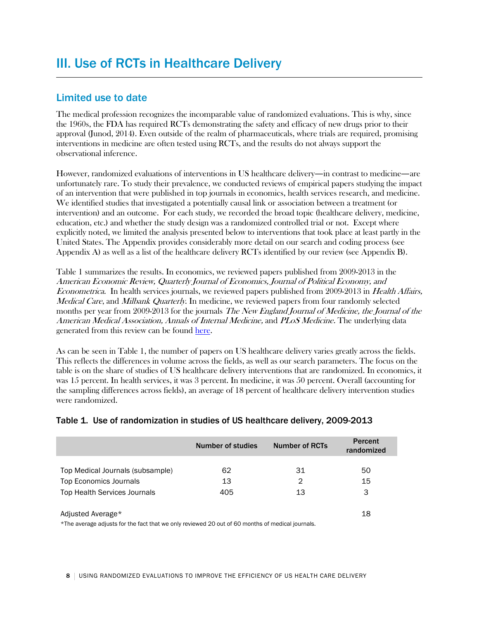## Limited use to date

The medical profession recognizes the incomparable value of randomized evaluations. This is why, since the 1960s, the FDA has required RCTs demonstrating the safety and efficacy of new drugs prior to their approval (Junod, 2014). Even outside of the realm of pharmaceuticals, where trials are required, promising interventions in medicine are often tested using RCTs, and the results do not always support the observational inference.

However, randomized evaluations of interventions in US healthcare delivery—in contrast to medicine—are unfortunately rare. To study their prevalence, we conducted reviews of empirical papers studying the impact of an intervention that were published in top journals in economics, health services research, and medicine. We identified studies that investigated a potentially causal link or association between a treatment (or intervention) and an outcome. For each study, we recorded the broad topic (healthcare delivery, medicine, education, etc.) and whether the study design was a randomized controlled trial or not. Except where explicitly noted, we limited the analysis presented below to interventions that took place at least partly in the United States. The Appendix provides considerably more detail on our search and coding process (see Appendix A) as well as a list of the healthcare delivery RCTs identified by our review (see Appendix B).

Table 1 summarizes the results. In economics, we reviewed papers published from 2009-2013 in the American Economic Review, Quarterly Journal of Economics, Journal of Political Economy, and Econometrica. In health services journals, we reviewed papers published from 2009-2013 in Health Affairs, Medical Care, and Milbank Quarterly. In medicine, we reviewed papers from four randomly selected months per year from 2009-2013 for the journals *The New England Journal of Medicine, the Journal of the* American Medical Association, Annals of Internal Medicine, and PLoS Medicine. The underlying data generated from this review can be found [here.](https://www.povertyactionlab.org/node/10971)

As can be seen in Table 1, the number of papers on US healthcare delivery varies greatly across the fields. This reflects the differences in volume across the fields, as well as our search parameters. The focus on the table is on the share of studies of US healthcare delivery interventions that are randomized. In economics, it was 15 percent. In health services, it was 3 percent. In medicine, it was 50 percent. Overall (accounting for the sampling differences across fields), an average of 18 percent of healthcare delivery intervention studies were randomized.

|                                                                                                  | Number of studies | <b>Number of RCTs</b> | <b>Percent</b><br>randomized |
|--------------------------------------------------------------------------------------------------|-------------------|-----------------------|------------------------------|
| Top Medical Journals (subsample)                                                                 | 62                | 31                    | 50                           |
| Top Economics Journals                                                                           | 13                | 2                     | 15                           |
| <b>Top Health Services Journals</b>                                                              | 405               | 13                    | 3                            |
| Adjusted Average*                                                                                |                   |                       | 18                           |
| *The average adjusts for the fact that we only reviewed 20 out of 60 months of medical journals. |                   |                       |                              |

### Table 1. Use of randomization in studies of US healthcare delivery, 2009-2013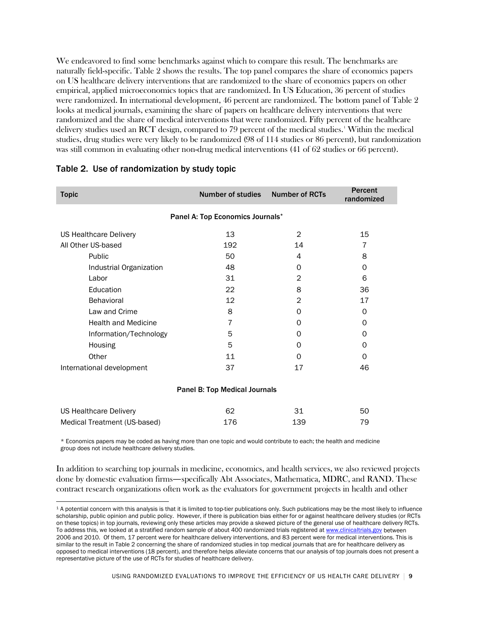We endeavored to find some benchmarks against which to compare this result. The benchmarks are naturally field-specific. Table 2 shows the results. The top panel compares the share of economics papers on US healthcare delivery interventions that are randomized to the share of economics papers on other empirical, applied microeconomics topics that are randomized. In US Education, 36 percent of studies were randomized. In international development, 46 percent are randomized. The bottom panel of Table 2 looks at medical journals, examining the share of papers on healthcare delivery interventions that were randomized and the share of medical interventions that were randomized. Fifty percent of the healthcare delivery studies used an RCT design, compared to 79 percent of the medical studies.' Within the medical studies, drug studies were very likely to be randomized (98 of 114 studies or 86 percent), but randomization was still common in evaluating other non-drug medical interventions (41 of 62 studies or 66 percent).

| <b>Topic</b>                         | <b>Number of studies</b>         | <b>Number of RCTs</b> | <b>Percent</b><br>randomized |
|--------------------------------------|----------------------------------|-----------------------|------------------------------|
|                                      | Panel A: Top Economics Journals* |                       |                              |
| US Healthcare Delivery               | 13                               | 2                     | 15                           |
| All Other US-based                   | 192                              | 14                    | 7                            |
| Public                               | 50                               | 4                     | 8                            |
| Industrial Organization              | 48                               | 0                     | $\Omega$                     |
| Labor                                | 31                               | 2                     | 6                            |
| Education                            | 22                               | 8                     | 36                           |
| <b>Behavioral</b>                    | 12                               | 2                     | 17                           |
| Law and Crime                        | 8                                | 0                     | 0                            |
| <b>Health and Medicine</b>           | $\overline{7}$                   | 0                     | 0                            |
| Information/Technology               | 5                                | 0                     | $\Omega$                     |
| Housing                              | 5                                | 0                     | 0                            |
| Other                                | 11                               | 0                     | 0                            |
| International development            | 37                               | 17                    | 46                           |
| <b>Panel B: Top Medical Journals</b> |                                  |                       |                              |

### Table 2. Use of randomization by study topic

| US Healthcare Delivery       | -62 |     | 50 |
|------------------------------|-----|-----|----|
| Medical Treatment (US-based) | 176 | 139 | 79 |

\* Economics papers may be coded as having more than one topic and would contribute to each; the health and medicine group does not include healthcare delivery studies.

In addition to searching top journals in medicine, economics, and health services, we also reviewed projects done by domestic evaluation firms—specifically Abt Associates, Mathematica, MDRC, and RAND. These contract research organizations often work as the evaluators for government projects in health and other

<span id="page-8-0"></span><sup>&</sup>lt;sup>1</sup> A potential concern with this analysis is that it is limited to top-tier publications only. Such publications may be the most likely to influence scholarship, public opinion and public policy. However, if there is publication bias either for or against healthcare delivery studies (or RCTs on these topics) in top journals, reviewing only these articles may provide a skewed picture of the general use of healthcare delivery RCTs. To address this, we looked at a stratified random sample of about 400 randomized trials registered at [www.clinicaltrials.gov](http://www.clinicaltrials.gov/) between 2006 and 2010. Of them, 17 percent were for healthcare delivery interventions, and 83 percent were for medical interventions. This is similar to the result in Table 2 concerning the share of randomized studies in top medical journals that are for healthcare delivery as opposed to medical interventions (18 percent), and therefore helps alleviate concerns that our analysis of top journals does not present a representative picture of the use of RCTs for studies of healthcare delivery.  $\overline{a}$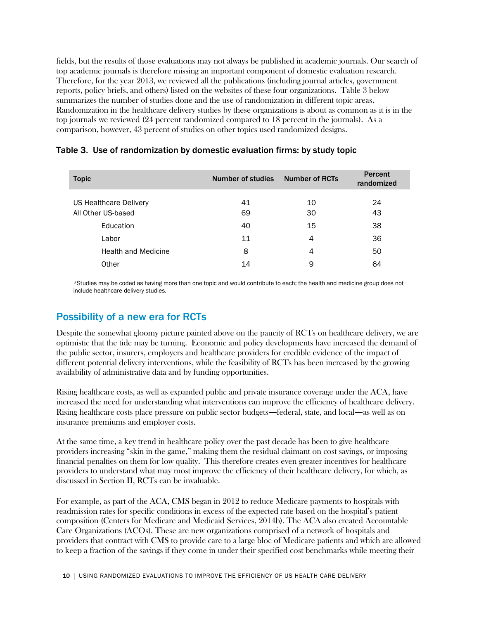fields, but the results of those evaluations may not always be published in academic journals. Our search of top academic journals is therefore missing an important component of domestic evaluation research. Therefore, for the year 2013, we reviewed all the publications (including journal articles, government reports, policy briefs, and others) listed on the websites of these four organizations. Table 3 below summarizes the number of studies done and the use of randomization in different topic areas. Randomization in the healthcare delivery studies by these organizations is about as common as it is in the top journals we reviewed (24 percent randomized compared to 18 percent in the journals). As a comparison, however, 43 percent of studies on other topics used randomized designs.

| <b>Topic</b>                    | Number of studies | <b>Number of RCTs</b> | Percent<br>randomized |
|---------------------------------|-------------------|-----------------------|-----------------------|
| US Healthcare Delivery          | 41                | 10                    | 24                    |
| All Other US-based<br>Education | 69<br>40          | 30<br>15              | 43<br>38              |
| Labor                           | 11                | 4                     | 36                    |
| <b>Health and Medicine</b>      | 8                 | 4                     | 50                    |
| Other                           | 14                | 9                     | 64                    |

### Table 3. Use of randomization by domestic evaluation firms: by study topic

\*Studies may be coded as having more than one topic and would contribute to each; the health and medicine group does not include healthcare delivery studies.

## Possibility of a new era for RCTs

Despite the somewhat gloomy picture painted above on the paucity of RCTs on healthcare delivery, we are optimistic that the tide may be turning. Economic and policy developments have increased the demand of the public sector, insurers, employers and healthcare providers for credible evidence of the impact of different potential delivery interventions, while the feasibility of RCTs has been increased by the growing availability of administrative data and by funding opportunities.

Rising healthcare costs, as well as expanded public and private insurance coverage under the ACA, have increased the need for understanding what interventions can improve the efficiency of healthcare delivery. Rising healthcare costs place pressure on public sector budgets—federal, state, and local—as well as on insurance premiums and employer costs.

At the same time, a key trend in healthcare policy over the past decade has been to give healthcare providers increasing "skin in the game," making them the residual claimant on cost savings, or imposing financial penalties on them for low quality. This therefore creates even greater incentives for healthcare providers to understand what may most improve the efficiency of their healthcare delivery, for which, as discussed in Section II, RCTs can be invaluable.

For example, as part of the ACA, CMS began in 2012 to reduce Medicare payments to hospitals with readmission rates for specific conditions in excess of the expected rate based on the hospital's patient composition (Centers for Medicare and Medicaid Services, 2014b). The ACA also created Accountable Care Organizations (ACOs). These are new organizations comprised of a network of hospitals and providers that contract with CMS to provide care to a large bloc of Medicare patients and which are allowed to keep a fraction of the savings if they come in under their specified cost benchmarks while meeting their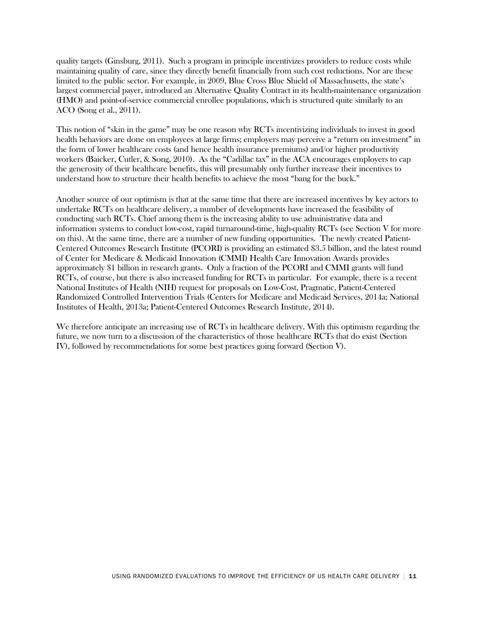quality targets (Ginsburg, 2011). Such a program in principle incentivizes providers to reduce costs while maintaining quality of care, since they directly benefit financially from such cost reductions. Nor are these limited to the public sector. For example, in 2009, Blue Cross Blue Shield of Massachusetts, the state's largest commercial payer, introduced an Alternative Quality Contract in its health-maintenance organization (HMO) and point-of-service commercial enrollee populations, which is structured quite similarly to an ACO (Song et al., 2011).

This notion of "skin in the game" may be one reason why RCTs incentivizing individuals to invest in good health behaviors are done on employees at large firms; employers may perceive a "return on investment" in the form of lower healthcare costs (and hence health insurance premiums) and/or higher productivity workers (Baicker, Cutler, & Song, 2010). As the "Cadillac tax" in the ACA encourages employers to cap the generosity of their healthcare benefits, this will presumably only further increase their incentives to understand how to structure their health benefits to achieve the most "bang for the buck."

Another source of our optimism is that at the same time that there are increased incentives by key actors to undertake RCTs on healthcare delivery, a number of developments have increased the feasibility of conducting such RCTs. Chief among them is the increasing ability to use administrative data and information systems to conduct low-cost, rapid turnaround-time, high-quality RCTs (see Section V for more on this). At the same time, there are a number of new funding opportunities. The newly created Patient-Centered Outcomes Research Institute (PCORI) is providing an estimated \$3.5 billion, and the latest round of Center for Medicare & Medicaid Innovation (CMMI) Health Care Innovation Awards provides approximately \$1 billion in research grants. Only a fraction of the PCORI and CMMI grants will fund RCTs, of course, but there is also increased funding for RCTs in particular. For example, there is a recent National Institutes of Health (NIH) request for proposals on Low-Cost, Pragmatic, Patient-Centered Randomized Controlled Intervention Trials (Centers for Medicare and Medicaid Services, 2014a; National Institutes of Health, 2013a; Patient-Centered Outcomes Research Institute, 2014).

We therefore anticipate an increasing use of RCTs in healthcare delivery. With this optimism regarding the future, we now turn to a discussion of the characteristics of those healthcare RCTs that do exist (Section IV), followed by recommendations for some best practices going forward (Section V).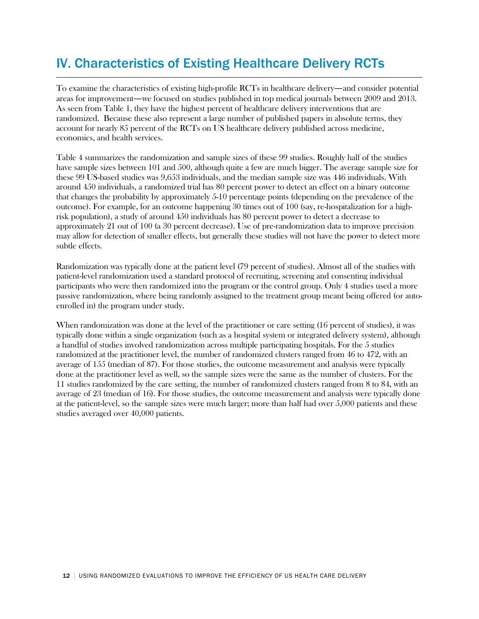# IV. Characteristics of Existing Healthcare Delivery RCTs

To examine the characteristics of existing high-profile RCTs in healthcare delivery—and consider potential areas for improvement—we focused on studies published in top medical journals between 2009 and 2013. As seen from Table 1, they have the highest percent of healthcare delivery interventions that are randomized. Because these also represent a large number of published papers in absolute terms, they account for nearly 85 percent of the RCTs on US healthcare delivery published across medicine, economics, and health services.

Table 4 summarizes the randomization and sample sizes of these 99 studies. Roughly half of the studies have sample sizes between 101 and 500, although quite a few are much bigger. The average sample size for these 99 US-based studies was 9,653 individuals, and the median sample size was 446 individuals. With around 450 individuals, a randomized trial has 80 percent power to detect an effect on a binary outcome that changes the probability by approximately 5-10 percentage points (depending on the prevalence of the outcome). For example, for an outcome happening 30 times out of 100 (say, re-hospitalization for a highrisk population), a study of around 450 individuals has 80 percent power to detect a decrease to approximately 21 out of 100 (a 30 percent decrease). Use of pre-randomization data to improve precision may allow for detection of smaller effects, but generally these studies will not have the power to detect more subtle effects.

Randomization was typically done at the patient level (79 percent of studies). Almost all of the studies with patient-level randomization used a standard protocol of recruiting, screening and consenting individual participants who were then randomized into the program or the control group. Only 4 studies used a more passive randomization, where being randomly assigned to the treatment group meant being offered (or autoenrolled in) the program under study.

When randomization was done at the level of the practitioner or care setting (16 percent of studies), it was typically done within a single organization (such as a hospital system or integrated delivery system), although a handful of studies involved randomization across multiple participating hospitals. For the 5 studies randomized at the practitioner level, the number of randomized clusters ranged from 46 to 472, with an average of 155 (median of 87). For those studies, the outcome measurement and analysis were typically done at the practitioner level as well, so the sample sizes were the same as the number of clusters. For the 11 studies randomized by the care setting, the number of randomized clusters ranged from 8 to 84, with an average of 23 (median of 16). For those studies, the outcome measurement and analysis were typically done at the patient-level, so the sample sizes were much larger; more than half had over 5,000 patients and these studies averaged over 40,000 patients.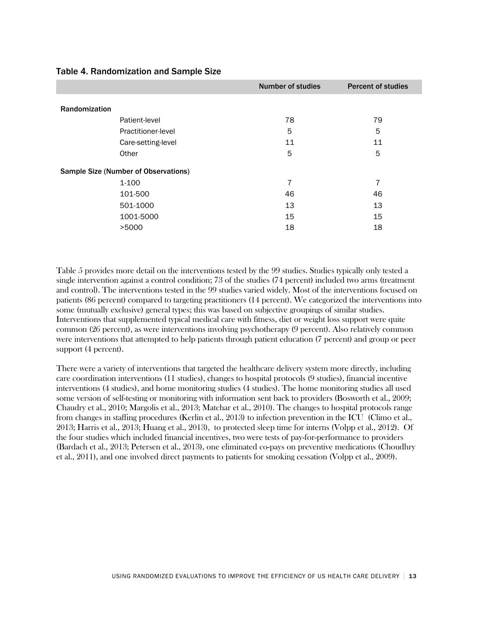|                                             | <b>Number of studies</b> | <b>Percent of studies</b> |
|---------------------------------------------|--------------------------|---------------------------|
| Randomization                               |                          |                           |
| Patient-level                               | 78                       | 79                        |
| Practitioner-level                          | 5                        | 5                         |
| Care-setting-level                          | 11                       | 11                        |
| Other                                       | 5                        | 5                         |
| <b>Sample Size (Number of Observations)</b> |                          |                           |
| 1-100                                       | 7                        | 7                         |
| 101-500                                     | 46                       | 46                        |
| 501-1000                                    | 13                       | 13                        |
| 1001-5000                                   | 15                       | 15                        |
| >5000                                       | 18                       | 18                        |

### Table 4. Randomization and Sample Size

Table 5 provides more detail on the interventions tested by the 99 studies. Studies typically only tested a single intervention against a control condition; 73 of the studies (74 percent) included two arms (treatment and control). The interventions tested in the 99 studies varied widely. Most of the interventions focused on patients (86 percent) compared to targeting practitioners (14 percent). We categorized the interventions into some (mutually exclusive) general types; this was based on subjective groupings of similar studies. Interventions that supplemented typical medical care with fitness, diet or weight loss support were quite common (26 percent), as were interventions involving psychotherapy (9 percent). Also relatively common were interventions that attempted to help patients through patient education (7 percent) and group or peer support (4 percent).

There were a variety of interventions that targeted the healthcare delivery system more directly, including care coordination interventions (11 studies), changes to hospital protocols (9 studies), financial incentive interventions (4 studies), and home monitoring studies (4 studies). The home monitoring studies all used some version of self-testing or monitoring with information sent back to providers (Bosworth et al., 2009; Chaudry et al., 2010; Margolis et al., 2013; Matchar et al., 2010). The changes to hospital protocols range from changes in staffing procedures (Kerlin et al., 2013) to infection prevention in the ICU (Climo et al., 2013; Harris et al., 2013; Huang et al., 2013), to protected sleep time for interns (Volpp et al., 2012). Of the four studies which included financial incentives, two were tests of pay-for-performance to providers (Bardach et al., 2013; Petersen et al., 2013), one eliminated co-pays on preventive medications (Choudhry et al., 2011), and one involved direct payments to patients for smoking cessation (Volpp et al., 2009).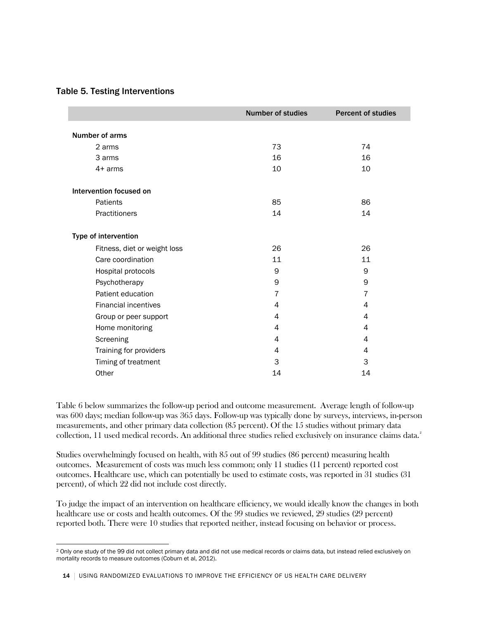### Table 5. Testing Interventions

|                              | <b>Number of studies</b> | <b>Percent of studies</b> |
|------------------------------|--------------------------|---------------------------|
| Number of arms               |                          |                           |
| 2 arms                       | 73                       | 74                        |
| 3 arms                       | 16                       | 16                        |
| $4+$ arms                    | 10                       | 10                        |
| Intervention focused on      |                          |                           |
| Patients                     | 85                       | 86                        |
| Practitioners                | 14                       | 14                        |
| Type of intervention         |                          |                           |
| Fitness, diet or weight loss | 26                       | 26                        |
| Care coordination            | 11                       | 11                        |
| Hospital protocols           | 9                        | 9                         |
| Psychotherapy                | 9                        | 9                         |
| Patient education            | $\overline{7}$           | $\overline{7}$            |
| <b>Financial incentives</b>  | 4                        | 4                         |
| Group or peer support        | 4                        | 4                         |
| Home monitoring              | 4                        | 4                         |
| Screening                    | 4                        | 4                         |
| Training for providers       | 4                        | 4                         |
| Timing of treatment          | 3                        | 3                         |
| Other                        | 14                       | 14                        |

Table 6 below summarizes the follow-up period and outcome measurement. Average length of follow-up was 600 days; median follow-up was 365 days. Follow-up was typically done by surveys, interviews, in-person measurements, and other primary data collection (85 percent). Of the 15 studies without primary data collection, 11 used medical records. An additional three studies relied exclusively on insurance claims data. $^{\text{2}}$  $^{\text{2}}$  $^{\text{2}}$ 

Studies overwhelmingly focused on health, with 85 out of 99 studies (86 percent) measuring health outcomes. Measurement of costs was much less common; only 11 studies (11 percent) reported cost outcomes. Healthcare use, which can potentially be used to estimate costs, was reported in 31 studies (31 percent), of which 22 did not include cost directly.

To judge the impact of an intervention on healthcare efficiency, we would ideally know the changes in both healthcare use or costs and health outcomes. Of the 99 studies we reviewed, 29 studies (29 percent) reported both. There were 10 studies that reported neither, instead focusing on behavior or process.

<span id="page-13-0"></span><sup>2</sup> Only one study of the 99 did not collect primary data and did not use medical records or claims data, but instead relied exclusively on mortality records to measure outcomes (Coburn et al, 2012).  $\overline{a}$ 

<sup>14 |</sup> USING RANDOMIZED EVALUATIONS TO IMPROVE THE EFFICIENCY OF US HEALTH CARE DELIVERY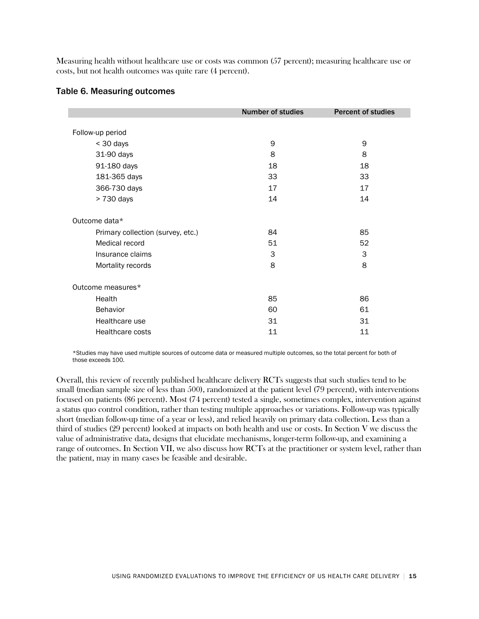Measuring health without healthcare use or costs was common (57 percent); measuring healthcare use or costs, but not health outcomes was quite rare (4 percent).

|                                   | <b>Number of studies</b> | <b>Percent of studies</b> |
|-----------------------------------|--------------------------|---------------------------|
|                                   |                          |                           |
| Follow-up period                  |                          |                           |
| < 30 days                         | 9                        | 9                         |
| 31-90 days                        | 8                        | 8                         |
| 91-180 days                       | 18                       | 18                        |
| 181-365 days                      | 33                       | 33                        |
| 366-730 days                      | 17                       | 17                        |
| > 730 days                        | 14                       | 14                        |
| Outcome data*                     |                          |                           |
| Primary collection (survey, etc.) | 84                       | 85                        |
| Medical record                    | 51                       | 52                        |
| Insurance claims                  | 3                        | 3                         |
| Mortality records                 | 8                        | 8                         |
| Outcome measures*                 |                          |                           |
| Health                            | 85                       | 86                        |
| Behavior                          | 60                       | 61                        |
| Healthcare use                    | 31                       | 31                        |
| Healthcare costs                  | 11                       | 11                        |

#### Table 6. Measuring outcomes

\*Studies may have used multiple sources of outcome data or measured multiple outcomes, so the total percent for both of those exceeds 100.

Overall, this review of recently published healthcare delivery RCTs suggests that such studies tend to be small (median sample size of less than 500), randomized at the patient level (79 percent), with interventions focused on patients (86 percent). Most (74 percent) tested a single, sometimes complex, intervention against a status quo control condition, rather than testing multiple approaches or variations. Follow-up was typically short (median follow-up time of a year or less), and relied heavily on primary data collection. Less than a third of studies (29 percent) looked at impacts on both health and use or costs. In Section V we discuss the value of administrative data, designs that elucidate mechanisms, longer-term follow-up, and examining a range of outcomes. In Section VII, we also discuss how RCTs at the practitioner or system level, rather than the patient, may in many cases be feasible and desirable.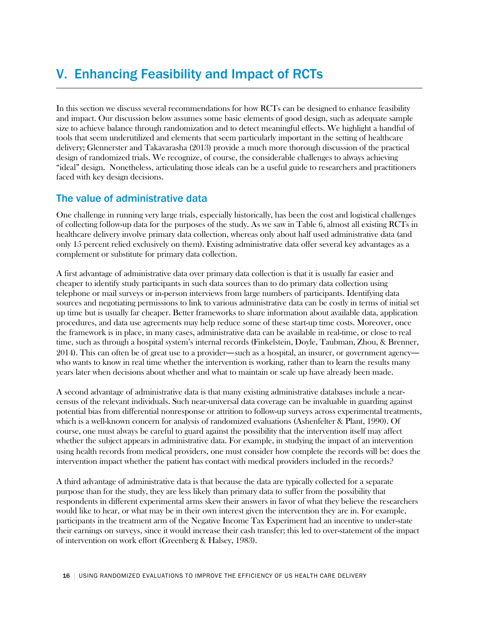# V. Enhancing Feasibility and Impact of RCTs

In this section we discuss several recommendations for how RCTs can be designed to enhance feasibility and impact. Our discussion below assumes some basic elements of good design, such as adequate sample size to achieve balance through randomization and to detect meaningful effects. We highlight a handful of tools that seem underutilized and elements that seem particularly important in the setting of healthcare delivery; Glennerster and Takavarasha (2013) provide a much more thorough discussion of the practical design of randomized trials. We recognize, of course, the considerable challenges to always achieving "ideal" design. Nonetheless, articulating those ideals can be a useful guide to researchers and practitioners faced with key design decisions.

## The value of administrative data

One challenge in running very large trials, especially historically, has been the cost and logistical challenges of collecting follow-up data for the purposes of the study. As we saw in Table 6, almost all existing RCTs in healthcare delivery involve primary data collection, whereas only about half used administrative data (and only 15 percent relied exclusively on them). Existing administrative data offer several key advantages as a complement or substitute for primary data collection.

A first advantage of administrative data over primary data collection is that it is usually far easier and cheaper to identify study participants in such data sources than to do primary data collection using telephone or mail surveys or in-person interviews from large numbers of participants. Identifying data sources and negotiating permissions to link to various administrative data can be costly in terms of initial set up time but is usually far cheaper. Better frameworks to share information about available data, application procedures, and data use agreements may help reduce some of these start-up time costs. Moreover, once the framework is in place, in many cases, administrative data can be available in real-time, or close to real time, such as through a hospital system's internal records (Finkelstein, Doyle, Taubman, Zhou, & Brenner, 2014). This can often be of great use to a provider—such as a hospital, an insurer, or government agency who wants to know in real time whether the intervention is working, rather than to learn the results many years later when decisions about whether and what to maintain or scale up have already been made.

A second advantage of administrative data is that many existing administrative databases include a nearcensus of the relevant individuals. Such near-universal data coverage can be invaluable in guarding against potential bias from differential nonresponse or attrition to follow-up surveys across experimental treatments, which is a well-known concern for analysis of randomized evaluations (Ashenfelter & Plant, 1990). Of course, one must always be careful to guard against the possibility that the intervention itself may affect whether the subject appears in administrative data. For example, in studying the impact of an intervention using health records from medical providers, one must consider how complete the records will be: does the intervention impact whether the patient has contact with medical providers included in the records?

A third advantage of administrative data is that because the data are typically collected for a separate purpose than for the study, they are less likely than primary data to suffer from the possibility that respondents in different experimental arms skew their answers in favor of what they believe the researchers would like to hear, or what may be in their own interest given the intervention they are in. For example, participants in the treatment arm of the Negative Income Tax Experiment had an incentive to under-state their earnings on surveys, since it would increase their cash transfer; this led to over-statement of the impact of intervention on work effort (Greenberg & Halsey, 1983).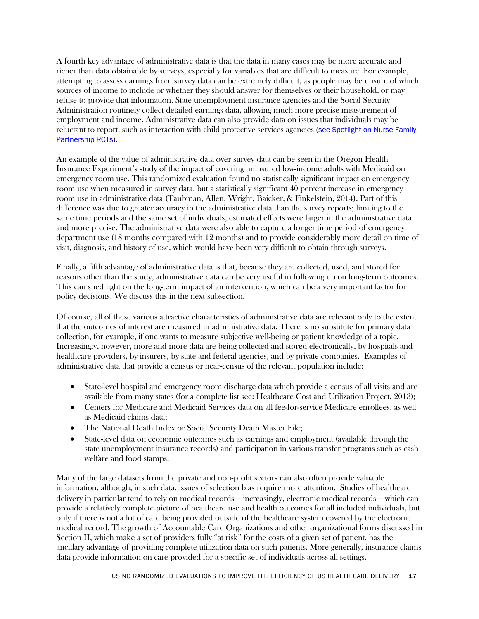A fourth key advantage of administrative data is that the data in many cases may be more accurate and richer than data obtainable by surveys, especially for variables that are difficult to measure. For example, attempting to assess earnings from survey data can be extremely difficult, as people may be unsure of which sources of income to include or whether they should answer for themselves or their household, or may refuse to provide that information. State unemployment insurance agencies and the Social Security Administration routinely collect detailed earnings data, allowing much more precise measurement of employment and income. Administrative data can also provide data on issues that individuals may be reluctant to report, such as interaction with child protective services agencies [\(see Spotlight on Nurse-Family](#page-17-0)  [Partnership RCTs\)](#page-17-0).

<span id="page-16-0"></span>An example of the value of administrative data over survey data can be seen in the Oregon Health Insurance Experiment's study of the impact of covering uninsured low-income adults with Medicaid on emergency room use. This randomized evaluation found no statistically significant impact on emergency room use when measured in survey data, but a statistically significant 40 percent increase in emergency room use in administrative data (Taubman, Allen, Wright, Baicker, & Finkelstein, 2014). Part of this difference was due to greater accuracy in the administrative data than the survey reports; limiting to the same time periods and the same set of individuals, estimated effects were larger in the administrative data and more precise. The administrative data were also able to capture a longer time period of emergency department use (18 months compared with 12 months) and to provide considerably more detail on time of visit, diagnosis, and history of use, which would have been very difficult to obtain through surveys.

Finally, a fifth advantage of administrative data is that, because they are collected, used, and stored for reasons other than the study, administrative data can be very useful in following up on long-term outcomes. This can shed light on the long-term impact of an intervention, which can be a very important factor for policy decisions. We discuss this in the next subsection.

Of course, all of these various attractive characteristics of administrative data are relevant only to the extent that the outcomes of interest are measured in administrative data. There is no substitute for primary data collection, for example, if one wants to measure subjective well-being or patient knowledge of a topic. Increasingly, however, more and more data are being collected and stored electronically, by hospitals and healthcare providers, by insurers, by state and federal agencies, and by private companies. Examples of administrative data that provide a census or near-census of the relevant population include:

- State-level hospital and emergency room discharge data which provide a census of all visits and are available from many states (for a complete list see: Healthcare Cost and Utilization Project, 2013);
- Centers for Medicare and Medicaid Services data on all fee-for-service Medicare enrollees, as well as Medicaid claims data;
- The National Death Index or Social Security Death Master File;
- State-level data on economic outcomes such as earnings and employment (available through the state unemployment insurance records) and participation in various transfer programs such as cash welfare and food stamps.

Many of the large datasets from the private and non-profit sectors can also often provide valuable information, although, in such data, issues of selection bias require more attention. Studies of healthcare delivery in particular tend to rely on medical records—increasingly, electronic medical records—which can provide a relatively complete picture of healthcare use and health outcomes for all included individuals, but only if there is not a lot of care being provided outside of the healthcare system covered by the electronic medical record. The growth of Accountable Care Organizations and other organizational forms discussed in Section II, which make a set of providers fully "at risk" for the costs of a given set of patient, has the ancillary advantage of providing complete utilization data on such patients. More generally, insurance claims data provide information on care provided for a specific set of individuals across all settings.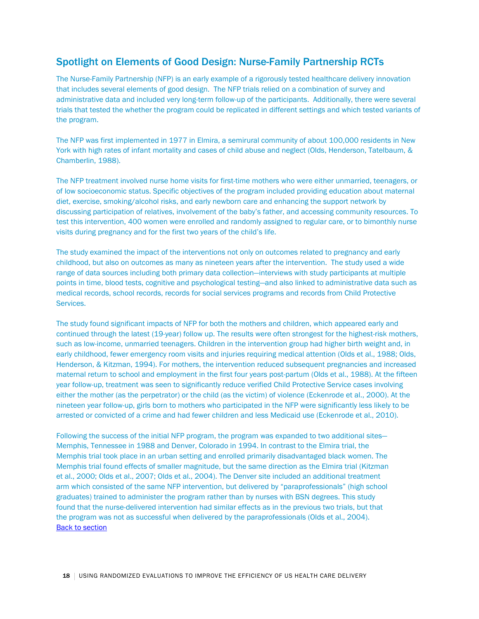## <span id="page-17-0"></span>Spotlight on Elements of Good Design: Nurse-Family Partnership RCTs

The Nurse-Family Partnership (NFP) is an early example of a rigorously tested healthcare delivery innovation that includes several elements of good design. The NFP trials relied on a combination of survey and administrative data and included very long-term follow-up of the participants. Additionally, there were several trials that tested the whether the program could be replicated in different settings and which tested variants of the program.

The NFP was first implemented in 1977 in Elmira, a semirural community of about 100,000 residents in New York with high rates of infant mortality and cases of child abuse and neglect (Olds, Henderson, Tatelbaum, & Chamberlin, 1988).

The NFP treatment involved nurse home visits for first-time mothers who were either unmarried, teenagers, or of low socioeconomic status. Specific objectives of the program included providing education about maternal diet, exercise, smoking/alcohol risks, and early newborn care and enhancing the support network by discussing participation of relatives, involvement of the baby's father, and accessing community resources. To test this intervention, 400 women were enrolled and randomly assigned to regular care, or to bimonthly nurse visits during pregnancy and for the first two years of the child's life.

The study examined the impact of the interventions not only on outcomes related to pregnancy and early childhood, but also on outcomes as many as nineteen years after the intervention. The study used a wide range of data sources including both primary data collection—interviews with study participants at multiple points in time, blood tests, cognitive and psychological testing—and also linked to administrative data such as medical records, school records, records for social services programs and records from Child Protective Services.

The study found significant impacts of NFP for both the mothers and children, which appeared early and continued through the latest (19-year) follow up. The results were often strongest for the highest-risk mothers, such as low-income, unmarried teenagers. Children in the intervention group had higher birth weight and, in early childhood, fewer emergency room visits and injuries requiring medical attention (Olds et al., 1988; Olds, Henderson, & Kitzman, 1994). For mothers, the intervention reduced subsequent pregnancies and increased maternal return to school and employment in the first four years post-partum (Olds et al., 1988). At the fifteen year follow-up, treatment was seen to significantly reduce verified Child Protective Service cases involving either the mother (as the perpetrator) or the child (as the victim) of violence (Eckenrode et al., 2000). At the nineteen year follow-up, girls born to mothers who participated in the NFP were significantly less likely to be arrested or convicted of a crime and had fewer children and less Medicaid use (Eckenrode et al., 2010).

Following the success of the initial NFP program, the program was expanded to two additional sites— Memphis, Tennessee in 1988 and Denver, Colorado in 1994. In contrast to the Elmira trial, the Memphis trial took place in an urban setting and enrolled primarily disadvantaged black women. The Memphis trial found effects of smaller magnitude, but the same direction as the Elmira trial (Kitzman et al., 2000; Olds et al., 2007; Olds et al., 2004). The Denver site included an additional treatment arm which consisted of the same NFP intervention, but delivered by "paraprofessionals" (high school graduates) trained to administer the program rather than by nurses with BSN degrees. This study found that the nurse-delivered intervention had similar effects as in the previous two trials, but that the program was not as successful when delivered by the paraprofessionals (Olds et al., 2004). [Back to section](#page-16-0)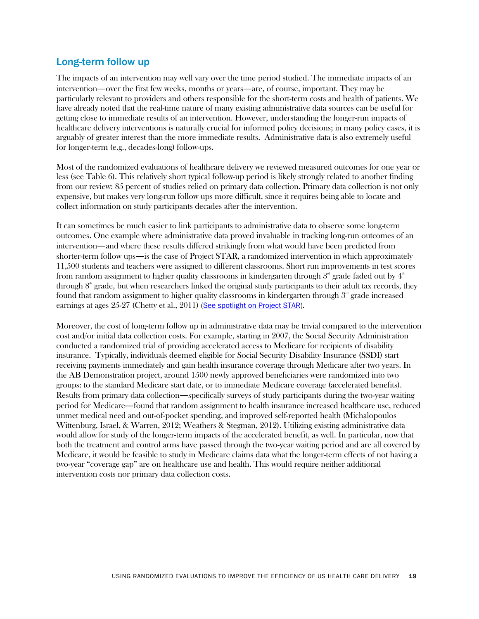## Long-term follow up

The impacts of an intervention may well vary over the time period studied. The immediate impacts of an intervention—over the first few weeks, months or years—are, of course, important. They may be particularly relevant to providers and others responsible for the short-term costs and health of patients. We have already noted that the real-time nature of many existing administrative data sources can be useful for getting close to immediate results of an intervention. However, understanding the longer-run impacts of healthcare delivery interventions is naturally crucial for informed policy decisions; in many policy cases, it is arguably of greater interest than the more immediate results. Administrative data is also extremely useful for longer-term (e.g., decades-long) follow-ups.

Most of the randomized evaluations of healthcare delivery we reviewed measured outcomes for one year or less (see Table 6). This relatively short typical follow-up period is likely strongly related to another finding from our review: 85 percent of studies relied on primary data collection. Primary data collection is not only expensive, but makes very long-run follow ups more difficult, since it requires being able to locate and collect information on study participants decades after the intervention.

It can sometimes be much easier to link participants to administrative data to observe some long-term outcomes. One example where administrative data proved invaluable in tracking long-run outcomes of an intervention—and where these results differed strikingly from what would have been predicted from shorter-term follow ups—is the case of Project STAR, a randomized intervention in which approximately 11,500 students and teachers were assigned to different classrooms. Short run improvements in test scores from random assignment to higher quality classrooms in kindergarten through  $3<sup>rd</sup>$  grade faded out by  $4<sup>th</sup>$ through  $8<sup>th</sup>$  grade, but when researchers linked the original study participants to their adult tax records, they found that random assignment to higher quality classrooms in kindergarten through  $3<sup>rd</sup>$  grade increased earnings at ages 25-27 (Chetty et al., 2011) [\(See spotlight on Project](#page-18-0) STAR).

<span id="page-18-1"></span><span id="page-18-0"></span>Moreover, the cost of long-term follow up in administrative data may be trivial compared to the intervention cost and/or initial data collection costs. For example, starting in 2007, the Social Security Administration conducted a randomized trial of providing accelerated access to Medicare for recipients of disability insurance. Typically, individuals deemed eligible for Social Security Disability Insurance (SSDI) start receiving payments immediately and gain health insurance coverage through Medicare after two years. In the AB Demonstration project, around 1500 newly approved beneficiaries were randomized into two groups: to the standard Medicare start date, or to immediate Medicare coverage (accelerated benefits). Results from primary data collection—specifically surveys of study participants during the two-year waiting period for Medicare—found that random assignment to health insurance increased healthcare use, reduced unmet medical need and out-of-pocket spending, and improved self-reported health (Michalopoulos Wittenburg, Israel, & Warren, 2012; Weathers & Stegman, 2012). Utilizing existing administrative data would allow for study of the longer-term impacts of the accelerated benefit, as well. In particular, now that both the treatment and control arms have passed through the two-year waiting period and are all covered by Medicare, it would be feasible to study in Medicare claims data what the longer-term effects of not having a two-year "coverage gap" are on healthcare use and health. This would require neither additional intervention costs nor primary data collection costs.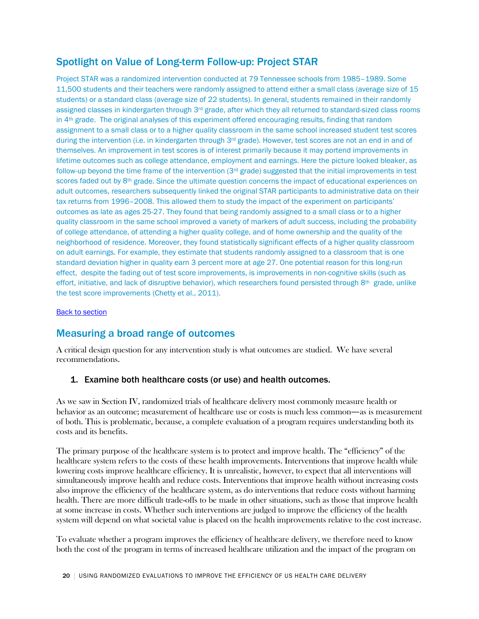## Spotlight on Value of Long-term Follow-up: Project STAR

Project STAR was a randomized intervention conducted at 79 Tennessee schools from 1985–1989. Some 11,500 students and their teachers were randomly assigned to attend either a small class (average size of 15 students) or a standard class (average size of 22 students). In general, students remained in their randomly assigned classes in kindergarten through  $3<sup>rd</sup>$  grade, after which they all returned to standard-sized class rooms in 4<sup>th</sup> grade. The original analyses of this experiment offered encouraging results, finding that random assignment to a small class or to a higher quality classroom in the same school increased student test scores during the intervention (i.e. in kindergarten through  $3<sup>rd</sup>$  grade). However, test scores are not an end in and of themselves. An improvement in test scores is of interest primarily because it may portend improvements in lifetime outcomes such as college attendance, employment and earnings. Here the picture looked bleaker, as follow-up beyond the time frame of the intervention (3rd grade) suggested that the initial improvements in test scores faded out by 8<sup>th</sup> grade. Since the ultimate question concerns the impact of educational experiences on adult outcomes, researchers subsequently linked the original STAR participants to administrative data on their tax returns from 1996–2008. This allowed them to study the impact of the experiment on participants' outcomes as late as ages 25-27. They found that being randomly assigned to a small class or to a higher quality classroom in the same school improved a variety of markers of adult success, including the probability of college attendance, of attending a higher quality college, and of home ownership and the quality of the neighborhood of residence. Moreover, they found statistically significant effects of a higher quality classroom on adult earnings. For example, they estimate that students randomly assigned to a classroom that is one standard deviation higher in quality earn 3 percent more at age 27. One potential reason for this long-run effect, despite the fading out of test score improvements, is improvements in non-cognitive skills (such as effort, initiative, and lack of disruptive behavior), which researchers found persisted through  $8<sup>th</sup>$  grade, unlike the test score improvements (Chetty et al., 2011).

#### **[Back to section](#page-18-1)**

## Measuring a broad range of outcomes

A critical design question for any intervention study is what outcomes are studied. We have several recommendations.

### 1. Examine both healthcare costs (or use) and health outcomes.

As we saw in Section IV, randomized trials of healthcare delivery most commonly measure health or behavior as an outcome; measurement of healthcare use or costs is much less common—as is measurement of both. This is problematic, because, a complete evaluation of a program requires understanding both its costs and its benefits.

The primary purpose of the healthcare system is to protect and improve health. The "efficiency" of the healthcare system refers to the costs of these health improvements. Interventions that improve health while lowering costs improve healthcare efficiency. It is unrealistic, however, to expect that all interventions will simultaneously improve health and reduce costs. Interventions that improve health without increasing costs also improve the efficiency of the healthcare system, as do interventions that reduce costs without harming health. There are more difficult trade-offs to be made in other situations, such as those that improve health at some increase in costs. Whether such interventions are judged to improve the efficiency of the health system will depend on what societal value is placed on the health improvements relative to the cost increase.

To evaluate whether a program improves the efficiency of healthcare delivery, we therefore need to know both the cost of the program in terms of increased healthcare utilization and the impact of the program on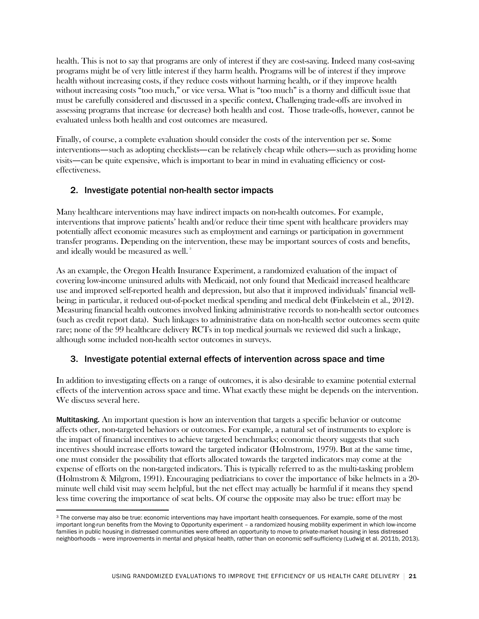health. This is not to say that programs are only of interest if they are cost-saving. Indeed many cost-saving programs might be of very little interest if they harm health. Programs will be of interest if they improve health without increasing costs, if they reduce costs without harming health, or if they improve health without increasing costs "too much," or vice versa. What is "too much" is a thorny and difficult issue that must be carefully considered and discussed in a specific context. Challenging trade-offs are involved in assessing programs that increase (or decrease) both health and cost. Those trade-offs, however, cannot be evaluated unless both health and cost outcomes are measured.

Finally, of course, a complete evaluation should consider the costs of the intervention per se. Some interventions—such as adopting checklists—can be relatively cheap while others—such as providing home visits—can be quite expensive, which is important to bear in mind in evaluating efficiency or costeffectiveness.

### 2. Investigate potential non-health sector impacts

Many healthcare interventions may have indirect impacts on non-health outcomes. For example, interventions that improve patients' health and/or reduce their time spent with healthcare providers may potentially affect economic measures such as employment and earnings or participation in government transfer programs. Depending on the intervention, these may be important sources of costs and benefits, and ideally would be measured as well.  $^{\mathrm{3}}$  $^{\mathrm{3}}$  $^{\mathrm{3}}$ 

As an example, the Oregon Health Insurance Experiment, a randomized evaluation of the impact of covering low-income uninsured adults with Medicaid, not only found that Medicaid increased healthcare use and improved self-reported health and depression, but also that it improved individuals' financial wellbeing; in particular, it reduced out-of-pocket medical spending and medical debt (Finkelstein et al., 2012). Measuring financial health outcomes involved linking administrative records to non-health sector outcomes (such as credit report data). Such linkages to administrative data on non-health sector outcomes seem quite rare; none of the 99 healthcare delivery RCTs in top medical journals we reviewed did such a linkage, although some included non-health sector outcomes in surveys.

### 3. Investigate potential external effects of intervention across space and time

In addition to investigating effects on a range of outcomes, it is also desirable to examine potential external effects of the intervention across space and time. What exactly these might be depends on the intervention. We discuss several here.

Multitasking. An important question is how an intervention that targets a specific behavior or outcome affects other, non-targeted behaviors or outcomes. For example, a natural set of instruments to explore is the impact of financial incentives to achieve targeted benchmarks; economic theory suggests that such incentives should increase efforts toward the targeted indicator (Holmstrom, 1979). But at the same time, one must consider the possibility that efforts allocated towards the targeted indicators may come at the expense of efforts on the non-targeted indicators. This is typically referred to as the multi-tasking problem (Holmstrom & Milgrom, 1991). Encouraging pediatricians to cover the importance of bike helmets in a 20 minute well child visit may seem helpful, but the net effect may actually be harmful if it means they spend less time covering the importance of seat belts. Of course the opposite may also be true: effort may be

<span id="page-20-0"></span><sup>&</sup>lt;sup>3</sup> The converse may also be true: economic interventions may have important health consequences. For example, some of the most important long-run benefits from the Moving to Opportunity experiment – a randomized housing mobility experiment in which low-income families in public housing in distressed communities were offered an opportunity to move to private-market housing in less distressed neighborhoods – were improvements in mental and physical health, rather than on economic self-sufficiency (Ludwig et al. 2011b, 2013).  $\overline{a}$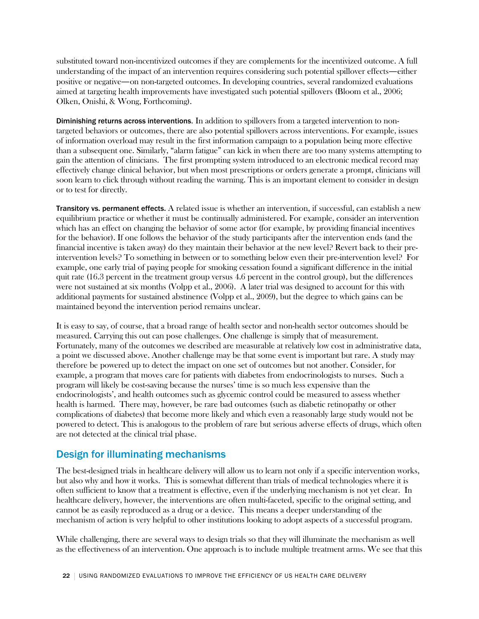substituted toward non-incentivized outcomes if they are complements for the incentivized outcome. A full understanding of the impact of an intervention requires considering such potential spillover effects—either positive or negative—on non-targeted outcomes. In developing countries, several randomized evaluations aimed at targeting health improvements have investigated such potential spillovers (Bloom et al., 2006; Olken, Onishi, & Wong, Forthcoming).

Diminishing returns across interventions. In addition to spillovers from a targeted intervention to nontargeted behaviors or outcomes, there are also potential spillovers across interventions. For example, issues of information overload may result in the first information campaign to a population being more effective than a subsequent one. Similarly, "alarm fatigue" can kick in when there are too many systems attempting to gain the attention of clinicians. The first prompting system introduced to an electronic medical record may effectively change clinical behavior, but when most prescriptions or orders generate a prompt, clinicians will soon learn to click through without reading the warning. This is an important element to consider in design or to test for directly.

Transitory vs. permanent effects. A related issue is whether an intervention, if successful, can establish a new equilibrium practice or whether it must be continually administered. For example, consider an intervention which has an effect on changing the behavior of some actor (for example, by providing financial incentives for the behavior). If one follows the behavior of the study participants after the intervention ends (and the financial incentive is taken away) do they maintain their behavior at the new level? Revert back to their preintervention levels? To something in between or to something below even their pre-intervention level? For example, one early trial of paying people for smoking cessation found a significant difference in the initial quit rate (16.3 percent in the treatment group versus 4.6 percent in the control group), but the differences were not sustained at six months (Volpp et al., 2006). A later trial was designed to account for this with additional payments for sustained abstinence (Volpp et al., 2009), but the degree to which gains can be maintained beyond the intervention period remains unclear.

It is easy to say, of course, that a broad range of health sector and non-health sector outcomes should be measured. Carrying this out can pose challenges. One challenge is simply that of measurement. Fortunately, many of the outcomes we described are measurable at relatively low cost in administrative data, a point we discussed above. Another challenge may be that some event is important but rare. A study may therefore be powered up to detect the impact on one set of outcomes but not another. Consider, for example, a program that moves care for patients with diabetes from endocrinologists to nurses. Such a program will likely be cost-saving because the nurses' time is so much less expensive than the endocrinologists', and health outcomes such as glycemic control could be measured to assess whether health is harmed. There may, however, be rare bad outcomes (such as diabetic retinopathy or other complications of diabetes) that become more likely and which even a reasonably large study would not be powered to detect. This is analogous to the problem of rare but serious adverse effects of drugs, which often are not detected at the clinical trial phase.

## Design for illuminating mechanisms

The best-designed trials in healthcare delivery will allow us to learn not only if a specific intervention works, but also why and how it works. This is somewhat different than trials of medical technologies where it is often sufficient to know that a treatment is effective, even if the underlying mechanism is not yet clear. In healthcare delivery, however, the interventions are often multi-faceted, specific to the original setting, and cannot be as easily reproduced as a drug or a device. This means a deeper understanding of the mechanism of action is very helpful to other institutions looking to adopt aspects of a successful program.

While challenging, there are several ways to design trials so that they will illuminate the mechanism as well as the effectiveness of an intervention. One approach is to include multiple treatment arms. We see that this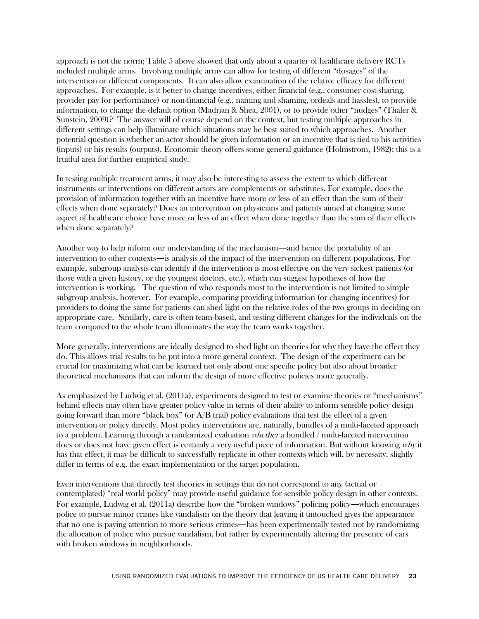approach is not the norm; Table 5 above showed that only about a quarter of healthcare delivery RCTs included multiple arms. Involving multiple arms can allow for testing of different "dosages" of the intervention or different components. It can also allow examination of the relative efficacy for different approaches. For example, is it better to change incentives, either financial (e.g., consumer cost-sharing, provider pay for performance) or non-financial (e.g., naming and shaming, ordeals and hassles), to provide information, to change the default option (Madrian & Shea, 2001), or to provide other "nudges" (Thaler & Sunstein, 2009)? The answer will of course depend on the context, but testing multiple approaches in different settings can help illuminate which situations may be best suited to which approaches. Another potential question is whether an actor should be given information or an incentive that is tied to his activities (inputs) or his results (outputs). Economic theory offers some general guidance (Holmstrom, 1982); this is a fruitful area for further empirical study.

In testing multiple treatment arms, it may also be interesting to assess the extent to which different instruments or interventions on different actors are complements or substitutes. For example, does the provision of information together with an incentive have more or less of an effect than the sum of their effects when done separately? Does an intervention on physicians and patients aimed at changing some aspect of healthcare choice have more or less of an effect when done together than the sum of their effects when done separately?

Another way to help inform our understanding of the mechanism—and hence the portability of an intervention to other contexts—is analysis of the impact of the intervention on different populations. For example, subgroup analysis can identify if the intervention is most effective on the very sickest patients (or those with a given history, or the youngest doctors, etc.), which can suggest hypotheses of how the intervention is working. The question of who responds most to the intervention is not limited to simple subgroup analysis, however. For example, comparing providing information (or changing incentives) for providers to doing the same for patients can shed light on the relative roles of the two groups in deciding on appropriate care. Similarly, care is often team-based, and testing different changes for the individuals on the team compared to the whole team illuminates the way the team works together.

More generally, interventions are ideally designed to shed light on theories for why they have the effect they do. This allows trial results to be put into a more general context. The design of the experiment can be crucial for maximizing what can be learned not only about one specific policy but also about broader theoretical mechanisms that can inform the design of more effective policies more generally.

As emphasized by Ludwig et al. (2011a), experiments designed to test or examine theories or "mechanisms" behind effects may often have greater policy value in terms of their ability to inform sensible policy design going forward than more "black box" (or  $A/B$  trial) policy evaluations that test the effect of a given intervention or policy directly. Most policy interventions are, naturally, bundles of a multi-faceted approach to a problem. Learning through a randomized evaluation whether a bundled / multi-faceted intervention does or does not have given effect is certainly a very useful piece of information. But without knowing *why* it has that effect, it may be difficult to successfully replicate in other contexts which will, by necessity, slightly differ in terms of e.g. the exact implementation or the target population.

Even interventions that directly test theories in settings that do not correspond to any (actual or contemplated) "real world policy" may provide useful guidance for sensible policy design in other contexts. For example, Ludwig et al. (2011a) describe how the "broken windows" policing policy—which encourages police to pursue minor crimes like vandalism on the theory that leaving it untouched gives the appearance that no one is paying attention to more serious crimes—has been experimentally tested not by randomizing the allocation of police who pursue vandalism, but rather by experimentally altering the presence of cars with broken windows in neighborhoods.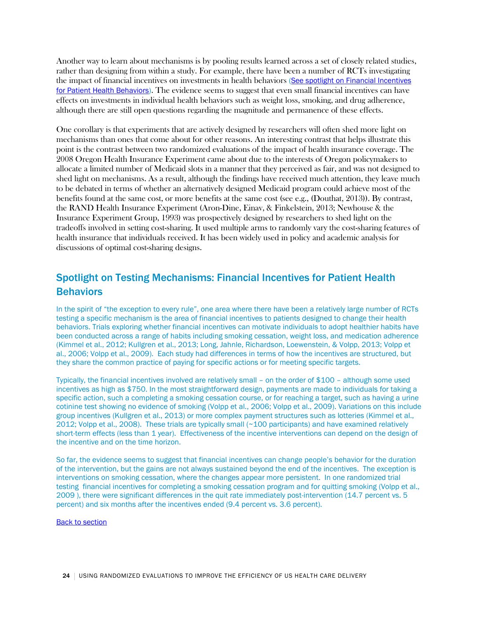<span id="page-23-1"></span>Another way to learn about mechanisms is by pooling results learned across a set of closely related studies, rather than designing from within a study. For example, there have been a number of RCTs investigating the impact of financial incentives on investments in health behaviors [\(See spotlight on Financial Incentives](#page-23-0)  [for Patient Health Behaviors\)](#page-23-0). The evidence seems to suggest that even small financial incentives can have effects on investments in individual health behaviors such as weight loss, smoking, and drug adherence, although there are still open questions regarding the magnitude and permanence of these effects.

One corollary is that experiments that are actively designed by researchers will often shed more light on mechanisms than ones that come about for other reasons. An interesting contrast that helps illustrate this point is the contrast between two randomized evaluations of the impact of health insurance coverage. The 2008 Oregon Health Insurance Experiment came about due to the interests of Oregon policymakers to allocate a limited number of Medicaid slots in a manner that they perceived as fair, and was not designed to shed light on mechanisms. As a result, although the findings have received much attention, they leave much to be debated in terms of whether an alternatively designed Medicaid program could achieve most of the benefits found at the same cost, or more benefits at the same cost (see e.g., (Douthat, 2013)). By contrast, the RAND Health Insurance Experiment (Aron-Dine, Einav, & Finkelstein, 2013; Newhouse & the Insurance Experiment Group, 1993) was prospectively designed by researchers to shed light on the tradeoffs involved in setting cost-sharing. It used multiple arms to randomly vary the cost-sharing features of health insurance that individuals received. It has been widely used in policy and academic analysis for discussions of optimal cost-sharing designs.

## <span id="page-23-0"></span>Spotlight on Testing Mechanisms: Financial Incentives for Patient Health **Behaviors**

In the spirit of "the exception to every rule", one area where there have been a relatively large number of RCTs testing a specific mechanism is the area of financial incentives to patients designed to change their health behaviors. Trials exploring whether financial incentives can motivate individuals to adopt healthier habits have been conducted across a range of habits including smoking cessation, weight loss, and medication adherence (Kimmel et al., 2012; Kullgren et al., 2013; Long, Jahnle, Richardson, Loewenstein, & Volpp, 2013; Volpp et al., 2006; Volpp et al., 2009). Each study had differences in terms of how the incentives are structured, but they share the common practice of paying for specific actions or for meeting specific targets.

Typically, the financial incentives involved are relatively small – on the order of \$100 – although some used incentives as high as \$750. In the most straightforward design, payments are made to individuals for taking a specific action, such a completing a smoking cessation course, or for reaching a target, such as having a urine cotinine test showing no evidence of smoking (Volpp et al., 2006; Volpp et al., 2009). Variations on this include group incentives (Kullgren et al., 2013) or more complex payment structures such as lotteries (Kimmel et al., 2012; Volpp et al., 2008). These trials are typically small (~100 participants) and have examined relatively short-term effects (less than 1 year). Effectiveness of the incentive interventions can depend on the design of the incentive and on the time horizon.

So far, the evidence seems to suggest that financial incentives can change people's behavior for the duration of the intervention, but the gains are not always sustained beyond the end of the incentives. The exception is interventions on smoking cessation, where the changes appear more persistent. In one randomized trial testing financial incentives for completing a smoking cessation program and for quitting smoking (Volpp et al., 2009 ), there were significant differences in the quit rate immediately post-intervention (14.7 percent vs. 5 percent) and six months after the incentives ended (9.4 percent vs. 3.6 percent).

[Back to section](#page-23-1)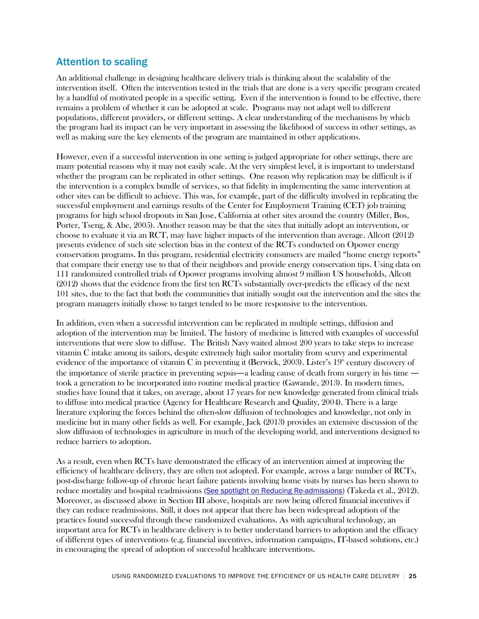## Attention to scaling

An additional challenge in designing healthcare delivery trials is thinking about the scalability of the intervention itself. Often the intervention tested in the trials that are done is a very specific program created by a handful of motivated people in a specific setting. Even if the intervention is found to be effective, there remains a problem of whether it can be adopted at scale. Programs may not adapt well to different populations, different providers, or different settings. A clear understanding of the mechanisms by which the program had its impact can be very important in assessing the likelihood of success in other settings, as well as making sure the key elements of the program are maintained in other applications.

However, even if a successful intervention in one setting is judged appropriate for other settings, there are many potential reasons why it may not easily scale. At the very simplest level, it is important to understand whether the program can be replicated in other settings. One reason why replication may be difficult is if the intervention is a complex bundle of services, so that fidelity in implementing the same intervention at other sites can be difficult to achieve. This was, for example, part of the difficulty involved in replicating the successful employment and earnings results of the Center for Employment Training (CET) job training programs for high school dropouts in San Jose, California at other sites around the country (Miller, Bos, Porter, Tseng, & Abe, 2005). Another reason may be that the sites that initially adopt an intervention, or choose to evaluate it via an RCT, may have higher impacts of the intervention than average. Allcott (2012) presents evidence of such site selection bias in the context of the RCTs conducted on Opower energy conservation programs. In this program, residential electricity consumers are mailed "home energy reports" that compare their energy use to that of their neighbors and provide energy conservation tips. Using data on 111 randomized controlled trials of Opower programs involving almost 9 million US households, Allcott (2012) shows that the evidence from the first ten RCTs substantially over-predicts the efficacy of the next 101 sites, due to the fact that both the communities that initially sought out the intervention and the sites the program managers initially chose to target tended to be more responsive to the intervention.

In addition, even when a successful intervention can be replicated in multiple settings, diffusion and adoption of the intervention may be limited. The history of medicine is littered with examples of successful interventions that were slow to diffuse. The British Navy waited almost 200 years to take steps to increase vitamin C intake among its sailors, despite extremely high sailor mortality from scurvy and experimental evidence of the importance of vitamin C in preventing it (Berwick, 2003). Lister's  $19<sup>th</sup>$  century discovery of the importance of sterile practice in preventing sepsis—a leading cause of death from surgery in his time took a generation to be incorporated into routine medical practice (Gawande, 2013). In modern times, studies have found that it takes, on average, about 17 years for new knowledge generated from clinical trials to diffuse into medical practice (Agency for Healthcare Research and Quality, 2004). There is a large literature exploring the forces behind the often-slow diffusion of technologies and knowledge, not only in medicine but in many other fields as well. For example, Jack (2013) provides an extensive discussion of the slow diffusion of technologies in agriculture in much of the developing world, and interventions designed to reduce barriers to adoption.

<span id="page-24-0"></span>As a result, even when RCTs have demonstrated the efficacy of an intervention aimed at improving the efficiency of healthcare delivery, they are often not adopted. For example, across a large number of RCTs, post-discharge follow-up of chronic heart failure patients involving home visits by nurses has been shown to reduce mortality and hospital readmissions [\(See spotlight on Reducing Re-admissions\)](#page-25-0) (Takeda et al., 2012). Moreover, as discussed above in Section III above, hospitals are now being offered financial incentives if they can reduce readmissions. Still, it does not appear that there has been widespread adoption of the practices found successful through these randomized evaluations. As with agricultural technology, an important area for RCTs in healthcare delivery is to better understand barriers to adoption and the efficacy of different types of interventions (e.g. financial incentives, information campaigns, IT-based solutions, etc.) in encouraging the spread of adoption of successful healthcare interventions.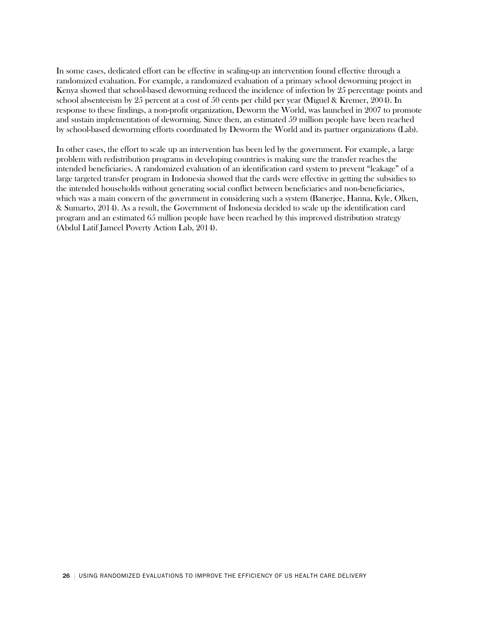In some cases, dedicated effort can be effective in scaling-up an intervention found effective through a randomized evaluation. For example, a randomized evaluation of a primary school deworming project in Kenya showed that school-based deworming reduced the incidence of infection by 25 percentage points and school absenteeism by 25 percent at a cost of 50 cents per child per year (Miguel & Kremer, 2004). In response to these findings, a non-profit organization, Deworm the World, was launched in 2007 to promote and sustain implementation of deworming. Since then, an estimated 59 million people have been reached by school-based deworming efforts coordinated by Deworm the World and its partner organizations (Lab).

<span id="page-25-0"></span>In other cases, the effort to scale up an intervention has been led by the government. For example, a large problem with redistribution programs in developing countries is making sure the transfer reaches the intended beneficiaries. A randomized evaluation of an identification card system to prevent "leakage" of a large targeted transfer program in Indonesia showed that the cards were effective in getting the subsidies to the intended households without generating social conflict between beneficiaries and non-beneficiaries, which was a main concern of the government in considering such a system (Banerjee, Hanna, Kyle, Olken, & Sumarto, 2014). As a result, the Government of Indonesia decided to scale up the identification card program and an estimated 65 million people have been reached by this improved distribution strategy (Abdul Latif Jameel Poverty Action Lab, 2014).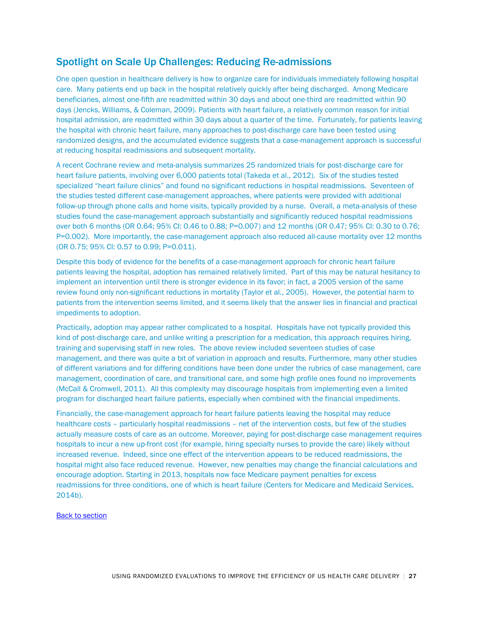## Spotlight on Scale Up Challenges: Reducing Re-admissions

One open question in healthcare delivery is how to organize care for individuals immediately following hospital care. Many patients end up back in the hospital relatively quickly after being discharged. Among Medicare beneficiaries, almost one-fifth are readmitted within 30 days and about one-third are readmitted within 90 days (Jencks, Williams, & Coleman, 2009). Patients with heart failure, a relatively common reason for initial hospital admission, are readmitted within 30 days about a quarter of the time. Fortunately, for patients leaving the hospital with chronic heart failure, many approaches to post-discharge care have been tested using randomized designs, and the accumulated evidence suggests that a case-management approach is successful at reducing hospital readmissions and subsequent mortality.

A recent Cochrane review and meta-analysis summarizes 25 randomized trials for post-discharge care for heart failure patients, involving over 6,000 patients total (Takeda et al., 2012). Six of the studies tested specialized "heart failure clinics" and found no significant reductions in hospital readmissions. Seventeen of the studies tested different case-management approaches, where patients were provided with additional follow-up through phone calls and home visits, typically provided by a nurse. Overall, a meta-analysis of these studies found the case-management approach substantially and significantly reduced hospital readmissions over both 6 months (OR 0.64; 95% CI: 0.46 to 0.88; P=0.007) and 12 months (OR 0.47; 95% CI: 0.30 to 0.76; P=0.002). More importantly, the case-management approach also reduced all-cause mortality over 12 months (OR 0.75; 95% CI: 0.57 to 0.99; P=0.011).

Despite this body of evidence for the benefits of a case-management approach for chronic heart failure patients leaving the hospital, adoption has remained relatively limited. Part of this may be natural hesitancy to implement an intervention until there is stronger evidence in its favor; in fact, a 2005 version of the same review found only non-significant reductions in mortality (Taylor et al., 2005). However, the potential harm to patients from the intervention seems limited, and it seems likely that the answer lies in financial and practical impediments to adoption.

Practically, adoption may appear rather complicated to a hospital. Hospitals have not typically provided this kind of post-discharge care, and unlike writing a prescription for a medication, this approach requires hiring, training and supervising staff in new roles. The above review included seventeen studies of case management, and there was quite a bit of variation in approach and results. Furthermore, many other studies of different variations and for differing conditions have been done under the rubrics of case management, care management, coordination of care, and transitional care, and some high profile ones found no improvements (McCall & Cromwell, 2011). All this complexity may discourage hospitals from implementing even a limited program for discharged heart failure patients, especially when combined with the financial impediments.

Financially, the case-management approach for heart failure patients leaving the hospital may reduce healthcare costs – particularly hospital readmissions – net of the intervention costs, but few of the studies actually measure costs of care as an outcome. Moreover, paying for post-discharge case management requires hospitals to incur a new up-front cost (for example, hiring specialty nurses to provide the care) likely without increased revenue. Indeed, since one effect of the intervention appears to be reduced readmissions, the hospital might also face reduced revenue. However, new penalties may change the financial calculations and encourage adoption. Starting in 2013, hospitals now face Medicare payment penalties for excess readmissions for three conditions, one of which is heart failure (Centers for Medicare and Medicaid Services, 2014b).

[Back to section](#page-24-0)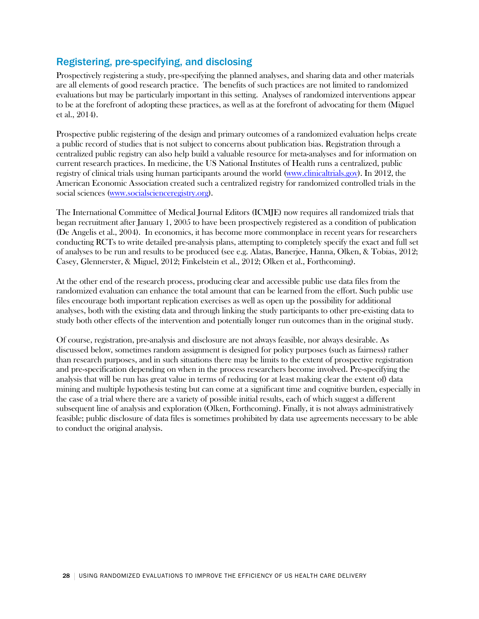## Registering, pre-specifying, and disclosing

Prospectively registering a study, pre-specifying the planned analyses, and sharing data and other materials are all elements of good research practice. The benefits of such practices are not limited to randomized evaluations but may be particularly important in this setting. Analyses of randomized interventions appear to be at the forefront of adopting these practices, as well as at the forefront of advocating for them (Miguel et al., 2014).

Prospective public registering of the design and primary outcomes of a randomized evaluation helps create a public record of studies that is not subject to concerns about publication bias. Registration through a centralized public registry can also help build a valuable resource for meta-analyses and for information on current research practices. In medicine, the US National Institutes of Health runs a centralized, public registry of clinical trials using human participants around the world [\(www.clinicaltrials.gov\)](http://www.clinicaltrials.gov/). In 2012, the American Economic Association created such a centralized registry for randomized controlled trials in the social sciences [\(www.socialscienceregistry.org\)](http://www.socialscienceregistry.org/).

The International Committee of Medical Journal Editors (ICMJE) now requires all randomized trials that began recruitment after January 1, 2005 to have been prospectively registered as a condition of publication (De Angelis et al., 2004). In economics, it has become more commonplace in recent years for researchers conducting RCTs to write detailed pre-analysis plans, attempting to completely specify the exact and full set of analyses to be run and results to be produced (see e.g. Alatas, Banerjee, Hanna, Olken, & Tobias, 2012; Casey, Glennerster, & Miguel, 2012; Finkelstein et al., 2012; Olken et al., Forthcoming).

At the other end of the research process, producing clear and accessible public use data files from the randomized evaluation can enhance the total amount that can be learned from the effort. Such public use files encourage both important replication exercises as well as open up the possibility for additional analyses, both with the existing data and through linking the study participants to other pre-existing data to study both other effects of the intervention and potentially longer run outcomes than in the original study.

Of course, registration, pre-analysis and disclosure are not always feasible, nor always desirable. As discussed below, sometimes random assignment is designed for policy purposes (such as fairness) rather than research purposes, and in such situations there may be limits to the extent of prospective registration and pre-specification depending on when in the process researchers become involved. Pre-specifying the analysis that will be run has great value in terms of reducing (or at least making clear the extent of) data mining and multiple hypothesis testing but can come at a significant time and cognitive burden, especially in the case of a trial where there are a variety of possible initial results, each of which suggest a different subsequent line of analysis and exploration (Olken, Forthcoming). Finally, it is not always administratively feasible; public disclosure of data files is sometimes prohibited by data use agreements necessary to be able to conduct the original analysis.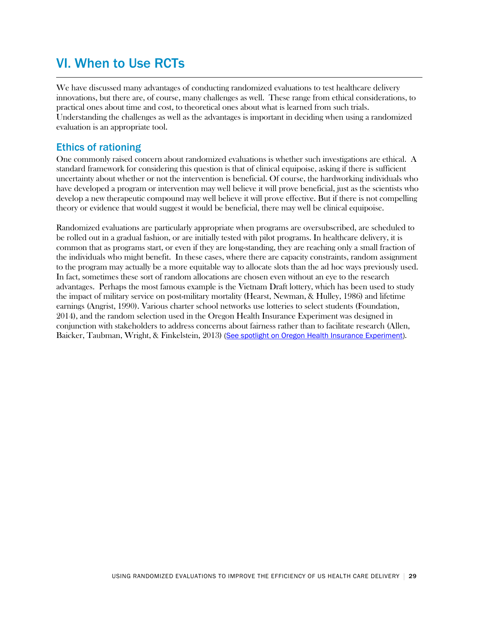# VI. When to Use RCTs

We have discussed many advantages of conducting randomized evaluations to test healthcare delivery innovations, but there are, of course, many challenges as well. These range from ethical considerations, to practical ones about time and cost, to theoretical ones about what is learned from such trials. Understanding the challenges as well as the advantages is important in deciding when using a randomized evaluation is an appropriate tool.

## Ethics of rationing

One commonly raised concern about randomized evaluations is whether such investigations are ethical. A standard framework for considering this question is that of clinical equipoise, asking if there is sufficient uncertainty about whether or not the intervention is beneficial. Of course, the hardworking individuals who have developed a program or intervention may well believe it will prove beneficial, just as the scientists who develop a new therapeutic compound may well believe it will prove effective. But if there is not compelling theory or evidence that would suggest it would be beneficial, there may well be clinical equipoise.

<span id="page-28-0"></span>Randomized evaluations are particularly appropriate when programs are oversubscribed, are scheduled to be rolled out in a gradual fashion, or are initially tested with pilot programs. In healthcare delivery, it is common that as programs start, or even if they are long-standing, they are reaching only a small fraction of the individuals who might benefit. In these cases, where there are capacity constraints, random assignment to the program may actually be a more equitable way to allocate slots than the ad hoc ways previously used. In fact, sometimes these sort of random allocations are chosen even without an eye to the research advantages. Perhaps the most famous example is the Vietnam Draft lottery, which has been used to study the impact of military service on post-military mortality (Hearst, Newman, & Hulley, 1986) and lifetime earnings (Angrist, 1990). Various charter school networks use lotteries to select students (Foundation, 2014), and the random selection used in the Oregon Health Insurance Experiment was designed in conjunction with stakeholders to address concerns about fairness rather than to facilitate research (Allen, Baicker, Taubman, Wright, & Finkelstein, 2013) [\(See spotlight on Oregon Health Insurance Experiment\)](#page-29-0).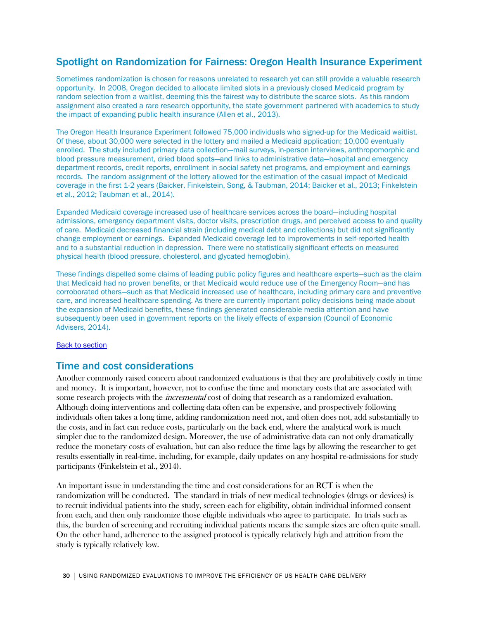## <span id="page-29-0"></span>Spotlight on Randomization for Fairness: Oregon Health Insurance Experiment

Sometimes randomization is chosen for reasons unrelated to research yet can still provide a valuable research opportunity. In 2008, Oregon decided to allocate limited slots in a previously closed Medicaid program by random selection from a waitlist, deeming this the fairest way to distribute the scarce slots. As this random assignment also created a rare research opportunity, the state government partnered with academics to study the impact of expanding public health insurance (Allen et al., 2013).

The Oregon Health Insurance Experiment followed 75,000 individuals who signed-up for the Medicaid waitlist. Of these, about 30,000 were selected in the lottery and mailed a Medicaid application; 10,000 eventually enrolled. The study included primary data collection—mail surveys, in-person interviews, anthropomorphic and blood pressure measurement, dried blood spots—and links to administrative data—hospital and emergency department records, credit reports, enrollment in social safety net programs, and employment and earnings records. The random assignment of the lottery allowed for the estimation of the casual impact of Medicaid coverage in the first 1-2 years (Baicker, Finkelstein, Song, & Taubman, 2014; Baicker et al., 2013; Finkelstein et al., 2012; Taubman et al., 2014).

Expanded Medicaid coverage increased use of healthcare services across the board—including hospital admissions, emergency department visits, doctor visits, prescription drugs, and perceived access to and quality of care. Medicaid decreased financial strain (including medical debt and collections) but did not significantly change employment or earnings. Expanded Medicaid coverage led to improvements in self-reported health and to a substantial reduction in depression. There were no statistically significant effects on measured physical health (blood pressure, cholesterol, and glycated hemoglobin).

These findings dispelled some claims of leading public policy figures and healthcare experts—such as the claim that Medicaid had no proven benefits, or that Medicaid would reduce use of the Emergency Room—and has corroborated others—such as that Medicaid increased use of healthcare, including primary care and preventive care, and increased healthcare spending. As there are currently important policy decisions being made about the expansion of Medicaid benefits, these findings generated considerable media attention and have subsequently been used in government reports on the likely effects of expansion (Council of Economic Advisers, 2014).

**[Back to section](#page-28-0)** 

### Time and cost considerations

Another commonly raised concern about randomized evaluations is that they are prohibitively costly in time and money. It is important, however, not to confuse the time and monetary costs that are associated with some research projects with the *incremental* cost of doing that research as a randomized evaluation. Although doing interventions and collecting data often can be expensive, and prospectively following individuals often takes a long time, adding randomization need not, and often does not, add substantially to the costs, and in fact can reduce costs, particularly on the back end, where the analytical work is much simpler due to the randomized design. Moreover, the use of administrative data can not only dramatically reduce the monetary costs of evaluation, but can also reduce the time lags by allowing the researcher to get results essentially in real-time, including, for example, daily updates on any hospital re-admissions for study participants (Finkelstein et al., 2014).

An important issue in understanding the time and cost considerations for an RCT is when the randomization will be conducted. The standard in trials of new medical technologies (drugs or devices) is to recruit individual patients into the study, screen each for eligibility, obtain individual informed consent from each, and then only randomize those eligible individuals who agree to participate. In trials such as this, the burden of screening and recruiting individual patients means the sample sizes are often quite small. On the other hand, adherence to the assigned protocol is typically relatively high and attrition from the study is typically relatively low.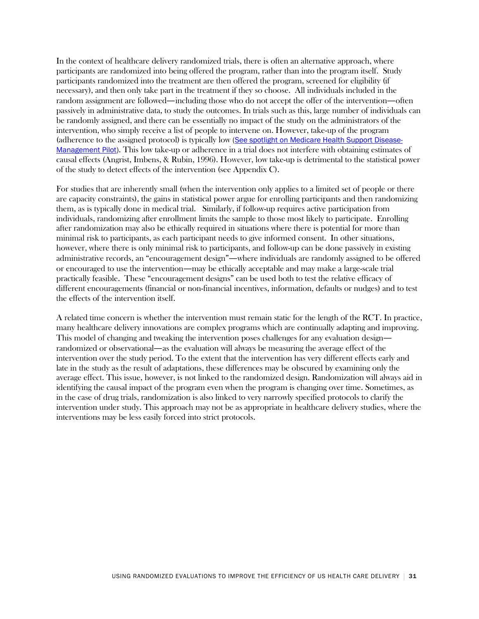In the context of healthcare delivery randomized trials, there is often an alternative approach, where participants are randomized into being offered the program, rather than into the program itself. Study participants randomized into the treatment are then offered the program, screened for eligibility (if necessary), and then only take part in the treatment if they so choose. All individuals included in the random assignment are followed—including those who do not accept the offer of the intervention—often passively in administrative data, to study the outcomes. In trials such as this, large number of individuals can be randomly assigned, and there can be essentially no impact of the study on the administrators of the intervention, who simply receive a list of people to intervene on. However, take-up of the program (adherence to the assigned protocol) is typically low (See [spotlight on Medicare Health Support Disease-](#page-31-0)[Management](#page-31-0) Pilot). This low take-up or adherence in a trial does not interfere with obtaining estimates of causal effects (Angrist, Imbens, & Rubin, 1996). However, low take-up is detrimental to the statistical power of the study to detect effects of the intervention (see Appendix C).

<span id="page-30-0"></span>For studies that are inherently small (when the intervention only applies to a limited set of people or there are capacity constraints), the gains in statistical power argue for enrolling participants and then randomizing them, as is typically done in medical trial. Similarly, if follow-up requires active participation from individuals, randomizing after enrollment limits the sample to those most likely to participate. Enrolling after randomization may also be ethically required in situations where there is potential for more than minimal risk to participants, as each participant needs to give informed consent. In other situations, however, where there is only minimal risk to participants, and follow-up can be done passively in existing administrative records, an "encouragement design"—where individuals are randomly assigned to be offered or encouraged to use the intervention—may be ethically acceptable and may make a large-scale trial practically feasible. These "encouragement designs" can be used both to test the relative efficacy of different encouragements (financial or non-financial incentives, information, defaults or nudges) and to test the effects of the intervention itself.

A related time concern is whether the intervention must remain static for the length of the RCT. In practice, many healthcare delivery innovations are complex programs which are continually adapting and improving. This model of changing and tweaking the intervention poses challenges for any evaluation design randomized or observational—as the evaluation will always be measuring the average effect of the intervention over the study period. To the extent that the intervention has very different effects early and late in the study as the result of adaptations, these differences may be obscured by examining only the average effect. This issue, however, is not linked to the randomized design. Randomization will always aid in identifying the causal impact of the program even when the program is changing over time. Sometimes, as in the case of drug trials, randomization is also linked to very narrowly specified protocols to clarify the intervention under study. This approach may not be as appropriate in healthcare delivery studies, where the interventions may be less easily forced into strict protocols.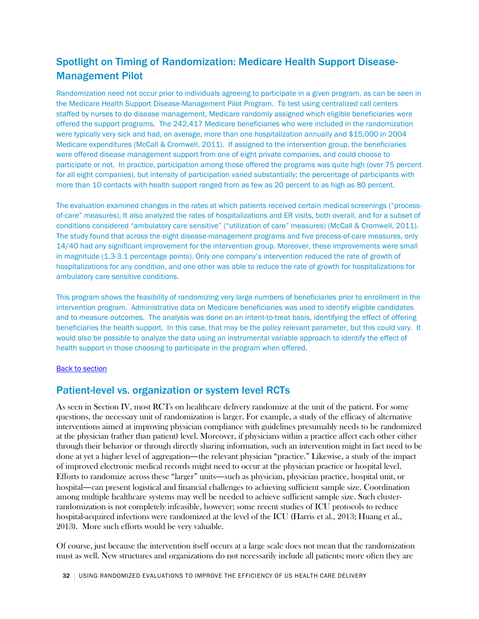## <span id="page-31-0"></span>Spotlight on Timing of Randomization: Medicare Health Support Disease-Management Pilot

Randomization need not occur prior to individuals agreeing to participate in a given program, as can be seen in the Medicare Health Support Disease-Management Pilot Program. To test using centralized call centers staffed by nurses to do disease management, Medicare randomly assigned which eligible beneficiaries were offered the support programs. The 242,417 Medicare beneficiaries who were included in the randomization were typically very sick and had, on average, more than one hospitalization annually and \$15,000 in 2004 Medicare expenditures (McCall & Cromwell, 2011). If assigned to the intervention group, the beneficiaries were offered disease management support from one of eight private companies, and could choose to participate or not. In practice, participation among those offered the programs was quite high (over 75 percent for all eight companies), but intensity of participation varied substantially; the percentage of participants with more than 10 contacts with health support ranged from as few as 20 percent to as high as 80 percent.

The evaluation examined changes in the rates at which patients received certain medical screenings ("processof-care" measures). It also analyzed the rates of hospitalizations and ER visits, both overall, and for a subset of conditions considered "ambulatory care sensitive" ("utilization of care" measures) (McCall & Cromwell, 2011). The study found that across the eight disease-management programs and five process-of-care measures, only 14/40 had any significant improvement for the intervention group. Moreover, these improvements were small in magnitude (1.3-3.1 percentage points). Only one company's intervention reduced the rate of growth of hospitalizations for any condition, and one other was able to reduce the rate of growth for hospitalizations for ambulatory care sensitive conditions.

This program shows the feasibility of randomizing very large numbers of beneficiaries prior to enrollment in the intervention program. Administrative data on Medicare beneficiaries was used to identify eligible candidates and to measure outcomes. The analysis was done on an intent-to-treat basis, identifying the effect of offering beneficiaries the health support. In this case, that may be the policy relevant parameter, but this could vary. It would also be possible to analyze the data using an instrumental variable approach to identify the effect of health support in those choosing to participate in the program when offered.

#### [Back to section](#page-30-0)

## Patient-level vs. organization or system level RCTs

As seen in Section IV, most RCTs on healthcare delivery randomize at the unit of the patient. For some questions, the necessary unit of randomization is larger. For example, a study of the efficacy of alternative interventions aimed at improving physician compliance with guidelines presumably needs to be randomized at the physician (rather than patient) level. Moreover, if physicians within a practice affect each other either through their behavior or through directly sharing information, such an intervention might in fact need to be done at yet a higher level of aggregation—the relevant physician "practice." Likewise, a study of the impact of improved electronic medical records might need to occur at the physician practice or hospital level. Efforts to randomize across these "larger" units—such as physician, physician practice, hospital unit, or hospital—can present logistical and financial challenges to achieving sufficient sample size. Coordination among multiple healthcare systems may well be needed to achieve sufficient sample size. Such clusterrandomization is not completely infeasible, however; some recent studies of ICU protocols to reduce hospital-acquired infections were randomized at the level of the ICU (Harris et al., 2013; Huang et al., 2013). More such efforts would be very valuable.

Of course, just because the intervention itself occurs at a large scale does not mean that the randomization must as well. New structures and organizations do not necessarily include all patients; more often they are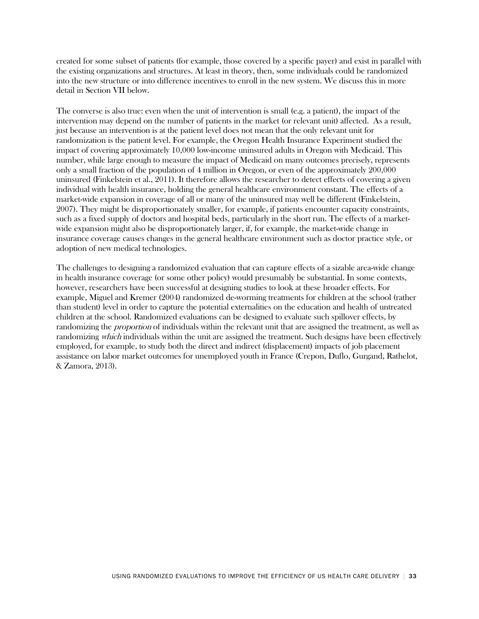created for some subset of patients (for example, those covered by a specific payer) and exist in parallel with the existing organizations and structures. At least in theory, then, some individuals could be randomized into the new structure or into difference incentives to enroll in the new system. We discuss this in more detail in Section VII below.

The converse is also true: even when the unit of intervention is small (e.g. a patient), the impact of the intervention may depend on the number of patients in the market (or relevant unit) affected. As a result, just because an intervention is at the patient level does not mean that the only relevant unit for randomization is the patient level. For example, the Oregon Health Insurance Experiment studied the impact of covering approximately 10,000 low-income uninsured adults in Oregon with Medicaid. This number, while large enough to measure the impact of Medicaid on many outcomes precisely, represents only a small fraction of the population of 4 million in Oregon, or even of the approximately 200,000 uninsured (Finkelstein et al., 2011). It therefore allows the researcher to detect effects of covering a given individual with health insurance, holding the general healthcare environment constant. The effects of a market-wide expansion in coverage of all or many of the uninsured may well be different (Finkelstein, 2007). They might be disproportionately smaller, for example, if patients encounter capacity constraints, such as a fixed supply of doctors and hospital beds, particularly in the short run. The effects of a marketwide expansion might also be disproportionately larger, if, for example, the market-wide change in insurance coverage causes changes in the general healthcare environment such as doctor practice style, or adoption of new medical technologies.

The challenges to designing a randomized evaluation that can capture effects of a sizable area-wide change in health insurance coverage (or some other policy) would presumably be substantial. In some contexts, however, researchers have been successful at designing studies to look at these broader effects. For example, Miguel and Kremer (2004) randomized de-worming treatments for children at the school (rather than student) level in order to capture the potential externalities on the education and health of untreated children at the school. Randomized evaluations can be designed to evaluate such spillover effects, by randomizing the *proportion* of individuals within the relevant unit that are assigned the treatment, as well as randomizing *which* individuals within the unit are assigned the treatment. Such designs have been effectively employed, for example, to study both the direct and indirect (displacement) impacts of job placement assistance on labor market outcomes for unemployed youth in France (Crepon, Duflo, Gurgand, Rathelot, & Zamora, 2013).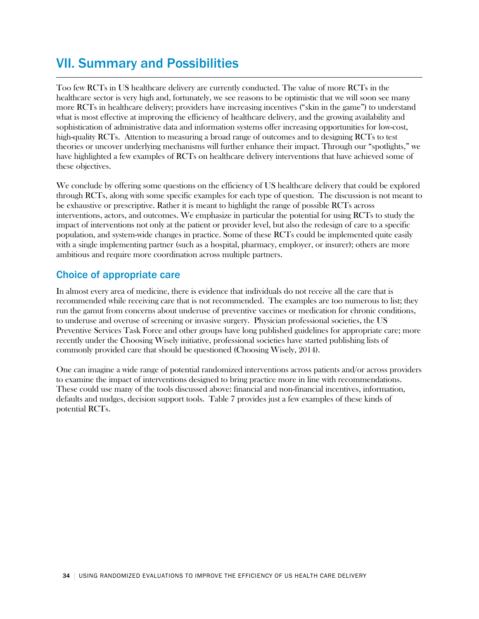# VII. Summary and Possibilities

Too few RCTs in US healthcare delivery are currently conducted. The value of more RCTs in the healthcare sector is very high and, fortunately, we see reasons to be optimistic that we will soon see many more RCTs in healthcare delivery; providers have increasing incentives ("skin in the game") to understand what is most effective at improving the efficiency of healthcare delivery, and the growing availability and sophistication of administrative data and information systems offer increasing opportunities for low-cost, high-quality RCTs. Attention to measuring a broad range of outcomes and to designing RCTs to test theories or uncover underlying mechanisms will further enhance their impact. Through our "spotlights," we have highlighted a few examples of RCTs on healthcare delivery interventions that have achieved some of these objectives.

We conclude by offering some questions on the efficiency of US healthcare delivery that could be explored through RCTs, along with some specific examples for each type of question. The discussion is not meant to be exhaustive or prescriptive. Rather it is meant to highlight the range of possible RCTs across interventions, actors, and outcomes. We emphasize in particular the potential for using RCTs to study the impact of interventions not only at the patient or provider level, but also the redesign of care to a specific population, and system-wide changes in practice. Some of these RCTs could be implemented quite easily with a single implementing partner (such as a hospital, pharmacy, employer, or insurer); others are more ambitious and require more coordination across multiple partners.

## Choice of appropriate care

In almost every area of medicine, there is evidence that individuals do not receive all the care that is recommended while receiving care that is not recommended. The examples are too numerous to list; they run the gamut from concerns about underuse of preventive vaccines or medication for chronic conditions, to underuse and overuse of screening or invasive surgery. Physician professional societies, the US Preventive Services Task Force and other groups have long published guidelines for appropriate care; more recently under the Choosing Wisely initiative, professional societies have started publishing lists of commonly provided care that should be questioned (Choosing Wisely, 2014).

One can imagine a wide range of potential randomized interventions across patients and/or across providers to examine the impact of interventions designed to bring practice more in line with recommendations. These could use many of the tools discussed above: financial and non-financial incentives, information, defaults and nudges, decision support tools. Table 7 provides just a few examples of these kinds of potential RCTs.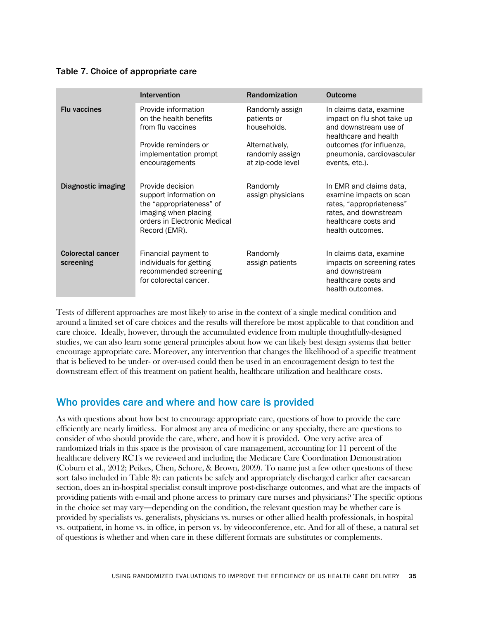### Table 7. Choice of appropriate care

|                                       | <b>Intervention</b>                                                                                                                             | <b>Randomization</b>                                                                                    | <b>Outcome</b>                                                                                                                                                                     |
|---------------------------------------|-------------------------------------------------------------------------------------------------------------------------------------------------|---------------------------------------------------------------------------------------------------------|------------------------------------------------------------------------------------------------------------------------------------------------------------------------------------|
| <b>Flu vaccines</b>                   | Provide information<br>on the health benefits<br>from flu vaccines<br>Provide reminders or<br>implementation prompt<br>encouragements           | Randomly assign<br>patients or<br>households.<br>Alternatively,<br>randomly assign<br>at zip-code level | In claims data, examine<br>impact on flu shot take up<br>and downstream use of<br>healthcare and health<br>outcomes (for influenza,<br>pneumonia, cardiovascular<br>events, etc.). |
| Diagnostic imaging                    | Provide decision<br>support information on<br>the "appropriateness" of<br>imaging when placing<br>orders in Electronic Medical<br>Record (EMR). | Randomly<br>assign physicians                                                                           | In EMR and claims data,<br>examine impacts on scan<br>rates, "appropriateness"<br>rates, and downstream<br>healthcare costs and<br>health outcomes.                                |
| <b>Colorectal cancer</b><br>screening | Financial payment to<br>individuals for getting<br>recommended screening<br>for colorectal cancer.                                              | Randomly<br>assign patients                                                                             | In claims data, examine<br>impacts on screening rates<br>and downstream<br>healthcare costs and<br>health outcomes.                                                                |

Tests of different approaches are most likely to arise in the context of a single medical condition and around a limited set of care choices and the results will therefore be most applicable to that condition and care choice. Ideally, however, through the accumulated evidence from multiple thoughtfully-designed studies, we can also learn some general principles about how we can likely best design systems that better encourage appropriate care. Moreover, any intervention that changes the likelihood of a specific treatment that is believed to be under- or over-used could then be used in an encouragement design to test the downstream effect of this treatment on patient health, healthcare utilization and healthcare costs.

## Who provides care and where and how care is provided

As with questions about how best to encourage appropriate care, questions of how to provide the care efficiently are nearly limitless. For almost any area of medicine or any specialty, there are questions to consider of who should provide the care, where, and how it is provided. One very active area of randomized trials in this space is the provision of care management, accounting for 11 percent of the healthcare delivery RCTs we reviewed and including the Medicare Care Coordination Demonstration (Coburn et al., 2012; Peikes, Chen, Schore, & Brown, 2009). To name just a few other questions of these sort (also included in Table 8): can patients be safely and appropriately discharged earlier after caesarean section, does an in-hospital specialist consult improve post-discharge outcomes, and what are the impacts of providing patients with e-mail and phone access to primary care nurses and physicians? The specific options in the choice set may vary—depending on the condition, the relevant question may be whether care is provided by specialists vs. generalists, physicians vs. nurses or other allied health professionals, in hospital vs. outpatient, in home vs. in office, in person vs. by videoconference, etc. And for all of these, a natural set of questions is whether and when care in these different formats are substitutes or complements.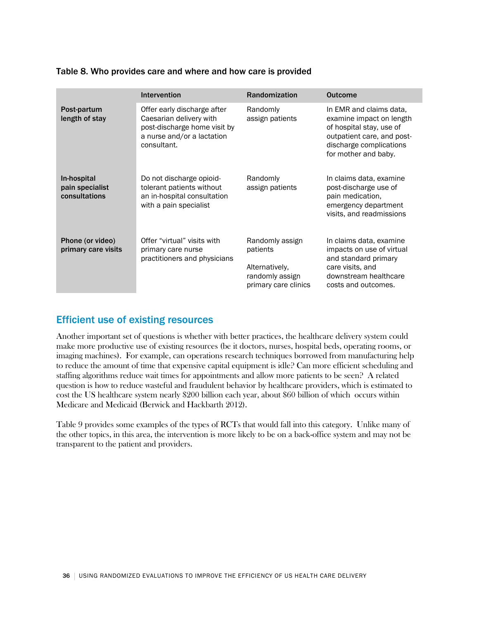|                                                 | <b>Intervention</b>                                                                                                                 | <b>Randomization</b>                                                                     | <b>Outcome</b>                                                                                                                                                   |
|-------------------------------------------------|-------------------------------------------------------------------------------------------------------------------------------------|------------------------------------------------------------------------------------------|------------------------------------------------------------------------------------------------------------------------------------------------------------------|
| Post-partum<br>length of stay                   | Offer early discharge after<br>Caesarian delivery with<br>post-discharge home visit by<br>a nurse and/or a lactation<br>consultant. | Randomly<br>assign patients                                                              | In EMR and claims data,<br>examine impact on length<br>of hospital stay, use of<br>outpatient care, and post-<br>discharge complications<br>for mother and baby. |
| In-hospital<br>pain specialist<br>consultations | Do not discharge opioid-<br>tolerant patients without<br>an in-hospital consultation<br>with a pain specialist                      | Randomly<br>assign patients                                                              | In claims data, examine<br>post-discharge use of<br>pain medication,<br>emergency department<br>visits, and readmissions                                         |
| Phone (or video)<br>primary care visits         | Offer "virtual" visits with<br>primary care nurse<br>practitioners and physicians                                                   | Randomly assign<br>patients<br>Alternatively,<br>randomly assign<br>primary care clinics | In claims data, examine<br>impacts on use of virtual<br>and standard primary<br>care visits, and<br>downstream healthcare<br>costs and outcomes.                 |

### Table 8. Who provides care and where and how care is provided

## Efficient use of existing resources

Another important set of questions is whether with better practices, the healthcare delivery system could make more productive use of existing resources (be it doctors, nurses, hospital beds, operating rooms, or imaging machines). For example, can operations research techniques borrowed from manufacturing help to reduce the amount of time that expensive capital equipment is idle? Can more efficient scheduling and staffing algorithms reduce wait times for appointments and allow more patients to be seen? A related question is how to reduce wasteful and fraudulent behavior by healthcare providers, which is estimated to cost the US healthcare system nearly \$200 billion each year, about \$60 billion of which occurs within Medicare and Medicaid (Berwick and Hackbarth 2012).

Table 9 provides some examples of the types of RCTs that would fall into this category. Unlike many of the other topics, in this area, the intervention is more likely to be on a back-office system and may not be transparent to the patient and providers.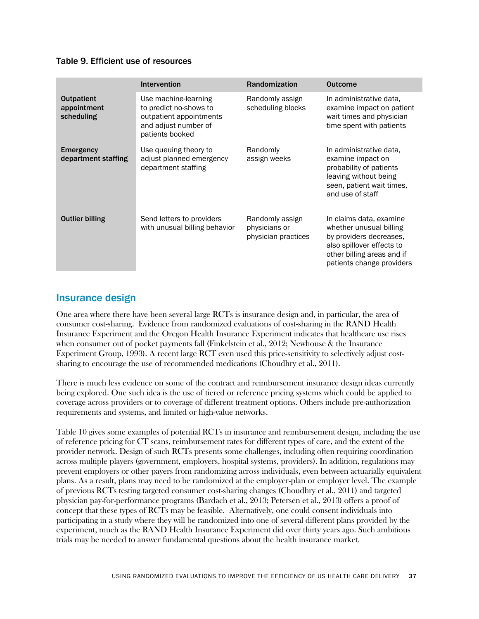### Table 9. Efficient use of resources

|                                                | <b>Intervention</b>                                                                                                  | Randomization                                           | <b>Outcome</b>                                                                                                                                                        |
|------------------------------------------------|----------------------------------------------------------------------------------------------------------------------|---------------------------------------------------------|-----------------------------------------------------------------------------------------------------------------------------------------------------------------------|
| <b>Outpatient</b><br>appointment<br>scheduling | Use machine-learning<br>to predict no-shows to<br>outpatient appointments<br>and adjust number of<br>patients booked | Randomly assign<br>scheduling blocks                    | In administrative data,<br>examine impact on patient<br>wait times and physician<br>time spent with patients                                                          |
| <b>Emergency</b><br>department staffing        | Use queuing theory to<br>adjust planned emergency<br>department staffing                                             | Randomly<br>assign weeks                                | In administrative data,<br>examine impact on<br>probability of patients<br>leaving without being<br>seen, patient wait times,<br>and use of staff                     |
| <b>Outlier billing</b>                         | Send letters to providers<br>with unusual billing behavior                                                           | Randomly assign<br>physicians or<br>physician practices | In claims data, examine<br>whether unusual billing<br>by providers decreases,<br>also spillover effects to<br>other billing areas and if<br>patients change providers |

## Insurance design

One area where there have been several large RCTs is insurance design and, in particular, the area of consumer cost-sharing. Evidence from randomized evaluations of cost-sharing in the RAND Health Insurance Experiment and the Oregon Health Insurance Experiment indicates that healthcare use rises when consumer out of pocket payments fall (Finkelstein et al., 2012; Newhouse & the Insurance Experiment Group, 1993). A recent large RCT even used this price-sensitivity to selectively adjust costsharing to encourage the use of recommended medications (Choudhry et al., 2011).

There is much less evidence on some of the contract and reimbursement insurance design ideas currently being explored. One such idea is the use of tiered or reference pricing systems which could be applied to coverage across providers or to coverage of different treatment options. Others include pre-authorization requirements and systems, and limited or high-value networks.

Table 10 gives some examples of potential RCTs in insurance and reimbursement design, including the use of reference pricing for CT scans, reimbursement rates for different types of care, and the extent of the provider network. Design of such RCTs presents some challenges, including often requiring coordination across multiple players (government, employers, hospital systems, providers). In addition, regulations may prevent employers or other payers from randomizing across individuals, even between actuarially equivalent plans. As a result, plans may need to be randomized at the employer-plan or employer level. The example of previous RCTs testing targeted consumer cost-sharing changes (Choudhry et al., 2011) and targeted physician pay-for-performance programs (Bardach et al., 2013; Petersen et al., 2013) offers a proof of concept that these types of RCTs may be feasible. Alternatively, one could consent individuals into participating in a study where they will be randomized into one of several different plans provided by the experiment, much as the RAND Health Insurance Experiment did over thirty years ago. Such ambitious trials may be needed to answer fundamental questions about the health insurance market.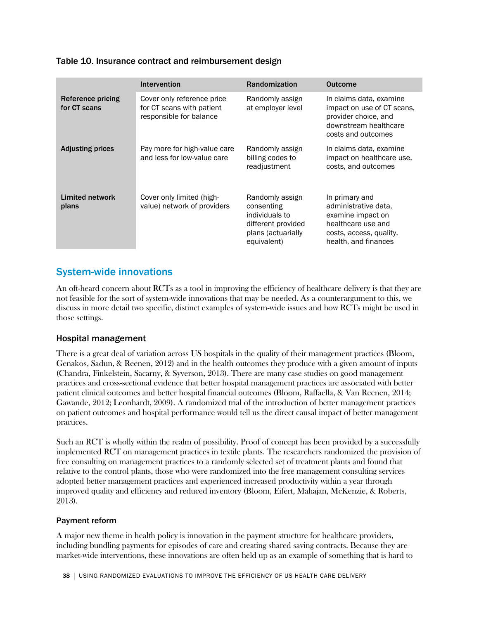### Table 10. Insurance contract and reimbursement design

|                                   | <b>Intervention</b>                                                                | Randomization                                                                                              | <b>Outcome</b>                                                                                                                       |
|-----------------------------------|------------------------------------------------------------------------------------|------------------------------------------------------------------------------------------------------------|--------------------------------------------------------------------------------------------------------------------------------------|
| Reference pricing<br>for CT scans | Cover only reference price<br>for CT scans with patient<br>responsible for balance | Randomly assign<br>at employer level                                                                       | In claims data, examine<br>impact on use of CT scans,<br>provider choice, and<br>downstream healthcare<br>costs and outcomes         |
| <b>Adjusting prices</b>           | Pay more for high-value care<br>and less for low-value care                        | Randomly assign<br>billing codes to<br>readjustment                                                        | In claims data, examine<br>impact on healthcare use,<br>costs, and outcomes                                                          |
| Limited network<br>plans          | Cover only limited (high-<br>value) network of providers                           | Randomly assign<br>consenting<br>individuals to<br>different provided<br>plans (actuarially<br>equivalent) | In primary and<br>administrative data,<br>examine impact on<br>healthcare use and<br>costs, access, quality,<br>health, and finances |

## System-wide innovations

An oft-heard concern about RCTs as a tool in improving the efficiency of healthcare delivery is that they are not feasible for the sort of system-wide innovations that may be needed. As a counterargument to this, we discuss in more detail two specific, distinct examples of system-wide issues and how RCTs might be used in those settings.

### Hospital management

There is a great deal of variation across US hospitals in the quality of their management practices (Bloom, Genakos, Sadun, & Reenen, 2012) and in the health outcomes they produce with a given amount of inputs (Chandra, Finkelstein, Sacarny, & Syverson, 2013). There are many case studies on good management practices and cross-sectional evidence that better hospital management practices are associated with better patient clinical outcomes and better hospital financial outcomes (Bloom, Raffaella, & Van Reenen, 2014; Gawande, 2012; Leonhardt, 2009). A randomized trial of the introduction of better management practices on patient outcomes and hospital performance would tell us the direct causal impact of better management practices.

Such an RCT is wholly within the realm of possibility. Proof of concept has been provided by a successfully implemented RCT on management practices in textile plants. The researchers randomized the provision of free consulting on management practices to a randomly selected set of treatment plants and found that relative to the control plants, those who were randomized into the free management consulting services adopted better management practices and experienced increased productivity within a year through improved quality and efficiency and reduced inventory (Bloom, Eifert, Mahajan, McKenzie, & Roberts, 2013).

### Payment reform

A major new theme in health policy is innovation in the payment structure for healthcare providers, including bundling payments for episodes of care and creating shared saving contracts. Because they are market-wide interventions, these innovations are often held up as an example of something that is hard to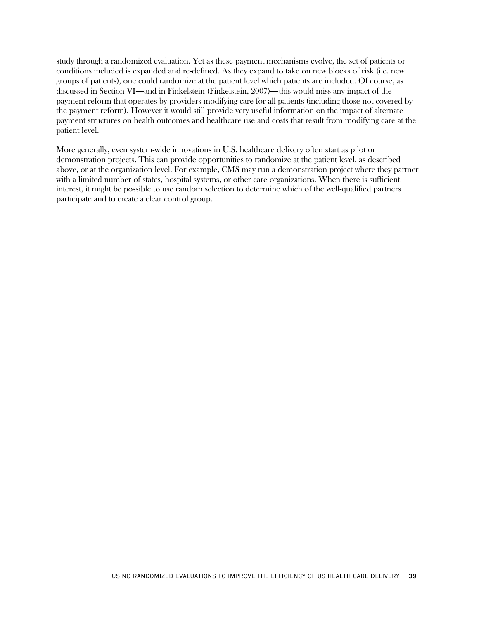study through a randomized evaluation. Yet as these payment mechanisms evolve, the set of patients or conditions included is expanded and re-defined. As they expand to take on new blocks of risk (i.e. new groups of patients), one could randomize at the patient level which patients are included. Of course, as discussed in Section VI—and in Finkelstein (Finkelstein, 2007)—this would miss any impact of the payment reform that operates by providers modifying care for all patients (including those not covered by the payment reform). However it would still provide very useful information on the impact of alternate payment structures on health outcomes and healthcare use and costs that result from modifying care at the patient level.

More generally, even system-wide innovations in U.S. healthcare delivery often start as pilot or demonstration projects. This can provide opportunities to randomize at the patient level, as described above, or at the organization level. For example, CMS may run a demonstration project where they partner with a limited number of states, hospital systems, or other care organizations. When there is sufficient interest, it might be possible to use random selection to determine which of the well-qualified partners participate and to create a clear control group.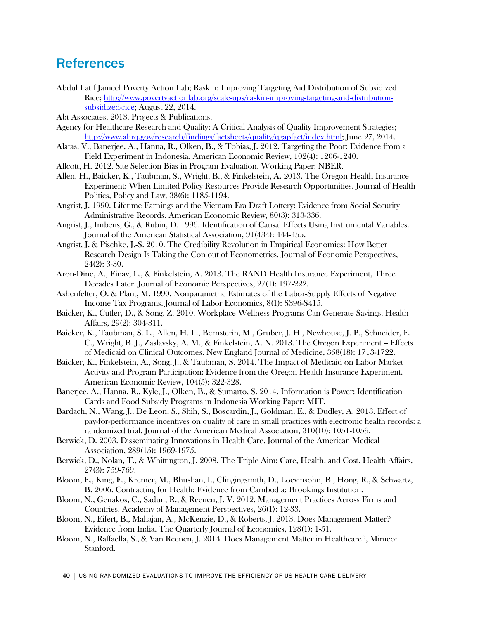## **References**

Abdul Latif Jameel Poverty Action Lab; Raskin: Improving Targeting Aid Distribution of Subsidized Rice; [http://www.povertyactionlab.org/scale-ups/raskin-improving-targeting-and-distribution](http://www.povertyactionlab.org/scale-ups/raskin-improving-targeting-and-distribution-subsidized-)[subsidized-rice;](http://www.povertyactionlab.org/scale-ups/raskin-improving-targeting-and-distribution-subsidized-) August 22, 2014.

Abt Associates. 2013. Projects & Publications.

- Agency for Healthcare Research and Quality; A Critical Analysis of Quality Improvement Strategies; [http://www.ahrq.gov/research/findings/factsheets/quality/qgapfact/index.html;](http://www.ahrq.gov/research/findings/factsheets/quality/qgapfact/index.html) June 27, 2014.
- Alatas, V., Banerjee, A., Hanna, R., Olken, B., & Tobias, J. 2012. Targeting the Poor: Evidence from a Field Experiment in Indonesia. American Economic Review, 102(4): 1206-1240.
- Allcott, H. 2012. Site Selection Bias in Program Evaluation, Working Paper: NBER.
- Allen, H., Baicker, K., Taubman, S., Wright, B., & Finkelstein, A. 2013. The Oregon Health Insurance Experiment: When Limited Policy Resources Provide Research Opportunities. Journal of Health Politics, Policy and Law, 38(6): 1185-1194.
- Angrist, J. 1990. Lifetime Earnings and the Vietnam Era Draft Lottery: Evidence from Social Security Administrative Records. American Economic Review, 80(3): 313-336.
- Angrist, J., Imbens, G., & Rubin, D. 1996. Identification of Causal Effects Using Instrumental Variables. Journal of the American Statistical Association, 91(434): 444-455.
- Angrist, J. & Pischke, J.-S. 2010. The Credibility Revolution in Empirical Economics: How Better Research Design Is Taking the Con out of Econometrics. Journal of Economic Perspectives, 24(2): 3-30.
- Aron-Dine, A., Einav, L., & Finkelstein, A. 2013. The RAND Health Insurance Experiment, Three Decades Later. Journal of Economic Perspectives, 27(1): 197-222.
- Ashenfelter, O. & Plant, M. 1990. Nonparametric Estimates of the Labor-Supply Effects of Negative Income Tax Programs. Journal of Labor Economics, 8(1): S396-S415.
- Baicker, K., Cutler, D., & Song, Z. 2010. Workplace Wellness Programs Can Generate Savings. Health Affairs, 29(2): 304-311.
- Baicker, K., Taubman, S. L., Allen, H. L., Bernsterin, M., Gruber, J. H., Newhouse, J. P., Schneider, E. C., Wright, B. J., Zaslavsky, A. M., & Finkelstein, A. N. 2013. The Oregon Experiment – Effects of Medicaid on Clinical Outcomes. New England Journal of Medicine, 368(18): 1713-1722.
- Baicker, K., Finkelstein, A., Song, J., & Taubman, S. 2014. The Impact of Medicaid on Labor Market Activity and Program Participation: Evidence from the Oregon Health Insurance Experiment. American Economic Review, 104(5): 322-328.
- Banerjee, A., Hanna, R., Kyle, J., Olken, B., & Sumarto, S. 2014. Information is Power: Identification Cards and Food Subsidy Programs in Indonesia Working Paper: MIT.
- Bardach, N., Wang, J., De Leon, S., Shih, S., Boscardin, J., Goldman, E., & Dudley, A. 2013. Effect of pay-for-performance incentives on quality of care in small practices with electronic health records: a randomized trial. Journal of the American Medical Association, 310(10): 1051-1059.
- Berwick, D. 2003. Disseminating Innovations in Health Care. Journal of the American Medical Association, 289(15): 1969-1975.
- Berwick, D., Nolan, T., & Whittington, J. 2008. The Triple Aim: Care, Health, and Cost. Health Affairs, 27(3): 759-769.
- Bloom, E., King, E., Kremer, M., Bhushan, I., Clingingsmith, D., Loevinsohn, B., Hong, R., & Schwartz, B. 2006. Contracting for Health: Evidence from Cambodia: Brookings Institution.
- Bloom, N., Genakos, C., Sadun, R., & Reenen, J. V. 2012. Management Practices Across Firms and Countries. Academy of Management Perspectives, 26(1): 12-33.
- Bloom, N., Eifert, B., Mahajan, A., McKenzie, D., & Roberts, J. 2013. Does Management Matter? Evidence from India. The Quarterly Journal of Economics, 128(1): 1-51.
- Bloom, N., Raffaella, S., & Van Reenen, J. 2014. Does Management Matter in Healthcare?, Mimeo: Stanford.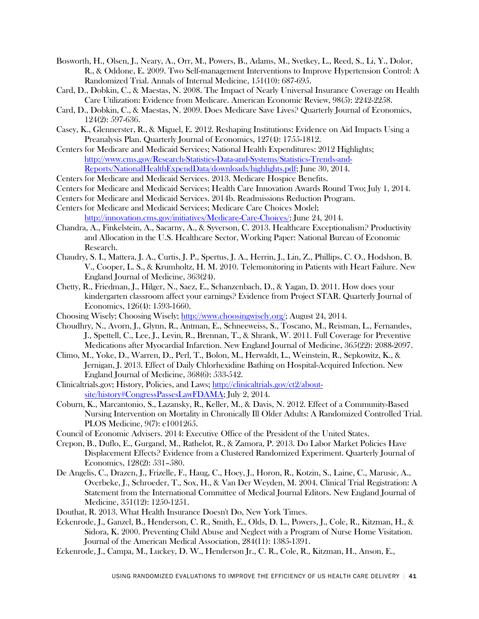- Bosworth, H., Olsen, J., Neary, A., Orr, M., Powers, B., Adams, M., Svetkey, L., Reed, S., Li, Y., Dolor, R., & Oddone, E. 2009. Two Self-management Interventions to Improve Hypertension Control: A Randomized Trial. Annals of Internal Medicine, 151(10): 687-695.
- Card, D., Dobkin, C., & Maestas, N. 2008. The Impact of Nearly Universal Insurance Coverage on Health Care Utilization: Evidence from Medicare. American Economic Review, 98(5): 2242-2258.
- Card, D., Dobkin, C., & Maestas, N. 2009. Does Medicare Save Lives? Quarterly Journal of Economics, 124(2): 597-636.
- Casey, K., Glennerster, R., & Miguel, E. 2012. Reshaping Institutions: Evidence on Aid Impacts Using a Preanalysis Plan. Quarterly Journal of Economics, 127(4): 1755-1812.
- Centers for Medicare and Medicaid Services; National Health Expenditures: 2012 Highlights; [http://www.cms.gov/Research-Statistics-Data-and-Systems/Statistics-Trends-and-](http://www.cms.gov/Research-Statistics-Data-and-Systems/Statistics-Trends-and-Reports/NationalHealthExpendData/downloads/highlights.pdf)[Reports/NationalHealthExpendData/downloads/highlights.pdf;](http://www.cms.gov/Research-Statistics-Data-and-Systems/Statistics-Trends-and-Reports/NationalHealthExpendData/downloads/highlights.pdf) June 30, 2014.
- Centers for Medicare and Medicaid Services. 2013. Medicare Hospice Benefits.
- Centers for Medicare and Medicaid Services; Health Care Innovation Awards Round Two; July 1, 2014.
- Centers for Medicare and Medicaid Services. 2014b. Readmissions Reduction Program.
- Centers for Medicare and Medicaid Services; Medicare Care Choices Model; [http://innovation.cms.gov/initiatives/Medicare-Care-Choices/;](http://innovation.cms.gov/initiatives/Medicare-Care-Choices/) June 24, 2014.
- Chandra, A., Finkelstein, A., Sacarny, A., & Syverson, C. 2013. Healthcare Exceptionalism? Productivity and Allocation in the U.S. Healthcare Sector, Working Paper: National Bureau of Economic Research.
- Chaudry, S. I., Mattera, J. A., Curtis, J. P., Spertus, J. A., Herrin, J., Lin, Z., Phillips, C. O., Hodshon, B. V., Cooper, L. S., & Krumholtz, H. M. 2010. Telemonitoring in Patients with Heart Failure. New England Journal of Medicine, 363(24).
- Chetty, R., Friedman, J., Hilger, N., Saez, E., Schanzenbach, D., & Yagan, D. 2011. How does your kindergarten classroom affect your earnings? Evidence from Project STAR. Quarterly Journal of Economics, 126(4): 1593-1660.
- Choosing Wisely; Choosing Wisely; [http://www.choosingwisely.org/;](http://www.choosingwisely.org/) August 24, 2014.
- Choudhry, N., Avorn, J., Glynn, R., Antman, E., Schneeweiss, S., Toscano, M., Reisman, L., Fernandes, J., Spettell, C., Lee, J., Levin, R., Brennan, T., & Shrank, W. 2011. Full Coverage for Preventive Medications after Myocardial Infarction. New England Journal of Medicine, 365(22): 2088-2097.
- Climo, M., Yoke, D., Warren, D., Perl, T., Bolon, M., Herwaldt, L., Weinstein, R., Sepkowitz, K., & Jernigan, J. 2013. Effect of Daily Chlorhexidine Bathing on Hospital-Acquired Infection. New England Journal of Medicine, 368(6): 533-542.
- Clinicaltrials.gov; History, Policies, and Laws; [http://clinicaltrials.gov/ct2/about](http://www.cms.gov/Research-Statistics-Data-and-Systems/Statistics-Trends-and-Reports/NationalHealthExpendData/downloads/highlights.pdf)[site/history#CongressPassesLawFDAMA;](http://www.cms.gov/Research-Statistics-Data-and-Systems/Statistics-Trends-and-Reports/NationalHealthExpendData/downloads/highlights.pdf) July 2, 2014.
- Coburn, K., Marcantonio, S., Lazansky, R., Keller, M., & Davis, N. 2012. Effect of a Community-Based Nursing Intervention on Mortality in Chronically Ill Older Adults: A Randomized Controlled Trial. PLOS Medicine, 9(7): e1001265.
- Council of Economic Advisers. 2014: Executive Office of the President of the United States.
- Crepon, B., Duflo, E., Gurgand, M., Rathelot, R., & Zamora, P. 2013. Do Labor Market Policies Have Displacement Effects? Evidence from a Clustered Randomized Experiment. Quarterly Journal of Economics, 128(2): 531–580.
- De Angelis, C., Drazen, J., Frizelle, F., Haug, C., Hoey, J., Horon, R., Kotzin, S., Laine, C., Marusic, A., Overbeke, J., Schroeder, T., Sox, H., & Van Der Weyden, M. 2004. Clinical Trial Registration: A Statement from the International Committee of Medical Journal Editors. New England Journal of Medicine, 351(12): 1250-1251.
- Douthat, R. 2013. What Health Insurance Doesn't Do, New York Times.
- Eckenrode, J., Ganzel, B., Henderson, C. R., Smith, E., Olds, D. L., Powers, J., Cole, R., Kitzman, H., & Sidora, K. 2000. Preventing Child Abuse and Neglect with a Program of Nurse Home Visitation. Journal of the American Medical Association, 284(11): 1385-1391.
- Eckenrode, J., Campa, M., Luckey, D. W., Henderson Jr., C. R., Cole, R., Kitzman, H., Anson, E.,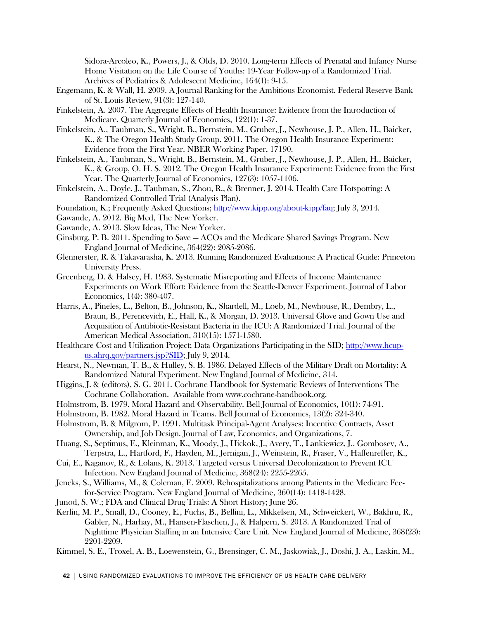Sidora-Arcoleo, K., Powers, J., & Olds, D. 2010. Long-term Effects of Prenatal and Infancy Nurse Home Visitation on the Life Course of Youths: 19-Year Follow-up of a Randomized Trial. Archives of Pediatrics & Adolescent Medicine, 164(1): 9-15.

- Engemann, K. & Wall, H. 2009. A Journal Ranking for the Ambitious Economist. Federal Reserve Bank of St. Louis Review, 91(3): 127-140.
- Finkelstein, A. 2007. The Aggregate Effects of Health Insurance: Evidence from the Introduction of Medicare. Quarterly Journal of Economics, 122(1): 1-37.
- Finkelstein, A., Taubman, S., Wright, B., Bernstein, M., Gruber, J., Newhouse, J. P., Allen, H., Baicker, K., & The Oregon Health Study Group. 2011. The Oregon Health Insurance Experiment: Evidence from the First Year. NBER Working Paper, 17190.
- Finkelstein, A., Taubman, S., Wright, B., Bernstein, M., Gruber, J., Newhouse, J. P., Allen, H., Baicker, K., & Group, O. H. S. 2012. The Oregon Health Insurance Experiment: Evidence from the First Year. The Quarterly Journal of Economics, 127(3): 1057-1106.
- Finkelstein, A., Doyle, J., Taubman, S., Zhou, R., & Brenner, J. 2014. Health Care Hotspotting: A Randomized Controlled Trial (Analysis Plan).
- Foundation, K.; Frequently Asked Questions; [http://www.kipp.org/about-kipp/faq;](http://www.kipp.org/about-kipp/faq) July 3, 2014.
- Gawande, A. 2012. Big Med, The New Yorker.
- Gawande, A. 2013. Slow Ideas, The New Yorker.
- Ginsburg, P. B. 2011. Spending to Save ACOs and the Medicare Shared Savings Program. New England Journal of Medicine, 364(22): 2085-2086.
- Glennerster, R. & Takavarasha, K. 2013. Running Randomized Evaluations: A Practical Guide: Princeton University Press.
- Greenberg, D. & Halsey, H. 1983. Systematic Misreporting and Effects of Income Maintenance Experiments on Work Effort: Evidence from the Seattle-Denver Experiment. Journal of Labor Economics, 1(4): 380-407.
- Harris, A., Pineles, L., Belton, B., Johnson, K., Shardell, M., Loeb, M., Newhouse, R., Dembry, L., Braun, B., Perencevich, E., Hall, K., & Morgan, D. 2013. Universal Glove and Gown Use and Acquisition of Antibiotic-Resistant Bacteria in the ICU: A Randomized Trial. Journal of the American Medical Association, 310(15): 1571-1580.
- Healthcare Cost and Utilization Project; Data Organizations Participating in the SID; [http://www.hcup](http://www.hcup-us.ahrq.gov/partners.jsp?SID)[us.ahrq.gov/partners.jsp?SID;](http://www.hcup-us.ahrq.gov/partners.jsp?SID) July 9, 2014.
- Hearst, N., Newman, T. B., & Hulley, S. B. 1986. Delayed Effects of the Military Draft on Mortality: A Randomized Natural Experiment. New England Journal of Medicine, 314.
- Higgins, J. & (editors), S. G. 2011. Cochrane Handbook for Systematic Reviews of Interventions The Cochrane Collaboration. Available from www.cochrane-handbook.org.
- Holmstrom, B. 1979. Moral Hazard and Observability. Bell Journal of Economics, 10(1): 74-91.
- Holmstrom, B. 1982. Moral Hazard in Teams. Bell Journal of Economics, 13(2): 324-340.
- Holmstrom, B. & Milgrom, P. 1991. Multitask Principal-Agent Analyses: Incentive Contracts, Asset Ownership, and Job Design. Journal of Law, Economics, and Organizations, 7.
- Huang, S., Septimus, E., Kleinman, K., Moody, J., Hickok, J., Avery, T., Lankiewicz, J., Gombosev, A., Terpstra, L., Hartford, F., Hayden, M., Jernigan, J., Weinstein, R., Fraser, V., Haffenreffer, K.,
- Cui, E., Kaganov, R., & Lolans, K. 2013. Targeted versus Universal Decolonization to Prevent ICU Infection. New England Journal of Medicine, 368(24): 2255-2265.
- Jencks, S., Williams, M., & Coleman, E. 2009. Rehospitalizations among Patients in the Medicare Feefor-Service Program. New England Journal of Medicine, 360(14): 1418-1428.
- Junod, S. W.; FDA and Clinical Drug Trials: A Short History; June 26.
- Kerlin, M. P., Small, D., Cooney, E., Fuchs, B., Bellini, L., Mikkelsen, M., Schweickert, W., Bakhru, R., Gabler, N., Harhay, M., Hansen-Flaschen, J., & Halpern, S. 2013. A Randomized Trial of Nighttime Physician Staffing in an Intensive Care Unit. New England Journal of Medicine, 368(23): 2201-2209.
- Kimmel, S. E., Troxel, A. B., Loewenstein, G., Brensinger, C. M., Jaskowiak, J., Doshi, J. A., Laskin, M.,

42 | USING RANDOMIZED EVALUATIONS TO IMPROVE THE EFFICIENCY OF US HEALTH CARE DELIVERY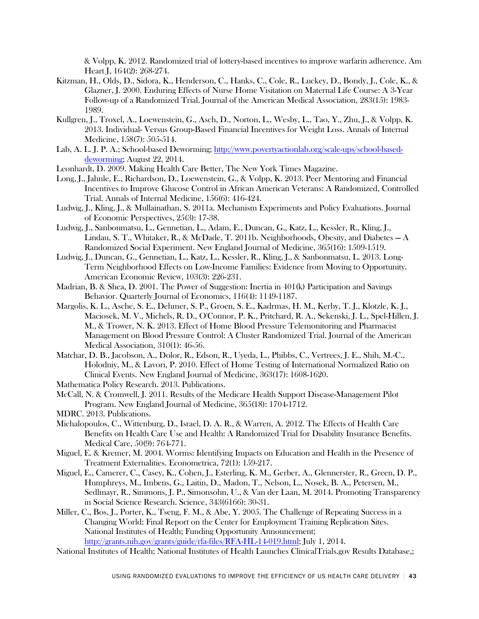& Volpp, K. 2012. Randomized trial of lottery-based incentives to improve warfarin adherence. Am Heart J, 164(2): 268-274.

- Kitzman, H., Olds, D., Sidora, K., Henderson, C., Hanks, C., Cole, R., Luckey, D., Bondy, J., Cole, K., & Glazner, J. 2000. Enduring Effects of Nurse Home Visitation on Maternal Life Course: A 3-Year Follow-up of a Randomized Trial. Journal of the American Medical Association, 283(15): 1983- 1989.
- Kullgren, J., Troxel, A., Loewenstein, G., Asch, D., Norton, L., Wesby, L., Tao, Y., Zhu, J., & Volpp, K. 2013. Individual- Versus Group-Based Financial Incentives for Weight Loss. Annals of Internal Medicine, 158(7): 505-514.
- Lab, A. L. J. P. A.; School-based Deworming; [http://www.povertyactionlab.org/scale-ups/school-based](http://www.povertyactionlab.org/scale-ups/school-based-deworming)[deworming;](http://www.povertyactionlab.org/scale-ups/school-based-deworming) August 22, 2014.
- Leonhardt, D. 2009. Making Health Care Better, The New York Times Magazine.
- Long, J., Jahnle, E., Richardson, D., Loewenstein, G., & Volpp, K. 2013. Peer Mentoring and Financial Incentives to Improve Glucose Control in African American Veterans: A Randomized, Controlled Trial. Annals of Internal Medicine, 156(6): 416-424.
- Ludwig, J., Kling, J., & Mullainathan, S. 2011a. Mechanism Experiments and Policy Evaluations. Journal of Economic Perspectives, 25(3): 17-38.
- Ludwig, J., Sanbonmatsu, L., Gennetian, L., Adam, E., Duncan, G., Katz, L., Kessler, R., Kling, J., Lindau, S. T., Whitaker, R., & McDade, T. 2011b. Neighborhoods, Obesity, and Diabetes — A Randomized Social Experiment. New England Journal of Medicine, 365(16): 1509-1519.
- Ludwig, J., Duncan, G., Gennetian, L., Katz, L., Kessler, R., Kling, J., & Sanbonmatsu, L. 2013. Long-Term Neighborhood Effects on Low-Income Families: Evidence from Moving to Opportunity. American Economic Review, 103(3): 226-231.
- Madrian, B. & Shea, D. 2001. The Power of Suggestion: Inertia in 401(k) Participation and Savings Behavior. Quarterly Journal of Economics, 116(4): 1149-1187.
- Margolis, K. L., Asche, S. E., Dehmer, S. P., Groen, S. E., Kadrmas, H. M., Kerby, T. J., Klotzle, K. J., Maciosek, M. V., Michels, R. D., O'Connor, P. K., Pritchard, R. A., Sekenski, J. L., Spel-Hillen, J. M., & Trower, N. K. 2013. Effect of Home Blood Pressure Telemonitoring and Pharmacist Management on Blood Pressure Control: A Cluster Randomized Trial. Journal of the American Medical Association, 310(1): 46-56.
- Matchar, D. B., Jacobson, A., Dolor, R., Edson, R., Uyeda, L., Phibbs, C., Vertrees, J. E., Shih, M.-C., Holodniy, M., & Lavori, P. 2010. Effect of Home Testing of International Normalized Ratio on Clinical Events. New England Journal of Medicine, 363(17): 1608-1620.
- Mathematica Policy Research. 2013. Publications.
- McCall, N. & Cromwell, J. 2011. Results of the Medicare Health Support Disease-Management Pilot Program. New England Journal of Medicine, 365(18): 1704-1712.
- MDRC. 2013. Publications.
- Michalopoulos, C., Wittenburg, D., Israel, D. A. R., & Warren, A. 2012. The Effects of Health Care Benefits on Health Care Use and Health: A Randomized Trial for Disability Insurance Benefits. Medical Care, 50(9): 764-771.
- Miguel, E. & Kremer, M. 2004. Worms: Identifying Impacts on Education and Health in the Presence of Treatment Externalities. Econometrica, 72(1): 159-217.
- Miguel, E., Camerer, C., Casey, K., Cohen, J., Esterling, K. M., Gerber, A., Glennerster, R., Green, D. P., Humphreys, M., Imbens, G., Laitin, D., Madon, T., Nelson, L., Nosek, B. A., Petersen, M., Sedlmayr, R., Simmons, J. P., Simonsohn, U., & Van der Laan, M. 2014. Promoting Transparency in Social Science Research. Science, 343(6166): 30-31.
- Miller, C., Bos, J., Porter, K., Tseng, F. M., & Abe, Y. 2005. The Challenge of Repeating Success in a Changing World: Final Report on the Center for Employment Training Replication Sites. National Institutes of Health; Funding Opportunity Announcement; [http://grants.nih.gov/grants/guide/rfa-files/RFA-HL-14-019.html;](http://grants.nih.gov/grants/guide/rfa-files/RFA-HL-14-019.html) July 1, 2014.
- National Institutes of Health; National Institutes of Health Launches ClinicalTrials.gov Results Database,;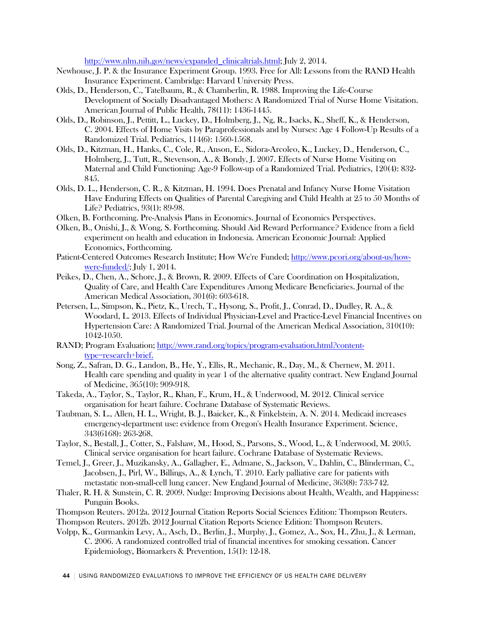[http://www.nlm.nih.gov/news/expanded\\_clinicaltrials.html;](http://www.nlm.nih.gov/news/expanded_clinicaltrials.html) July 2, 2014.

- Newhouse, J. P. & the Insurance Experiment Group. 1993. Free for All: Lessons from the RAND Health Insurance Experiment. Cambridge: Harvard University Press.
- Olds, D., Henderson, C., Tatelbaum, R., & Chamberlin, R. 1988. Improving the Life-Course Development of Socially Disadvantaged Mothers: A Randomized Trial of Nurse Home Visitation. American Journal of Public Health, 78(11): 1436-1445.
- Olds, D., Robinson, J., Pettitt, L., Luckey, D., Holmberg, J., Ng, R., Isacks, K., Sheff, K., & Henderson, C. 2004. Effects of Home Visits by Paraprofessionals and by Nurses: Age 4 Follow-Up Results of a Randomized Trial. Pediatrics, 114(6): 1560-1568.
- Olds, D., Kitzman, H., Hanks, C., Cole, R., Anson, E., Sidora-Arcoleo, K., Luckey, D., Henderson, C., Holmberg, J., Tutt, R., Stevenson, A., & Bondy, J. 2007. Effects of Nurse Home Visiting on Maternal and Child Functioning: Age-9 Follow-up of a Randomized Trial. Pediatrics, 120(4): 832- 845.
- Olds, D. L., Henderson, C. R., & Kitzman, H. 1994. Does Prenatal and Infancy Nurse Home Visitation Have Enduring Effects on Qualities of Parental Caregiving and Child Health at 25 to 50 Months of Life? Pediatrics, 93(1): 89-98.
- Olken, B. Forthcoming. Pre-Analysis Plans in Economics. Journal of Economics Perspectives.
- Olken, B., Onishi, J., & Wong, S. Forthcoming. Should Aid Reward Performance? Evidence from a field experiment on health and education in Indonesia. American Economic Journal: Applied Economics, Forthcoming.
- Patient-Centered Outcomes Research Institute; How We're Funded; [http://www.pcori.org/about-us/how](http://www.pcori.org/about-us/how-were-funded)[were-funded/;](http://www.pcori.org/about-us/how-were-funded) July 1, 2014.
- Peikes, D., Chen, A., Schore, J., & Brown, R. 2009. Effects of Care Coordination on Hospitalization, Quality of Care, and Health Care Expenditures Among Medicare Beneficiaries. Journal of the American Medical Association, 301(6): 603-618.
- Petersen, L., Simpson, K., Pietz, K., Urech, T., Hysong, S., Profit, J., Conrad, D., Dudley, R. A., & Woodard, L. 2013. Effects of Individual Physician-Level and Practice-Level Financial Incentives on Hypertension Care: A Randomized Trial. Journal of the American Medical Association, 310(10): 1042-1050.
- RAND; Program Evaluation; [http://www.rand.org/topics/program-evaluation.html?content](http://www.rand.org/topics/program-evaluation.html?content-type=research+brief)[type=research+brief.](http://www.rand.org/topics/program-evaluation.html?content-type=research+brief)
- Song, Z., Safran, D. G., Landon, B., He, Y., Ellis, R., Mechanic, R., Day, M., & Chernew, M. 2011. Health care spending and quality in year 1 of the alternative quality contract. New England Journal of Medicine, 365(10): 909-918.
- Takeda, A., Taylor, S., Taylor, R., Khan, F., Krum, H., & Underwood, M. 2012. Clinical service organisation for heart failure. Cochrane Database of Systematic Reviews.
- Taubman, S. L., Allen, H. L., Wright, B. J., Baicker, K., & Finkelstein, A. N. 2014. Medicaid increases emergency-department use: evidence from Oregon's Health Insurance Experiment. Science, 343(6168): 263-268.
- Taylor, S., Bestall, J., Cotter, S., Falshaw, M., Hood, S., Parsons, S., Wood, L., & Underwood, M. 2005. Clinical service organisation for heart failure. Cochrane Database of Systematic Reviews.
- Temel, J., Greer, J., Muzikansky, A., Gallagher, E., Admane, S., Jackson, V., Dahlin, C., Blinderman, C., Jacobsen, J., Pirl, W., Billings, A., & Lynch, T. 2010. Early palliative care for patients with metastatic non-small-cell lung cancer. New England Journal of Medicine, 363(8): 733-742.
- Thaler, R. H. & Sunstein, C. R. 2009. Nudge: Improving Decisions about Health, Wealth, and Happiness: Punguin Books.
- Thompson Reuters. 2012a. 2012 Journal Citation Reports Social Sciences Edition: Thompson Reuters.
- Thompson Reuters. 2012b. 2012 Journal Citation Reports Science Edition: Thompson Reuters.
- Volpp, K., Gurmankin Levy, A., Asch, D., Berlin, J., Murphy, J., Gomez, A., Sox, H., Zhu, J., & Lerman, C. 2006. A randomized controlled trial of financial incentives for smoking cessation. Cancer Epidemiology, Biomarkers & Prevention, 15(1): 12-18.

44 | USING RANDOMIZED EVALUATIONS TO IMPROVE THE EFFICIENCY OF US HEALTH CARE DELIVERY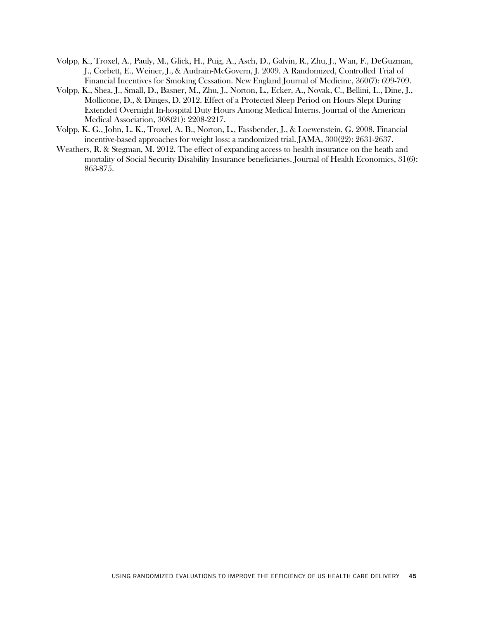- Volpp, K., Troxel, A., Pauly, M., Glick, H., Puig, A., Asch, D., Galvin, R., Zhu, J., Wan, F., DeGuzman, J., Corbett, E., Weiner, J., & Audrain-McGovern, J. 2009. A Randomized, Controlled Trial of Financial Incentives for Smoking Cessation. New England Journal of Medicine, 360(7): 699-709.
- Volpp, K., Shea, J., Small, D., Basner, M., Zhu, J., Norton, L., Ecker, A., Novak, C., Bellini, L., Dine, J., Mollicone, D., & Dinges, D. 2012. Effect of a Protected Sleep Period on Hours Slept During Extended Overnight In-hospital Duty Hours Among Medical Interns. Journal of the American Medical Association, 308(21): 2208-2217.
- Volpp, K. G., John, L. K., Troxel, A. B., Norton, L., Fassbender, J., & Loewenstein, G. 2008. Financial incentive-based approaches for weight loss: a randomized trial. JAMA, 300(22): 2631-2637.
- Weathers, R. & Stegman, M. 2012. The effect of expanding access to health insurance on the heath and mortality of Social Security Disability Insurance beneficiaries. Journal of Health Economics, 31(6): 863-875.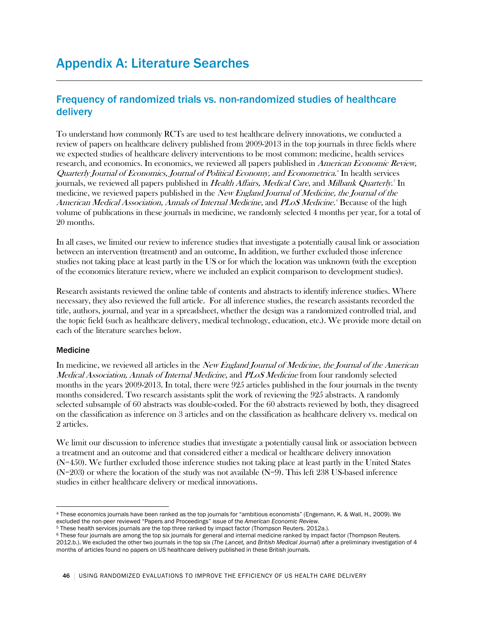## Frequency of randomized trials vs. non-randomized studies of healthcare delivery

To understand how commonly RCTs are used to test healthcare delivery innovations, we conducted a review of papers on healthcare delivery published from 2009-2013 in the top journals in three fields where we expected studies of healthcare delivery interventions to be most common: medicine, health services research, and economics. In economics, we reviewed all papers published in American Economic Review, Quarterly Journal of Economics, Journal of Political Economy, and Econometrica. [4](#page-45-0) In health services journals, we reviewed all papers published in *Health Affairs, Medical Care*, and *Milbank Quarterly.*<sup>[5](#page-45-1)</sup> In medicine, we reviewed papers published in the New England Journal of Medicine, the Journal of the American Medical Association, Annals of Internal Medicine, and PLoS Medicine.<sup>6</sup> Because of the high volume of publications in these journals in medicine, we randomly selected 4 months per year, for a total of 20 months.

In all cases, we limited our review to inference studies that investigate a potentially causal link or association between an intervention (treatment) and an outcome. In addition, we further excluded those inference studies not taking place at least partly in the US or for which the location was unknown (with the exception of the economics literature review, where we included an explicit comparison to development studies).

Research assistants reviewed the online table of contents and abstracts to identify inference studies. Where necessary, they also reviewed the full article. For all inference studies, the research assistants recorded the title, authors, journal, and year in a spreadsheet, whether the design was a randomized controlled trial, and the topic field (such as healthcare delivery, medical technology, education, etc.). We provide more detail on each of the literature searches below.

### Medicine

In medicine, we reviewed all articles in the *New England Journal of Medicine, the Journal of the American* Medical Association, Annals of Internal Medicine, and PLoS Medicine from four randomly selected months in the years 2009-2013. In total, there were 925 articles published in the four journals in the twenty months considered. Two research assistants split the work of reviewing the 925 abstracts. A randomly selected subsample of 60 abstracts was double-coded. For the 60 abstracts reviewed by both, they disagreed on the classification as inference on 3 articles and on the classification as healthcare delivery vs. medical on 2 articles.

We limit our discussion to inference studies that investigate a potentially causal link or association between a treatment and an outcome and that considered either a medical or healthcare delivery innovation (N=450). We further excluded those inference studies not taking place at least partly in the United States (N=203) or where the location of the study was not available (N=9). This left 238 US-based inference studies in either healthcare delivery or medical innovations.

<span id="page-45-0"></span><sup>4</sup> These economics journals have been ranked as the top journals for "ambitious economists" (Engemann, K. & Wall, H., 2009). We excluded the non-peer reviewed "Papers and Proceedings" issue of the *American Economic Review.*  $\overline{a}$ 

<span id="page-45-1"></span><sup>5</sup> These health services journals are the top three ranked by impact factor (Thompson Reuters. 2012a.).

<sup>6</sup> These four journals are among the top six journals for general and internal medicine ranked by impact factor (Thompson Reuters. 2012.b.). We excluded the other two journals in the top six (*The Lancet,* and *British Medical Journal*) after a preliminary investigation of 4 months of articles found no papers on US healthcare delivery published in these British journals.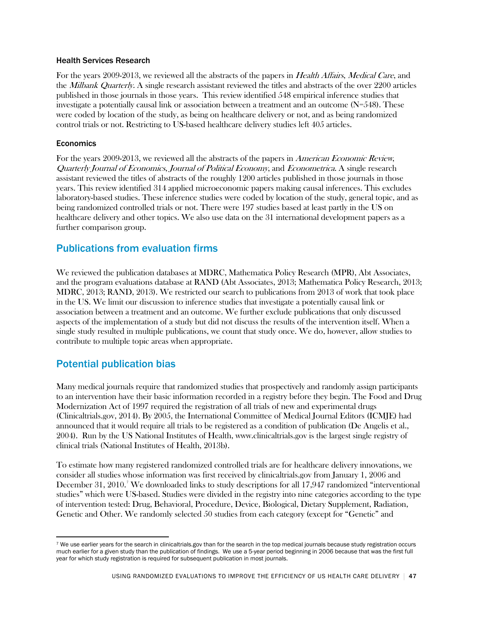### Health Services Research

For the years 2009-2013, we reviewed all the abstracts of the papers in *Health Affairs, Medical Care*, and the *Milbank Quarterly*. A single research assistant reviewed the titles and abstracts of the over 2200 articles published in those journals in those years. This review identified 548 empirical inference studies that investigate a potentially causal link or association between a treatment and an outcome  $(N=548)$ . These were coded by location of the study, as being on healthcare delivery or not, and as being randomized control trials or not. Restricting to US-based healthcare delivery studies left 405 articles.

### Economics

For the years 2009-2013, we reviewed all the abstracts of the papers in American Economic Review, Quarterly Journal of Economics, Journal of Political Economy, and Econometrica. A single research assistant reviewed the titles of abstracts of the roughly 1200 articles published in those journals in those years. This review identified 314 applied microeconomic papers making causal inferences. This excludes laboratory-based studies. These inference studies were coded by location of the study, general topic, and as being randomized controlled trials or not. There were 197 studies based at least partly in the US on healthcare delivery and other topics. We also use data on the 31 international development papers as a further comparison group.

## Publications from evaluation firms

We reviewed the publication databases at MDRC, Mathematica Policy Research (MPR), Abt Associates, and the program evaluations database at RAND (Abt Associates, 2013; Mathematica Policy Research, 2013; MDRC, 2013; RAND, 2013). We restricted our search to publications from 2013 of work that took place in the US. We limit our discussion to inference studies that investigate a potentially causal link or association between a treatment and an outcome. We further exclude publications that only discussed aspects of the implementation of a study but did not discuss the results of the intervention itself. When a single study resulted in multiple publications, we count that study once. We do, however, allow studies to contribute to multiple topic areas when appropriate.

### Potential publication bias

Many medical journals require that randomized studies that prospectively and randomly assign participants to an intervention have their basic information recorded in a registry before they begin. The Food and Drug Modernization Act of 1997 required the registration of all trials of new and experimental drugs (Clinicaltrials.gov, 2014). By 2005, the International Committee of Medical Journal Editors (ICMJE) had announced that it would require all trials to be registered as a condition of publication (De Angelis et al., 2004). Run by the US National Institutes of Health, www.clinicaltrials.gov is the largest single registry of clinical trials (National Institutes of Health, 2013b).

To estimate how many registered randomized controlled trials are for healthcare delivery innovations, we consider all studies whose information was first received by clinicaltrials.gov from January 1, 2006 and December 31, 2010.' We downloaded links to study descriptions for all 1[7](#page-46-0),947 randomized "interventional studies" which were US-based. Studies were divided in the registry into nine categories according to the type of intervention tested: Drug, Behavioral, Procedure, Device, Biological, Dietary Supplement, Radiation, Genetic and Other. We randomly selected 50 studies from each category (except for "Genetic" and

<span id="page-46-0"></span><sup>7</sup> We use earlier years for the search in clinicaltrials.gov than for the search in the top medical journals because study registration occurs much earlier for a given study than the publication of findings. We use a 5-year period beginning in 2006 because that was the first full year for which study registration is required for subsequent publication in most journals.  $\overline{a}$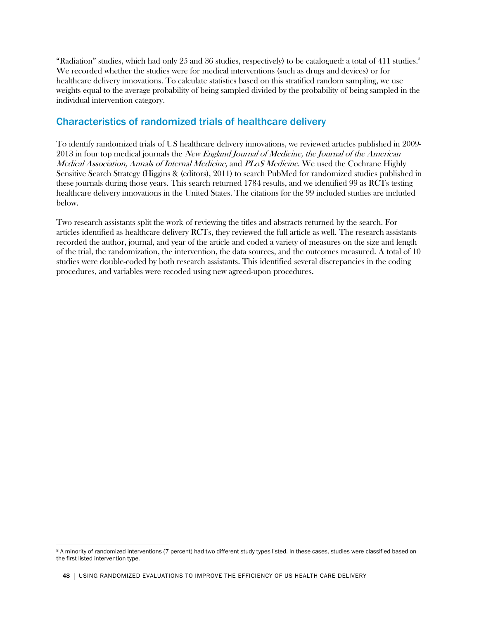"Radiation" studies, which had only  $25$  and  $36$  studies, respectively) to be catalogued: a total of  $411$  studies. We recorded whether the studies were for medical interventions (such as drugs and devices) or for healthcare delivery innovations. To calculate statistics based on this stratified random sampling, we use weights equal to the average probability of being sampled divided by the probability of being sampled in the individual intervention category.

## Characteristics of randomized trials of healthcare delivery

To identify randomized trials of US healthcare delivery innovations, we reviewed articles published in 2009- 2013 in four top medical journals the *New England Journal of Medicine*, the Journal of the American Medical Association, Annals of Internal Medicine, and PLoS Medicine. We used the Cochrane Highly Sensitive Search Strategy (Higgins & (editors), 2011) to search PubMed for randomized studies published in these journals during those years. This search returned 1784 results, and we identified 99 as RCTs testing healthcare delivery innovations in the United States. The citations for the 99 included studies are included below.

Two research assistants split the work of reviewing the titles and abstracts returned by the search. For articles identified as healthcare delivery RCTs, they reviewed the full article as well. The research assistants recorded the author, journal, and year of the article and coded a variety of measures on the size and length of the trial, the randomization, the intervention, the data sources, and the outcomes measured. A total of 10 studies were double-coded by both research assistants. This identified several discrepancies in the coding procedures, and variables were recoded using new agreed-upon procedures.

<span id="page-47-0"></span><sup>8</sup> A minority of randomized interventions (7 percent) had two different study types listed. In these cases, studies were classified based on the first listed intervention type.  $\overline{a}$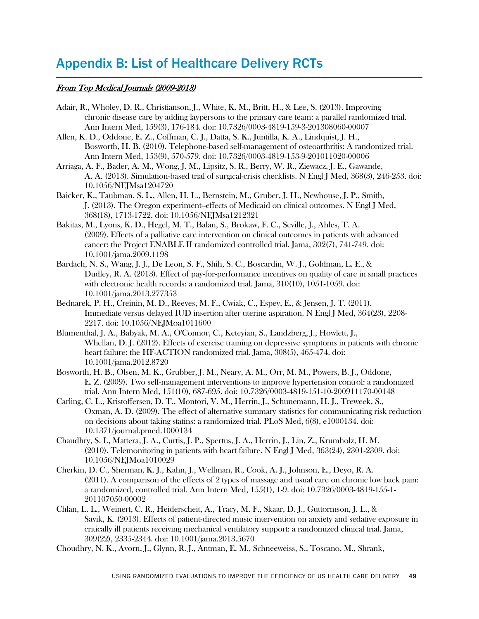## Appendix B: List of Healthcare Delivery RCTs

### From Top Medical Journals (2009-2013)

- Adair, R., Wholey, D. R., Christianson, J., White, K. M., Britt, H., & Lee, S. (2013). Improving chronic disease care by adding laypersons to the primary care team: a parallel randomized trial. Ann Intern Med, 159(3), 176-184. doi: 10.7326/0003-4819-159-3-201308060-00007
- Allen, K. D., Oddone, E. Z., Coffman, C. J., Datta, S. K., Juntilla, K. A., Lindquist, J. H., Bosworth, H. B. (2010). Telephone-based self-management of osteoarthritis: A randomized trial. Ann Intern Med, 153(9), 570-579. doi: 10.7326/0003-4819-153-9-201011020-00006
- Arriaga, A. F., Bader, A. M., Wong, J. M., Lipsitz, S. R., Berry, W. R., Ziewacz, J. E., Gawande, A. A. (2013). Simulation-based trial of surgical-crisis checklists. N Engl J Med, 368(3), 246-253. doi: 10.1056/NEJMsa1204720
- Baicker, K., Taubman, S. L., Allen, H. L., Bernstein, M., Gruber, J. H., Newhouse, J. P., Smith, J. (2013). The Oregon experiment--effects of Medicaid on clinical outcomes. N Engl J Med, 368(18), 1713-1722. doi: 10.1056/NEJMsa1212321
- Bakitas, M., Lyons, K. D., Hegel, M. T., Balan, S., Brokaw, F. C., Seville, J., Ahles, T. A. (2009). Effects of a palliative care intervention on clinical outcomes in patients with advanced cancer: the Project ENABLE II randomized controlled trial. Jama, 302(7), 741-749. doi: 10.1001/jama.2009.1198
- Bardach, N. S., Wang, J. J., De Leon, S. F., Shih, S. C., Boscardin, W. J., Goldman, L. E., & Dudley, R. A. (2013). Effect of pay-for-performance incentives on quality of care in small practices with electronic health records: a randomized trial. Jama, 310(10), 1051-1059. doi: 10.1001/jama.2013.277353
- Bednarek, P. H., Creinin, M. D., Reeves, M. F., Cwiak, C., Espey, E., & Jensen, J. T. (2011). Immediate versus delayed IUD insertion after uterine aspiration. N Engl J Med, 364(23), 2208- 2217. doi: 10.1056/NEJMoa1011600
- Blumenthal, J. A., Babyak, M. A., O'Connor, C., Keteyian, S., Landzberg, J., Howlett, J., Whellan, D. J. (2012). Effects of exercise training on depressive symptoms in patients with chronic heart failure: the HF-ACTION randomized trial. Jama, 308(5), 465-474. doi: 10.1001/jama.2012.8720
- Bosworth, H. B., Olsen, M. K., Grubber, J. M., Neary, A. M., Orr, M. M., Powers, B. J., Oddone, E. Z. (2009). Two self-management interventions to improve hypertension control: a randomized trial. Ann Intern Med, 151(10), 687-695. doi: 10.7326/0003-4819-151-10-200911170-00148
- Carling, C. L., Kristoffersen, D. T., Montori, V. M., Herrin, J., Schunemann, H. J., Treweek, S., Oxman, A. D. (2009). The effect of alternative summary statistics for communicating risk reduction on decisions about taking statins: a randomized trial. PLoS Med, 6(8), e1000134. doi: 10.1371/journal.pmed.1000134
- Chaudhry, S. I., Mattera, J. A., Curtis, J. P., Spertus, J. A., Herrin, J., Lin, Z., Krumholz, H. M. (2010). Telemonitoring in patients with heart failure. N Engl J Med, 363(24), 2301-2309. doi: 10.1056/NEJMoa1010029
- Cherkin, D. C., Sherman, K. J., Kahn, J., Wellman, R., Cook, A. J., Johnson, E., Deyo, R. A. (2011). A comparison of the effects of 2 types of massage and usual care on chronic low back pain: a randomized, controlled trial. Ann Intern Med, 155(1), 1-9. doi: 10.7326/0003-4819-155-1- 201107050-00002
- Chlan, L. L., Weinert, C. R., Heiderscheit, A., Tracy, M. F., Skaar, D. J., Guttormson, J. L., & Savik, K. (2013). Effects of patient-directed music intervention on anxiety and sedative exposure in critically ill patients receiving mechanical ventilatory support: a randomized clinical trial. Jama, 309(22), 2335-2344. doi: 10.1001/jama.2013.5670
- Choudhry, N. K., Avorn, J., Glynn, R. J., Antman, E. M., Schneeweiss, S., Toscano, M., Shrank,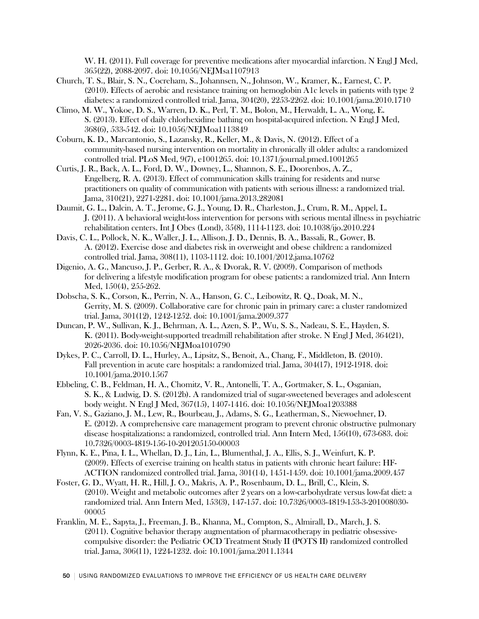W. H. (2011). Full coverage for preventive medications after myocardial infarction. N Engl J Med, 365(22), 2088-2097. doi: 10.1056/NEJMsa1107913

- Church, T. S., Blair, S. N., Cocreham, S., Johannsen, N., Johnson, W., Kramer, K., Earnest, C. P. (2010). Effects of aerobic and resistance training on hemoglobin A1c levels in patients with type 2 diabetes: a randomized controlled trial. Jama, 304(20), 2253-2262. doi: 10.1001/jama.2010.1710
- Climo, M. W., Yokoe, D. S., Warren, D. K., Perl, T. M., Bolon, M., Herwaldt, L. A., Wong, E. S. (2013). Effect of daily chlorhexidine bathing on hospital-acquired infection. N Engl J Med, 368(6), 533-542. doi: 10.1056/NEJMoa1113849
- Coburn, K. D., Marcantonio, S., Lazansky, R., Keller, M., & Davis, N. (2012). Effect of a community-based nursing intervention on mortality in chronically ill older adults: a randomized controlled trial. PLoS Med, 9(7), e1001265. doi: 10.1371/journal.pmed.1001265
- Curtis, J. R., Back, A. L., Ford, D. W., Downey, L., Shannon, S. E., Doorenbos, A. Z., Engelberg, R. A. (2013). Effect of communication skills training for residents and nurse practitioners on quality of communication with patients with serious illness: a randomized trial. Jama, 310(21), 2271-2281. doi: 10.1001/jama.2013.282081
- Daumit, G. L., Dalcin, A. T., Jerome, G. J., Young, D. R., Charleston, J., Crum, R. M., Appel, L. J. (2011). A behavioral weight-loss intervention for persons with serious mental illness in psychiatric rehabilitation centers. Int J Obes (Lond), 35(8), 1114-1123. doi: 10.1038/ijo.2010.224
- Davis, C. L., Pollock, N. K., Waller, J. L., Allison, J. D., Dennis, B. A., Bassali, R., Gower, B. A. (2012). Exercise dose and diabetes risk in overweight and obese children: a randomized controlled trial. Jama, 308(11), 1103-1112. doi: 10.1001/2012.jama.10762
- Digenio, A. G., Mancuso, J. P., Gerber, R. A., & Dvorak, R. V. (2009). Comparison of methods for delivering a lifestyle modification program for obese patients: a randomized trial. Ann Intern Med, 150(4), 255-262.
- Dobscha, S. K., Corson, K., Perrin, N. A., Hanson, G. C., Leibowitz, R. Q., Doak, M. N., Gerrity, M. S. (2009). Collaborative care for chronic pain in primary care: a cluster randomized trial. Jama, 301(12), 1242-1252. doi: 10.1001/jama.2009.377
- Duncan, P. W., Sullivan, K. J., Behrman, A. L., Azen, S. P., Wu, S. S., Nadeau, S. E., Hayden, S. K. (2011). Body-weight-supported treadmill rehabilitation after stroke. N Engl J Med, 364(21), 2026-2036. doi: 10.1056/NEJMoa1010790
- Dykes, P. C., Carroll, D. L., Hurley, A., Lipsitz, S., Benoit, A., Chang, F., Middleton, B. (2010). Fall prevention in acute care hospitals: a randomized trial. Jama, 304(17), 1912-1918. doi: 10.1001/jama.2010.1567
- Ebbeling, C. B., Feldman, H. A., Chomitz, V. R., Antonelli, T. A., Gortmaker, S. L., Osganian, S. K., & Ludwig, D. S. (2012b). A randomized trial of sugar-sweetened beverages and adolescent body weight. N Engl J Med, 367(15), 1407-1416. doi: 10.1056/NEJMoa1203388
- Fan, V. S., Gaziano, J. M., Lew, R., Bourbeau, J., Adams, S. G., Leatherman, S., Niewoehner, D. E. (2012). A comprehensive care management program to prevent chronic obstructive pulmonary disease hospitalizations: a randomized, controlled trial. Ann Intern Med, 156(10), 673-683. doi: 10.7326/0003-4819-156-10-201205150-00003
- Flynn, K. E., Pina, I. L., Whellan, D. J., Lin, L., Blumenthal, J. A., Ellis, S. J., Weinfurt, K. P. (2009). Effects of exercise training on health status in patients with chronic heart failure: HF-ACTION randomized controlled trial. Jama, 301(14), 1451-1459. doi: 10.1001/jama.2009.457
- Foster, G. D., Wyatt, H. R., Hill, J. O., Makris, A. P., Rosenbaum, D. L., Brill, C., Klein, S. (2010). Weight and metabolic outcomes after 2 years on a low-carbohydrate versus low-fat diet: a randomized trial. Ann Intern Med, 153(3), 147-157. doi: 10.7326/0003-4819-153-3-201008030- 00005
- Franklin, M. E., Sapyta, J., Freeman, J. B., Khanna, M., Compton, S., Almirall, D., March, J. S. (2011). Cognitive behavior therapy augmentation of pharmacotherapy in pediatric obsessivecompulsive disorder: the Pediatric OCD Treatment Study II (POTS II) randomized controlled trial. Jama, 306(11), 1224-1232. doi: 10.1001/jama.2011.1344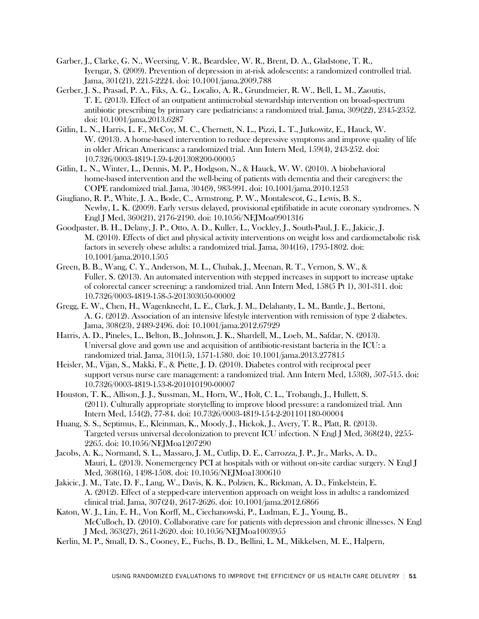- Garber, J., Clarke, G. N., Weersing, V. R., Beardslee, W. R., Brent, D. A., Gladstone, T. R., Iyengar, S. (2009). Prevention of depression in at-risk adolescents: a randomized controlled trial. Jama, 301(21), 2215-2224. doi: 10.1001/jama.2009.788
- Gerber, J. S., Prasad, P. A., Fiks, A. G., Localio, A. R., Grundmeier, R. W., Bell, L. M., Zaoutis, T. E. (2013). Effect of an outpatient antimicrobial stewardship intervention on broad-spectrum antibiotic prescribing by primary care pediatricians: a randomized trial. Jama, 309(22), 2345-2352. doi: 10.1001/jama.2013.6287
- Gitlin, L. N., Harris, L. F., McCoy, M. C., Chernett, N. L., Pizzi, L. T., Jutkowitz, E., Hauck, W. W. (2013). A home-based intervention to reduce depressive symptoms and improve quality of life in older African Americans: a randomized trial. Ann Intern Med, 159(4), 243-252. doi: 10.7326/0003-4819-159-4-201308200-00005
- Gitlin, L. N., Winter, L., Dennis, M. P., Hodgson, N., & Hauck, W. W. (2010). A biobehavioral home-based intervention and the well-being of patients with dementia and their caregivers: the COPE randomized trial. Jama, 304(9), 983-991. doi: 10.1001/jama.2010.1253
- Giugliano, R. P., White, J. A., Bode, C., Armstrong, P. W., Montalescot, G., Lewis, B. S., Newby, L. K. (2009). Early versus delayed, provisional eptifibatide in acute coronary syndromes. N Engl J Med, 360(21), 2176-2190. doi: 10.1056/NEJMoa0901316
- Goodpaster, B. H., Delany, J. P., Otto, A. D., Kuller, L., Vockley, J., South-Paul, J. E., Jakicic, J. M. (2010). Effects of diet and physical activity interventions on weight loss and cardiometabolic risk factors in severely obese adults: a randomized trial. Jama, 304(16), 1795-1802. doi: 10.1001/jama.2010.1505
- Green, B. B., Wang, C. Y., Anderson, M. L., Chubak, J., Meenan, R. T., Vernon, S. W., & Fuller, S. (2013). An automated intervention with stepped increases in support to increase uptake of colorectal cancer screening: a randomized trial. Ann Intern Med, 158(5 Pt 1), 301-311. doi: 10.7326/0003-4819-158-5-201303050-00002
- Gregg, E. W., Chen, H., Wagenknecht, L. E., Clark, J. M., Delahanty, L. M., Bantle, J., Bertoni, A. G. (2012). Association of an intensive lifestyle intervention with remission of type 2 diabetes. Jama, 308(23), 2489-2496. doi: 10.1001/jama.2012.67929
- Harris, A. D., Pineles, L., Belton, B., Johnson, J. K., Shardell, M., Loeb, M., Safdar, N. (2013). Universal glove and gown use and acquisition of antibiotic-resistant bacteria in the ICU: a randomized trial. Jama, 310(15), 1571-1580. doi: 10.1001/jama.2013.277815
- Heisler, M., Vijan, S., Makki, F., & Piette, J. D. (2010). Diabetes control with reciprocal peer support versus nurse care management: a randomized trial. Ann Intern Med, 153(8), 507-515. doi: 10.7326/0003-4819-153-8-201010190-00007
- Houston, T. K., Allison, J. J., Sussman, M., Horn, W., Holt, C. L., Trobaugh, J., Hullett, S. (2011). Culturally appropriate storytelling to improve blood pressure: a randomized trial. Ann Intern Med, 154(2), 77-84. doi: 10.7326/0003-4819-154-2-201101180-00004
- Huang, S. S., Septimus, E., Kleinman, K., Moody, J., Hickok, J., Avery, T. R., Platt, R. (2013). Targeted versus universal decolonization to prevent ICU infection. N Engl J Med, 368(24), 2255- 2265. doi: 10.1056/NEJMoa1207290
- Jacobs, A. K., Normand, S. L., Massaro, J. M., Cutlip, D. E., Carrozza, J. P., Jr., Marks, A. D., Mauri, L. (2013). Nonemergency PCI at hospitals with or without on-site cardiac surgery. N Engl J Med, 368(16), 1498-1508. doi: 10.1056/NEJMoa1300610
- Jakicic, J. M., Tate, D. F., Lang, W., Davis, K. K., Polzien, K., Rickman, A. D., Finkelstein, E. A. (2012). Effect of a stepped-care intervention approach on weight loss in adults: a randomized clinical trial. Jama, 307(24), 2617-2626. doi: 10.1001/jama.2012.6866
- Katon, W. J., Lin, E. H., Von Korff, M., Ciechanowski, P., Ludman, E. J., Young, B., McCulloch, D. (2010). Collaborative care for patients with depression and chronic illnesses. N Engl J Med, 363(27), 2611-2620. doi: 10.1056/NEJMoa1003955
- Kerlin, M. P., Small, D. S., Cooney, E., Fuchs, B. D., Bellini, L. M., Mikkelsen, M. E., Halpern,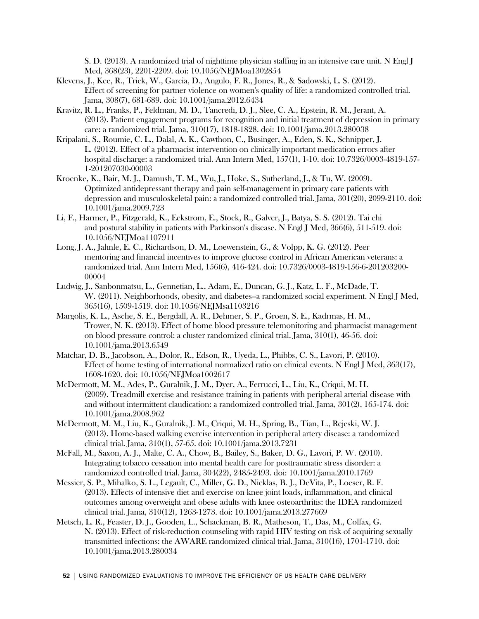S. D. (2013). A randomized trial of nighttime physician staffing in an intensive care unit. N Engl J Med, 368(23), 2201-2209. doi: 10.1056/NEJMoa1302854

- Klevens, J., Kee, R., Trick, W., Garcia, D., Angulo, F. R., Jones, R., & Sadowski, L. S. (2012). Effect of screening for partner violence on women's quality of life: a randomized controlled trial. Jama, 308(7), 681-689. doi: 10.1001/jama.2012.6434
- Kravitz, R. L., Franks, P., Feldman, M. D., Tancredi, D. J., Slee, C. A., Epstein, R. M., Jerant, A. (2013). Patient engagement programs for recognition and initial treatment of depression in primary care: a randomized trial. Jama, 310(17), 1818-1828. doi: 10.1001/jama.2013.280038
- Kripalani, S., Roumie, C. L., Dalal, A. K., Cawthon, C., Businger, A., Eden, S. K., Schnipper, J. L. (2012). Effect of a pharmacist intervention on clinically important medication errors after hospital discharge: a randomized trial. Ann Intern Med, 157(1), 1-10. doi: 10.7326/0003-4819-157- 1-201207030-00003
- Kroenke, K., Bair, M. J., Damush, T. M., Wu, J., Hoke, S., Sutherland, J., & Tu, W. (2009). Optimized antidepressant therapy and pain self-management in primary care patients with depression and musculoskeletal pain: a randomized controlled trial. Jama, 301(20), 2099-2110. doi: 10.1001/jama.2009.723
- Li, F., Harmer, P., Fitzgerald, K., Eckstrom, E., Stock, R., Galver, J., Batya, S. S. (2012). Tai chi and postural stability in patients with Parkinson's disease. N Engl J Med, 366(6), 511-519. doi: 10.1056/NEJMoa1107911
- Long, J. A., Jahnle, E. C., Richardson, D. M., Loewenstein, G., & Volpp, K. G. (2012). Peer mentoring and financial incentives to improve glucose control in African American veterans: a randomized trial. Ann Intern Med, 156(6), 416-424. doi: 10.7326/0003-4819-156-6-201203200- 00004
- Ludwig, J., Sanbonmatsu, L., Gennetian, L., Adam, E., Duncan, G. J., Katz, L. F., McDade, T. W. (2011). Neighborhoods, obesity, and diabetes--a randomized social experiment. N Engl J Med, 365(16), 1509-1519. doi: 10.1056/NEJMsa1103216
- Margolis, K. L., Asche, S. E., Bergdall, A. R., Dehmer, S. P., Groen, S. E., Kadrmas, H. M., Trower, N. K. (2013). Effect of home blood pressure telemonitoring and pharmacist management on blood pressure control: a cluster randomized clinical trial. Jama, 310(1), 46-56. doi: 10.1001/jama.2013.6549
- Matchar, D. B., Jacobson, A., Dolor, R., Edson, R., Uyeda, L., Phibbs, C. S., Lavori, P. (2010). Effect of home testing of international normalized ratio on clinical events. N Engl J Med, 363(17), 1608-1620. doi: 10.1056/NEJMoa1002617
- McDermott, M. M., Ades, P., Guralnik, J. M., Dyer, A., Ferrucci, L., Liu, K., Criqui, M. H. (2009). Treadmill exercise and resistance training in patients with peripheral arterial disease with and without intermittent claudication: a randomized controlled trial. Jama, 301(2), 165-174. doi: 10.1001/jama.2008.962
- McDermott, M. M., Liu, K., Guralnik, J. M., Criqui, M. H., Spring, B., Tian, L., Rejeski, W. J. (2013). Home-based walking exercise intervention in peripheral artery disease: a randomized clinical trial. Jama, 310(1), 57-65. doi: 10.1001/jama.2013.7231
- McFall, M., Saxon, A. J., Malte, C. A., Chow, B., Bailey, S., Baker, D. G., Lavori, P. W. (2010). Integrating tobacco cessation into mental health care for posttraumatic stress disorder: a randomized controlled trial. Jama, 304(22), 2485-2493. doi: 10.1001/jama.2010.1769
- Messier, S. P., Mihalko, S. L., Legault, C., Miller, G. D., Nicklas, B. J., DeVita, P., Loeser, R. F. (2013). Effects of intensive diet and exercise on knee joint loads, inflammation, and clinical outcomes among overweight and obese adults with knee osteoarthritis: the IDEA randomized clinical trial. Jama, 310(12), 1263-1273. doi: 10.1001/jama.2013.277669
- Metsch, L. R., Feaster, D. J., Gooden, L., Schackman, B. R., Matheson, T., Das, M., Colfax, G. N. (2013). Effect of risk-reduction counseling with rapid HIV testing on risk of acquiring sexually transmitted infections: the AWARE randomized clinical trial. Jama, 310(16), 1701-1710. doi: 10.1001/jama.2013.280034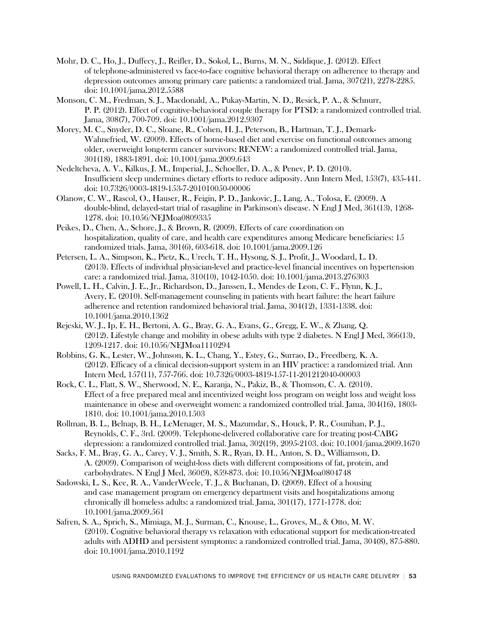- Mohr, D. C., Ho, J., Duffecy, J., Reifler, D., Sokol, L., Burns, M. N., Siddique, J. (2012). Effect of telephone-administered vs face-to-face cognitive behavioral therapy on adherence to therapy and depression outcomes among primary care patients: a randomized trial. Jama, 307(21), 2278-2285. doi: 10.1001/jama.2012.5588
- Monson, C. M., Fredman, S. J., Macdonald, A., Pukay-Martin, N. D., Resick, P. A., & Schnurr, P. P. (2012). Effect of cognitive-behavioral couple therapy for PTSD: a randomized controlled trial. Jama, 308(7), 700-709. doi: 10.1001/jama.2012.9307
- Morey, M. C., Snyder, D. C., Sloane, R., Cohen, H. J., Peterson, B., Hartman, T. J., Demark-Wahnefried, W. (2009). Effects of home-based diet and exercise on functional outcomes among older, overweight long-term cancer survivors: RENEW: a randomized controlled trial. Jama, 301(18), 1883-1891. doi: 10.1001/jama.2009.643
- Nedeltcheva, A. V., Kilkus, J. M., Imperial, J., Schoeller, D. A., & Penev, P. D. (2010). Insufficient sleep undermines dietary efforts to reduce adiposity. Ann Intern Med, 153(7), 435-441. doi: 10.7326/0003-4819-153-7-201010050-00006
- Olanow, C. W., Rascol, O., Hauser, R., Feigin, P. D., Jankovic, J., Lang, A., Tolosa, E. (2009). A double-blind, delayed-start trial of rasagiline in Parkinson's disease. N Engl J Med, 361(13), 1268- 1278. doi: 10.1056/NEJMoa0809335
- Peikes, D., Chen, A., Schore, J., & Brown, R. (2009). Effects of care coordination on hospitalization, quality of care, and health care expenditures among Medicare beneficiaries: 15 randomized trials. Jama, 301(6), 603-618. doi: 10.1001/jama.2009.126
- Petersen, L. A., Simpson, K., Pietz, K., Urech, T. H., Hysong, S. J., Profit, J., Woodard, L. D. (2013). Effects of individual physician-level and practice-level financial incentives on hypertension care: a randomized trial. Jama, 310(10), 1042-1050. doi: 10.1001/jama.2013.276303
- Powell, L. H., Calvin, J. E., Jr., Richardson, D., Janssen, I., Mendes de Leon, C. F., Flynn, K. J., Avery, E. (2010). Self-management counseling in patients with heart failure: the heart failure adherence and retention randomized behavioral trial. Jama, 304(12), 1331-1338. doi: 10.1001/jama.2010.1362
- Rejeski, W. J., Ip, E. H., Bertoni, A. G., Bray, G. A., Evans, G., Gregg, E. W., & Zhang, Q. (2012). Lifestyle change and mobility in obese adults with type 2 diabetes. N Engl J Med, 366(13), 1209-1217. doi: 10.1056/NEJMoa1110294
- Robbins, G. K., Lester, W., Johnson, K. L., Chang, Y., Estey, G., Surrao, D., Freedberg, K. A. (2012). Efficacy of a clinical decision-support system in an HIV practice: a randomized trial. Ann Intern Med, 157(11), 757-766. doi: 10.7326/0003-4819-157-11-201212040-00003
- Rock, C. L., Flatt, S. W., Sherwood, N. E., Karanja, N., Pakiz, B., & Thomson, C. A. (2010). Effect of a free prepared meal and incentivized weight loss program on weight loss and weight loss maintenance in obese and overweight women: a randomized controlled trial. Jama, 304(16), 1803- 1810. doi: 10.1001/jama.2010.1503
- Rollman, B. L., Belnap, B. H., LeMenager, M. S., Mazumdar, S., Houck, P. R., Counihan, P. J., Reynolds, C. F., 3rd. (2009). Telephone-delivered collaborative care for treating post-CABG depression: a randomized controlled trial. Jama, 302(19), 2095-2103. doi: 10.1001/jama.2009.1670
- Sacks, F. M., Bray, G. A., Carey, V. J., Smith, S. R., Ryan, D. H., Anton, S. D., Williamson, D. A. (2009). Comparison of weight-loss diets with different compositions of fat, protein, and carbohydrates. N Engl J Med, 360(9), 859-873. doi: 10.1056/NEJMoa0804748
- Sadowski, L. S., Kee, R. A., VanderWeele, T. J., & Buchanan, D. (2009). Effect of a housing and case management program on emergency department visits and hospitalizations among chronically ill homeless adults: a randomized trial. Jama, 301(17), 1771-1778. doi: 10.1001/jama.2009.561
- Safren, S. A., Sprich, S., Mimiaga, M. J., Surman, C., Knouse, L., Groves, M., & Otto, M. W. (2010). Cognitive behavioral therapy vs relaxation with educational support for medication-treated adults with ADHD and persistent symptoms: a randomized controlled trial. Jama, 304(8), 875-880. doi: 10.1001/jama.2010.1192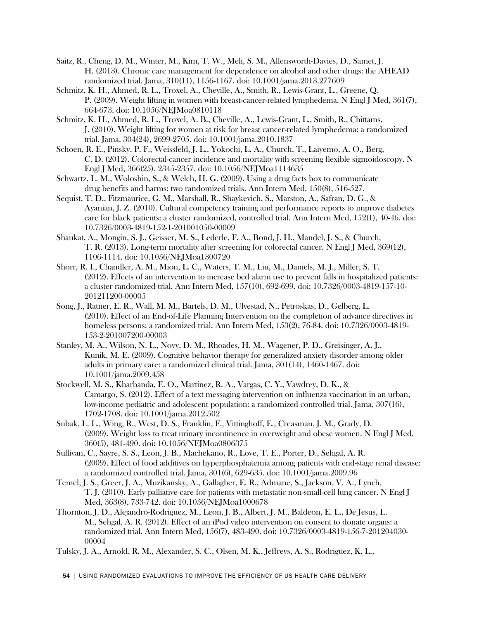- Saitz, R., Cheng, D. M., Winter, M., Kim, T. W., Meli, S. M., Allensworth-Davies, D., Samet, J. H. (2013). Chronic care management for dependence on alcohol and other drugs: the AHEAD randomized trial. Jama, 310(11), 1156-1167. doi: 10.1001/jama.2013.277609
- Schmitz, K. H., Ahmed, R. L., Troxel, A., Cheville, A., Smith, R., Lewis-Grant, L., Greene, Q. P. (2009). Weight lifting in women with breast-cancer-related lymphedema. N Engl J Med, 361(7), 664-673. doi: 10.1056/NEJMoa0810118
- Schmitz, K. H., Ahmed, R. L., Troxel, A. B., Cheville, A., Lewis-Grant, L., Smith, R., Chittams, J. (2010). Weight lifting for women at risk for breast cancer-related lymphedema: a randomized trial. Jama, 304(24), 2699-2705. doi: 10.1001/jama.2010.1837
- Schoen, R. E., Pinsky, P. F., Weissfeld, J. L., Yokochi, L. A., Church, T., Laiyemo, A. O., Berg, C. D. (2012). Colorectal-cancer incidence and mortality with screening flexible sigmoidoscopy. N Engl J Med, 366(25), 2345-2357. doi: 10.1056/NEJMoa1114635
- Schwartz, L. M., Woloshin, S., & Welch, H. G. (2009). Using a drug facts box to communicate drug benefits and harms: two randomized trials. Ann Intern Med, 150(8), 516-527.
- Sequist, T. D., Fitzmaurice, G. M., Marshall, R., Shaykevich, S., Marston, A., Safran, D. G., & Ayanian, J. Z. (2010). Cultural competency training and performance reports to improve diabetes care for black patients: a cluster randomized, controlled trial. Ann Intern Med, 152(1), 40-46. doi: 10.7326/0003-4819-152-1-201001050-00009
- Shaukat, A., Mongin, S. J., Geisser, M. S., Lederle, F. A., Bond, J. H., Mandel, J. S., & Church, T. R. (2013). Long-term mortality after screening for colorectal cancer. N Engl J Med, 369(12), 1106-1114. doi: 10.1056/NEJMoa1300720
- Shorr, R. I., Chandler, A. M., Mion, L. C., Waters, T. M., Liu, M., Daniels, M. J., Miller, S. T. (2012). Effects of an intervention to increase bed alarm use to prevent falls in hospitalized patients: a cluster randomized trial. Ann Intern Med, 157(10), 692-699. doi: 10.7326/0003-4819-157-10- 201211200-00005
- Song, J., Ratner, E. R., Wall, M. M., Bartels, D. M., Ulvestad, N., Petroskas, D., Gelberg, L. (2010). Effect of an End-of-Life Planning Intervention on the completion of advance directives in homeless persons: a randomized trial. Ann Intern Med, 153(2), 76-84. doi: 10.7326/0003-4819- 153-2-201007200-00003
- Stanley, M. A., Wilson, N. L., Novy, D. M., Rhoades, H. M., Wagener, P. D., Greisinger, A. J., Kunik, M. E. (2009). Cognitive behavior therapy for generalized anxiety disorder among older adults in primary care: a randomized clinical trial. Jama, 301(14), 1460-1467. doi: 10.1001/jama.2009.458
- Stockwell, M. S., Kharbanda, E. O., Martinez, R. A., Vargas, C. Y., Vawdrey, D. K., & Camargo, S. (2012). Effect of a text messaging intervention on influenza vaccination in an urban, low-income pediatric and adolescent population: a randomized controlled trial. Jama, 307(16), 1702-1708. doi: 10.1001/jama.2012.502
- Subak, L. L., Wing, R., West, D. S., Franklin, F., Vittinghoff, E., Creasman, J. M., Grady, D. (2009). Weight loss to treat urinary incontinence in overweight and obese women. N Engl J Med, 360(5), 481-490. doi: 10.1056/NEJMoa0806375
- Sullivan, C., Sayre, S. S., Leon, J. B., Machekano, R., Love, T. E., Porter, D., Sehgal, A. R. (2009). Effect of food additives on hyperphosphatemia among patients with end-stage renal disease: a randomized controlled trial. Jama, 301(6), 629-635. doi: 10.1001/jama.2009.96
- Temel, J. S., Greer, J. A., Muzikansky, A., Gallagher, E. R., Admane, S., Jackson, V. A., Lynch, T. J. (2010). Early palliative care for patients with metastatic non-small-cell lung cancer. N Engl J Med, 363(8), 733-742. doi: 10.1056/NEJMoa1000678
- Thornton, J. D., Alejandro-Rodriguez, M., Leon, J. B., Albert, J. M., Baldeon, E. L., De Jesus, L. M., Sehgal, A. R. (2012). Effect of an iPod video intervention on consent to donate organs: a randomized trial. Ann Intern Med, 156(7), 483-490. doi: 10.7326/0003-4819-156-7-201204030- 00004
- Tulsky, J. A., Arnold, R. M., Alexander, S. C., Olsen, M. K., Jeffreys, A. S., Rodriguez, K. L.,

54 USING RANDOMIZED EVALUATIONS TO IMPROVE THE EFFICIENCY OF US HEALTH CARE DELIVERY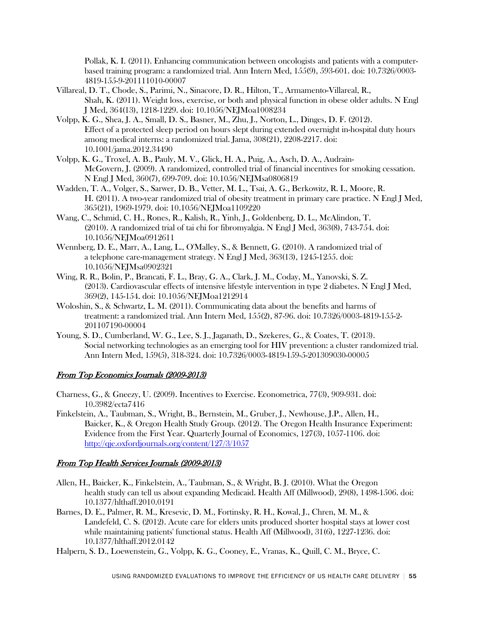Pollak, K. I. (2011). Enhancing communication between oncologists and patients with a computerbased training program: a randomized trial. Ann Intern Med, 155(9), 593-601. doi: 10.7326/0003- 4819-155-9-201111010-00007

- Villareal, D. T., Chode, S., Parimi, N., Sinacore, D. R., Hilton, T., Armamento-Villareal, R., Shah, K. (2011). Weight loss, exercise, or both and physical function in obese older adults. N Engl J Med, 364(13), 1218-1229. doi: 10.1056/NEJMoa1008234
- Volpp, K. G., Shea, J. A., Small, D. S., Basner, M., Zhu, J., Norton, L., Dinges, D. F. (2012). Effect of a protected sleep period on hours slept during extended overnight in-hospital duty hours among medical interns: a randomized trial. Jama, 308(21), 2208-2217. doi: 10.1001/jama.2012.34490
- Volpp, K. G., Troxel, A. B., Pauly, M. V., Glick, H. A., Puig, A., Asch, D. A., Audrain-McGovern, J. (2009). A randomized, controlled trial of financial incentives for smoking cessation. N Engl J Med, 360(7), 699-709. doi: 10.1056/NEJMsa0806819
- Wadden, T. A., Volger, S., Sarwer, D. B., Vetter, M. L., Tsai, A. G., Berkowitz, R. I., Moore, R. H. (2011). A two-year randomized trial of obesity treatment in primary care practice. N Engl J Med, 365(21), 1969-1979. doi: 10.1056/NEJMoa1109220
- Wang, C., Schmid, C. H., Rones, R., Kalish, R., Yinh, J., Goldenberg, D. L., McAlindon, T. (2010). A randomized trial of tai chi for fibromyalgia. N Engl J Med, 363(8), 743-754. doi: 10.1056/NEJMoa0912611
- Wennberg, D. E., Marr, A., Lang, L., O'Malley, S., & Bennett, G. (2010). A randomized trial of a telephone care-management strategy. N Engl J Med, 363(13), 1245-1255. doi: 10.1056/NEJMsa0902321
- Wing, R. R., Bolin, P., Brancati, F. L., Bray, G. A., Clark, J. M., Coday, M., Yanovski, S. Z. (2013). Cardiovascular effects of intensive lifestyle intervention in type 2 diabetes. N Engl J Med, 369(2), 145-154. doi: 10.1056/NEJMoa1212914
- Woloshin, S., & Schwartz, L. M. (2011). Communicating data about the benefits and harms of treatment: a randomized trial. Ann Intern Med, 155(2), 87-96. doi: 10.7326/0003-4819-155-2- 201107190-00004
- Young, S. D., Cumberland, W. G., Lee, S. J., Jaganath, D., Szekeres, G., & Coates, T. (2013). Social networking technologies as an emerging tool for HIV prevention: a cluster randomized trial. Ann Intern Med, 159(5), 318-324. doi: 10.7326/0003-4819-159-5-201309030-00005

### From Top Economics Journals (2009-2013)

- Charness, G., & Gneezy, U. (2009). Incentives to Exercise. Econometrica, 77(3), 909-931. doi: 10.3982/ecta7416
- Finkelstein, A., Taubman, S., Wright, B., Bernstein, M., Gruber, J., Newhouse, J.P., Allen, H., Baicker, K., & Oregon Health Study Group. (2012). The Oregon Health Insurance Experiment: Evidence from the First Year. Quarterly Journal of Economics, 127(3), 1057-1106. doi: <http://qje.oxfordjournals.org/content/127/3/1057>

### From Top Health Services Journals (2009-2013)

- Allen, H., Baicker, K., Finkelstein, A., Taubman, S., & Wright, B. J. (2010). What the Oregon health study can tell us about expanding Medicaid. Health Aff (Millwood), 29(8), 1498-1506. doi: 10.1377/hlthaff.2010.0191
- Barnes, D. E., Palmer, R. M., Kresevic, D. M., Fortinsky, R. H., Kowal, J., Chren, M. M., & Landefeld, C. S. (2012). Acute care for elders units produced shorter hospital stays at lower cost while maintaining patients' functional status. Health Aff (Millwood), 31(6), 1227-1236. doi: 10.1377/hlthaff.2012.0142
- Halpern, S. D., Loewenstein, G., Volpp, K. G., Cooney, E., Vranas, K., Quill, C. M., Bryce, C.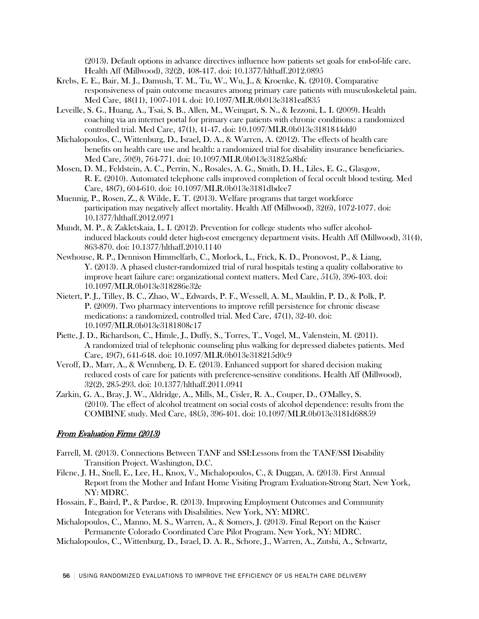(2013). Default options in advance directives influence how patients set goals for end-of-life care. Health Aff (Millwood), 32(2), 408-417. doi: 10.1377/hlthaff.2012.0895

- Krebs, E. E., Bair, M. J., Damush, T. M., Tu, W., Wu, J., & Kroenke, K. (2010). Comparative responsiveness of pain outcome measures among primary care patients with musculoskeletal pain. Med Care, 48(11), 1007-1014. doi: 10.1097/MLR.0b013e3181eaf835
- Leveille, S. G., Huang, A., Tsai, S. B., Allen, M., Weingart, S. N., & Iezzoni, L. I. (2009). Health coaching via an internet portal for primary care patients with chronic conditions: a randomized controlled trial. Med Care, 47(1), 41-47. doi: 10.1097/MLR.0b013e3181844dd0
- Michalopoulos, C., Wittenburg, D., Israel, D. A., & Warren, A. (2012). The effects of health care benefits on health care use and health: a randomized trial for disability insurance beneficiaries. Med Care, 50(9), 764-771. doi: 10.1097/MLR.0b013e31825a8bfc
- Mosen, D. M., Feldstein, A. C., Perrin, N., Rosales, A. G., Smith, D. H., Liles, E. G., Glasgow, R. E. (2010). Automated telephone calls improved completion of fecal occult blood testing. Med Care, 48(7), 604-610. doi: 10.1097/MLR.0b013e3181dbdce7
- Muennig, P., Rosen, Z., & Wilde, E. T. (2013). Welfare programs that target workforce participation may negatively affect mortality. Health Aff (Millwood), 32(6), 1072-1077. doi: 10.1377/hlthaff.2012.0971
- Mundt, M. P., & Zakletskaia, L. I. (2012). Prevention for college students who suffer alcoholinduced blackouts could deter high-cost emergency department visits. Health Aff (Millwood), 31(4), 863-870. doi: 10.1377/hlthaff.2010.1140
- Newhouse, R. P., Dennison Himmelfarb, C., Morlock, L., Frick, K. D., Pronovost, P., & Liang, Y. (2013). A phased cluster-randomized trial of rural hospitals testing a quality collaborative to improve heart failure care: organizational context matters. Med Care, 51(5), 396-403. doi: 10.1097/MLR.0b013e318286e32e
- Nietert, P. J., Tilley, B. C., Zhao, W., Edwards, P. F., Wessell, A. M., Mauldin, P. D., & Polk, P. P. (2009). Two pharmacy interventions to improve refill persistence for chronic disease medications: a randomized, controlled trial. Med Care, 47(1), 32-40. doi: 10.1097/MLR.0b013e3181808c17
- Piette, J. D., Richardson, C., Himle, J., Duffy, S., Torres, T., Vogel, M., Valenstein, M. (2011). A randomized trial of telephonic counseling plus walking for depressed diabetes patients. Med Care, 49(7), 641-648. doi: 10.1097/MLR.0b013e318215d0c9
- Veroff, D., Marr, A., & Wennberg, D. E. (2013). Enhanced support for shared decision making reduced costs of care for patients with preference-sensitive conditions. Health Aff (Millwood), 32(2), 285-293. doi: 10.1377/hlthaff.2011.0941
- Zarkin, G. A., Bray, J. W., Aldridge, A., Mills, M., Cisler, R. A., Couper, D., O'Malley, S. (2010). The effect of alcohol treatment on social costs of alcohol dependence: results from the COMBINE study. Med Care, 48(5), 396-401. doi: 10.1097/MLR.0b013e3181d68859

### From Evaluation Firms (2013)

- Farrell, M. (2013). Connections Between TANF and SSI:Lessons from the TANF/SSI Disability Transition Project. Washington, D.C.
- Filene, J. H., Snell, E., Lee, H., Knox, V., Michalopoulos, C., & Duggan, A. (2013). First Annual Report from the Mother and Infant Home Visiting Program Evaluation-Strong Start. New York, NY: MDRC.
- Hossain, F., Baird, P., & Pardoe, R. (2013). Improving Employment Outcomes and Community Integration for Veterans with Disabilities. New York, NY: MDRC.
- Michalopoulos, C., Manno, M. S., Warren, A., & Somers, J. (2013). Final Report on the Kaiser Permanente Colorado Coordinated Care Pilot Program. New York, NY: MDRC.
- Michalopoulos, C., Wittenburg, D., Israel, D. A. R., Schore, J., Warren, A., Zutshi, A., Schwartz,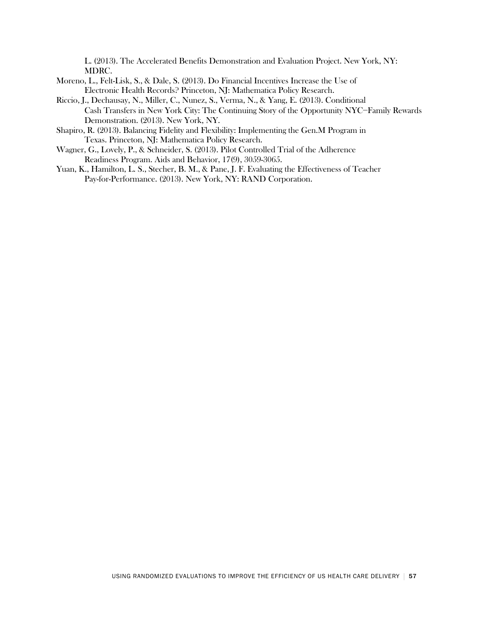L. (2013). The Accelerated Benefits Demonstration and Evaluation Project. New York, NY: MDRC.

- Moreno, L., Felt-Lisk, S., & Dale, S. (2013). Do Financial Incentives Increase the Use of Electronic Health Records? Princeton, NJ: Mathematica Policy Research.
- Riccio, J., Dechausay, N., Miller, C., Nunez, S., Verma, N., & Yang, E. (2013). Conditional Cash Transfers in New York City: The Continuing Story of the Opportunity NYC−Family Rewards Demonstration. (2013). New York, NY.
- Shapiro, R. (2013). Balancing Fidelity and Flexibility: Implementing the Gen.M Program in Texas. Princeton, NJ: Mathematica Policy Research.
- Wagner, G., Lovely, P., & Schneider, S. (2013). Pilot Controlled Trial of the Adherence Readiness Program. Aids and Behavior, 17(9), 3059-3065.
- Yuan, K., Hamilton, L. S., Stecher, B. M., & Pane, J. F. Evaluating the Effectiveness of Teacher Pay-for-Performance. (2013). New York, NY: RAND Corporation.